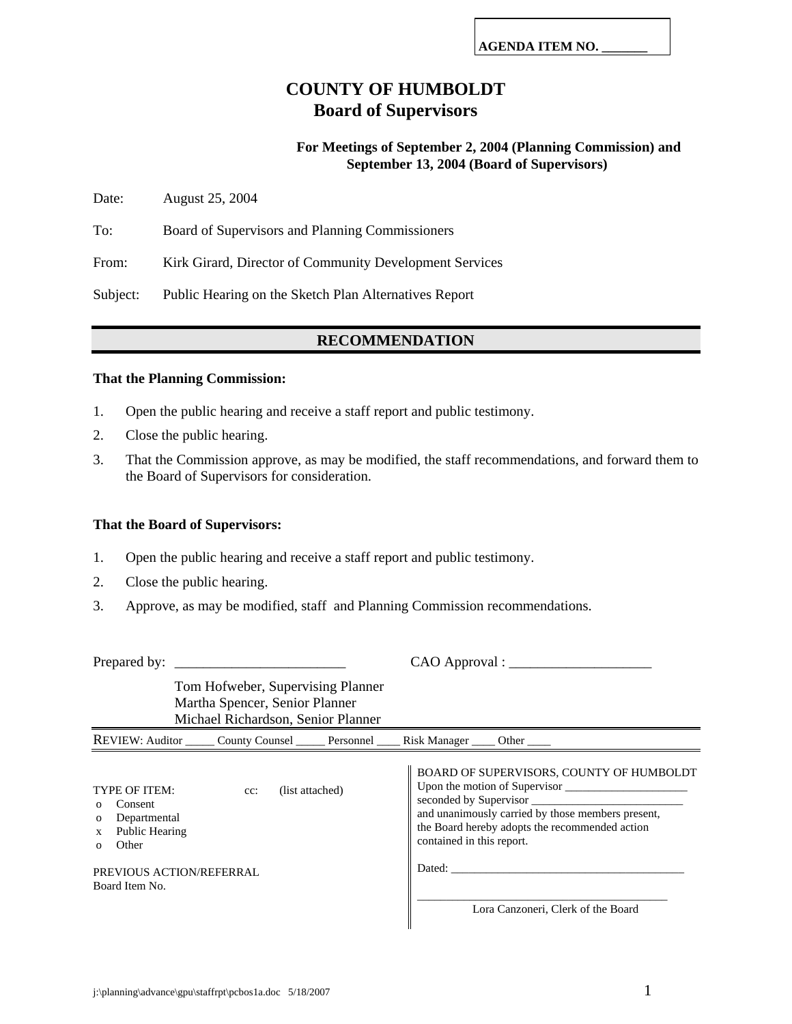# **COUNTY OF HUMBOLDT Board of Supervisors**

# **For Meetings of September 2, 2004 (Planning Commission) and September 13, 2004 (Board of Supervisors)**

Date: August 25, 2004

To: Board of Supervisors and Planning Commissioners

From: Kirk Girard, Director of Community Development Services

Subject: Public Hearing on the Sketch Plan Alternatives Report

# **RECOMMENDATION**

### **That the Planning Commission:**

- 1. Open the public hearing and receive a staff report and public testimony.
- 2. Close the public hearing.
- 3. That the Commission approve, as may be modified, the staff recommendations, and forward them to the Board of Supervisors for consideration.

### **That the Board of Supervisors:**

- 1. Open the public hearing and receive a staff report and public testimony.
- 2. Close the public hearing.
- 3. Approve, as may be modified, staff and Planning Commission recommendations.

| Tom Hofweber, Supervising Planner<br>Martha Spencer, Senior Planner<br>Michael Richardson, Senior Planner              |                                    |                 |  |                                                                        |                                                                                                                                                                                                                                                                                                                                                                                                                                                                                    |  |
|------------------------------------------------------------------------------------------------------------------------|------------------------------------|-----------------|--|------------------------------------------------------------------------|------------------------------------------------------------------------------------------------------------------------------------------------------------------------------------------------------------------------------------------------------------------------------------------------------------------------------------------------------------------------------------------------------------------------------------------------------------------------------------|--|
|                                                                                                                        |                                    |                 |  | REVIEW: Auditor County Counsel Companion Personnel Risk Manager Cother |                                                                                                                                                                                                                                                                                                                                                                                                                                                                                    |  |
| TYPE OF ITEM:<br>Consent<br>Departmental<br>$\mathbf{o}$<br>Public Hearing<br>X<br>Other<br>$\Omega$<br>Board Item No. | $cc$ :<br>PREVIOUS ACTION/REFERRAL | (list attached) |  | contained in this report.                                              | BOARD OF SUPERVISORS, COUNTY OF HUMBOLDT<br>Upon the motion of Supervisor<br>seconded by Supervisor<br>and unanimously carried by those members present,<br>the Board hereby adopts the recommended action<br>Dated: the contract of the contract of the contract of the contract of the contract of the contract of the contract of the contract of the contract of the contract of the contract of the contract of the contract of the con<br>Lora Canzoneri, Clerk of the Board |  |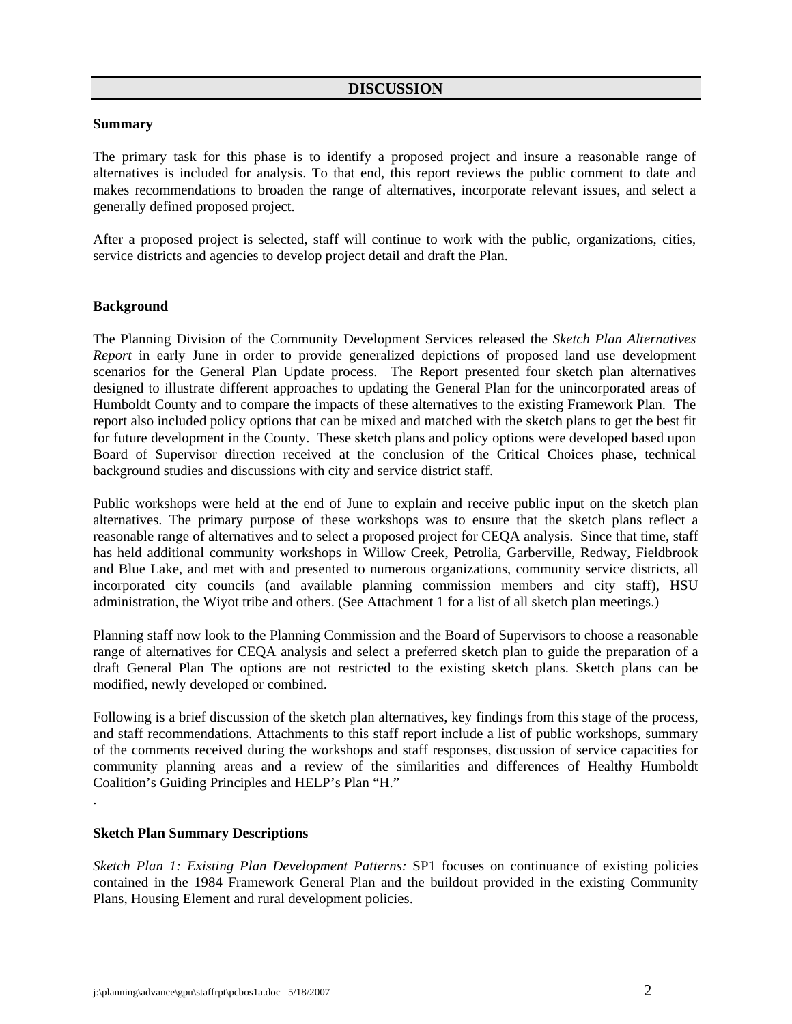### **Summary**

The primary task for this phase is to identify a proposed project and insure a reasonable range of alternatives is included for analysis. To that end, this report reviews the public comment to date and makes recommendations to broaden the range of alternatives, incorporate relevant issues, and select a generally defined proposed project.

After a proposed project is selected, staff will continue to work with the public, organizations, cities, service districts and agencies to develop project detail and draft the Plan.

### **Background**

The Planning Division of the Community Development Services released the *Sketch Plan Alternatives Report* in early June in order to provide generalized depictions of proposed land use development scenarios for the General Plan Update process. The Report presented four sketch plan alternatives designed to illustrate different approaches to updating the General Plan for the unincorporated areas of Humboldt County and to compare the impacts of these alternatives to the existing Framework Plan. The report also included policy options that can be mixed and matched with the sketch plans to get the best fit for future development in the County. These sketch plans and policy options were developed based upon Board of Supervisor direction received at the conclusion of the Critical Choices phase, technical background studies and discussions with city and service district staff.

Public workshops were held at the end of June to explain and receive public input on the sketch plan alternatives. The primary purpose of these workshops was to ensure that the sketch plans reflect a reasonable range of alternatives and to select a proposed project for CEQA analysis. Since that time, staff has held additional community workshops in Willow Creek, Petrolia, Garberville, Redway, Fieldbrook and Blue Lake, and met with and presented to numerous organizations, community service districts, all incorporated city councils (and available planning commission members and city staff), HSU administration, the Wiyot tribe and others. (See Attachment 1 for a list of all sketch plan meetings.)

Planning staff now look to the Planning Commission and the Board of Supervisors to choose a reasonable range of alternatives for CEQA analysis and select a preferred sketch plan to guide the preparation of a draft General Plan The options are not restricted to the existing sketch plans. Sketch plans can be modified, newly developed or combined.

Following is a brief discussion of the sketch plan alternatives, key findings from this stage of the process, and staff recommendations. Attachments to this staff report include a list of public workshops, summary of the comments received during the workshops and staff responses, discussion of service capacities for community planning areas and a review of the similarities and differences of Healthy Humboldt Coalition's Guiding Principles and HELP's Plan "H."

### **Sketch Plan Summary Descriptions**

.

*Sketch Plan 1: Existing Plan Development Patterns:* SP1 focuses on continuance of existing policies contained in the 1984 Framework General Plan and the buildout provided in the existing Community Plans, Housing Element and rural development policies.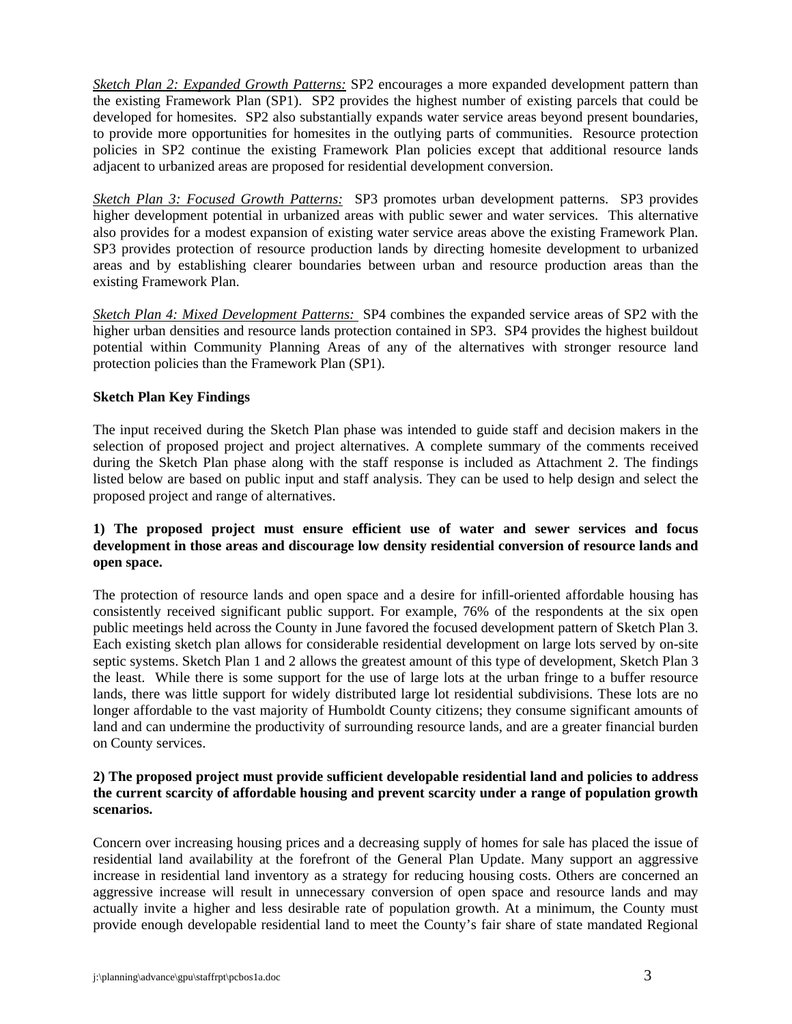*Sketch Plan 2: Expanded Growth Patterns:* SP2 encourages a more expanded development pattern than the existing Framework Plan (SP1). SP2 provides the highest number of existing parcels that could be developed for homesites. SP2 also substantially expands water service areas beyond present boundaries, to provide more opportunities for homesites in the outlying parts of communities. Resource protection policies in SP2 continue the existing Framework Plan policies except that additional resource lands adjacent to urbanized areas are proposed for residential development conversion.

*Sketch Plan 3: Focused Growth Patterns:* SP3 promotes urban development patterns. SP3 provides higher development potential in urbanized areas with public sewer and water services. This alternative also provides for a modest expansion of existing water service areas above the existing Framework Plan. SP3 provides protection of resource production lands by directing homesite development to urbanized areas and by establishing clearer boundaries between urban and resource production areas than the existing Framework Plan.

*Sketch Plan 4: Mixed Development Patterns:* SP4 combines the expanded service areas of SP2 with the higher urban densities and resource lands protection contained in SP3. SP4 provides the highest buildout potential within Community Planning Areas of any of the alternatives with stronger resource land protection policies than the Framework Plan (SP1).

## **Sketch Plan Key Findings**

The input received during the Sketch Plan phase was intended to guide staff and decision makers in the selection of proposed project and project alternatives. A complete summary of the comments received during the Sketch Plan phase along with the staff response is included as Attachment 2. The findings listed below are based on public input and staff analysis. They can be used to help design and select the proposed project and range of alternatives.

# **1) The proposed project must ensure efficient use of water and sewer services and focus development in those areas and discourage low density residential conversion of resource lands and open space.**

The protection of resource lands and open space and a desire for infill-oriented affordable housing has consistently received significant public support. For example, 76% of the respondents at the six open public meetings held across the County in June favored the focused development pattern of Sketch Plan 3. Each existing sketch plan allows for considerable residential development on large lots served by on-site septic systems. Sketch Plan 1 and 2 allows the greatest amount of this type of development, Sketch Plan 3 the least. While there is some support for the use of large lots at the urban fringe to a buffer resource lands, there was little support for widely distributed large lot residential subdivisions. These lots are no longer affordable to the vast majority of Humboldt County citizens; they consume significant amounts of land and can undermine the productivity of surrounding resource lands, and are a greater financial burden on County services.

# **2) The proposed project must provide sufficient developable residential land and policies to address the current scarcity of affordable housing and prevent scarcity under a range of population growth scenarios.**

Concern over increasing housing prices and a decreasing supply of homes for sale has placed the issue of residential land availability at the forefront of the General Plan Update. Many support an aggressive increase in residential land inventory as a strategy for reducing housing costs. Others are concerned an aggressive increase will result in unnecessary conversion of open space and resource lands and may actually invite a higher and less desirable rate of population growth. At a minimum, the County must provide enough developable residential land to meet the County's fair share of state mandated Regional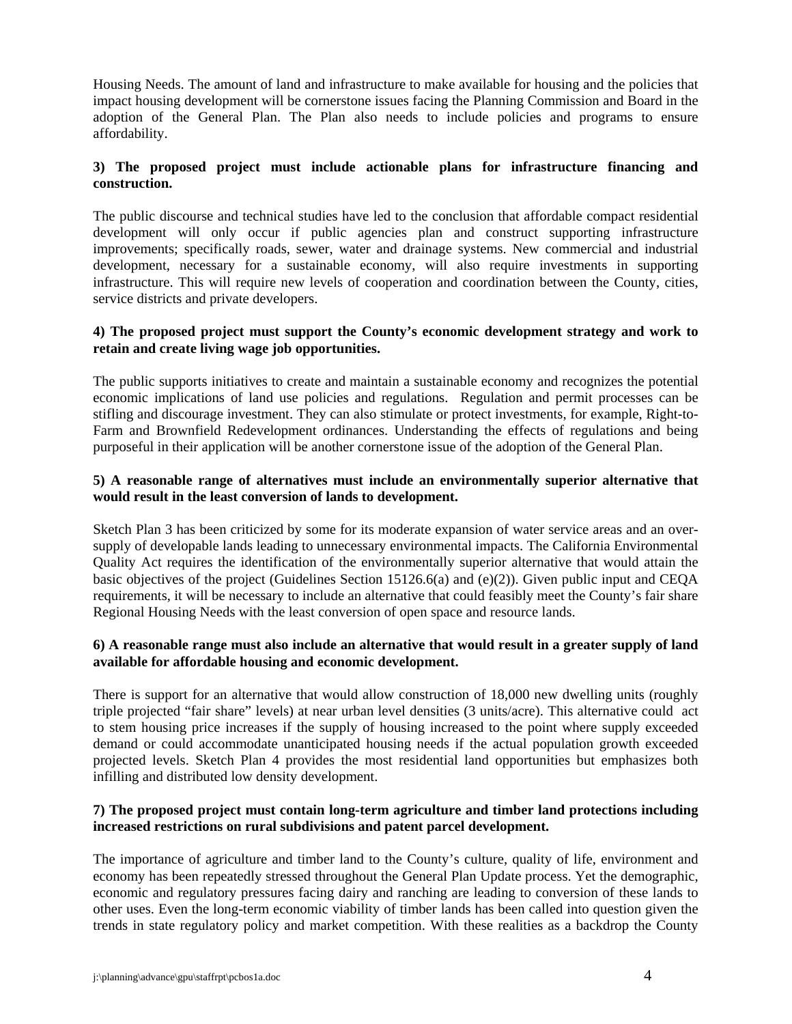Housing Needs. The amount of land and infrastructure to make available for housing and the policies that impact housing development will be cornerstone issues facing the Planning Commission and Board in the adoption of the General Plan. The Plan also needs to include policies and programs to ensure affordability.

# **3) The proposed project must include actionable plans for infrastructure financing and construction.**

The public discourse and technical studies have led to the conclusion that affordable compact residential development will only occur if public agencies plan and construct supporting infrastructure improvements; specifically roads, sewer, water and drainage systems. New commercial and industrial development, necessary for a sustainable economy, will also require investments in supporting infrastructure. This will require new levels of cooperation and coordination between the County, cities, service districts and private developers.

# **4) The proposed project must support the County's economic development strategy and work to retain and create living wage job opportunities.**

The public supports initiatives to create and maintain a sustainable economy and recognizes the potential economic implications of land use policies and regulations. Regulation and permit processes can be stifling and discourage investment. They can also stimulate or protect investments, for example, Right-to-Farm and Brownfield Redevelopment ordinances. Understanding the effects of regulations and being purposeful in their application will be another cornerstone issue of the adoption of the General Plan.

# **5) A reasonable range of alternatives must include an environmentally superior alternative that would result in the least conversion of lands to development.**

Sketch Plan 3 has been criticized by some for its moderate expansion of water service areas and an oversupply of developable lands leading to unnecessary environmental impacts. The California Environmental Quality Act requires the identification of the environmentally superior alternative that would attain the basic objectives of the project (Guidelines Section 15126.6(a) and (e)(2)). Given public input and CEQA requirements, it will be necessary to include an alternative that could feasibly meet the County's fair share Regional Housing Needs with the least conversion of open space and resource lands.

# **6) A reasonable range must also include an alternative that would result in a greater supply of land available for affordable housing and economic development.**

There is support for an alternative that would allow construction of 18,000 new dwelling units (roughly triple projected "fair share" levels) at near urban level densities (3 units/acre). This alternative could act to stem housing price increases if the supply of housing increased to the point where supply exceeded demand or could accommodate unanticipated housing needs if the actual population growth exceeded projected levels. Sketch Plan 4 provides the most residential land opportunities but emphasizes both infilling and distributed low density development.

## **7) The proposed project must contain long-term agriculture and timber land protections including increased restrictions on rural subdivisions and patent parcel development.**

The importance of agriculture and timber land to the County's culture, quality of life, environment and economy has been repeatedly stressed throughout the General Plan Update process. Yet the demographic, economic and regulatory pressures facing dairy and ranching are leading to conversion of these lands to other uses. Even the long-term economic viability of timber lands has been called into question given the trends in state regulatory policy and market competition. With these realities as a backdrop the County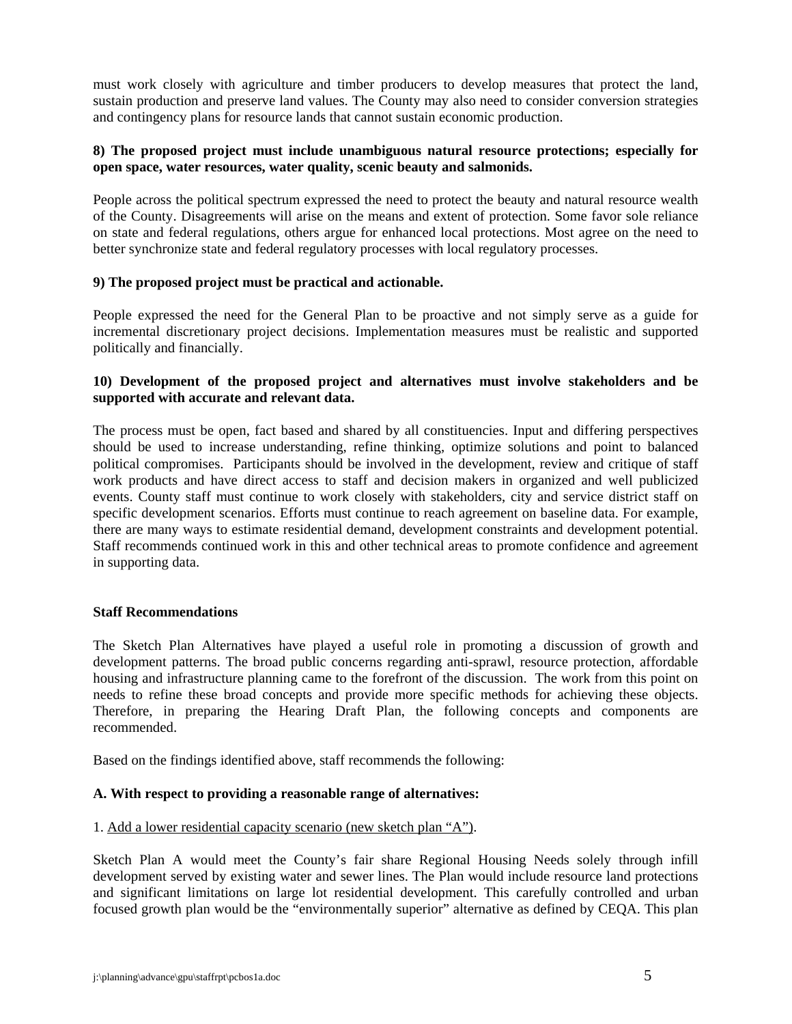must work closely with agriculture and timber producers to develop measures that protect the land, sustain production and preserve land values. The County may also need to consider conversion strategies and contingency plans for resource lands that cannot sustain economic production.

# **8) The proposed project must include unambiguous natural resource protections; especially for open space, water resources, water quality, scenic beauty and salmonids.**

People across the political spectrum expressed the need to protect the beauty and natural resource wealth of the County. Disagreements will arise on the means and extent of protection. Some favor sole reliance on state and federal regulations, others argue for enhanced local protections. Most agree on the need to better synchronize state and federal regulatory processes with local regulatory processes.

### **9) The proposed project must be practical and actionable.**

People expressed the need for the General Plan to be proactive and not simply serve as a guide for incremental discretionary project decisions. Implementation measures must be realistic and supported politically and financially.

# **10) Development of the proposed project and alternatives must involve stakeholders and be supported with accurate and relevant data.**

The process must be open, fact based and shared by all constituencies. Input and differing perspectives should be used to increase understanding, refine thinking, optimize solutions and point to balanced political compromises. Participants should be involved in the development, review and critique of staff work products and have direct access to staff and decision makers in organized and well publicized events. County staff must continue to work closely with stakeholders, city and service district staff on specific development scenarios. Efforts must continue to reach agreement on baseline data. For example, there are many ways to estimate residential demand, development constraints and development potential. Staff recommends continued work in this and other technical areas to promote confidence and agreement in supporting data.

## **Staff Recommendations**

The Sketch Plan Alternatives have played a useful role in promoting a discussion of growth and development patterns. The broad public concerns regarding anti-sprawl, resource protection, affordable housing and infrastructure planning came to the forefront of the discussion. The work from this point on needs to refine these broad concepts and provide more specific methods for achieving these objects. Therefore, in preparing the Hearing Draft Plan, the following concepts and components are recommended.

Based on the findings identified above, staff recommends the following:

## **A. With respect to providing a reasonable range of alternatives:**

### 1. Add a lower residential capacity scenario (new sketch plan "A").

Sketch Plan A would meet the County's fair share Regional Housing Needs solely through infill development served by existing water and sewer lines. The Plan would include resource land protections and significant limitations on large lot residential development. This carefully controlled and urban focused growth plan would be the "environmentally superior" alternative as defined by CEQA. This plan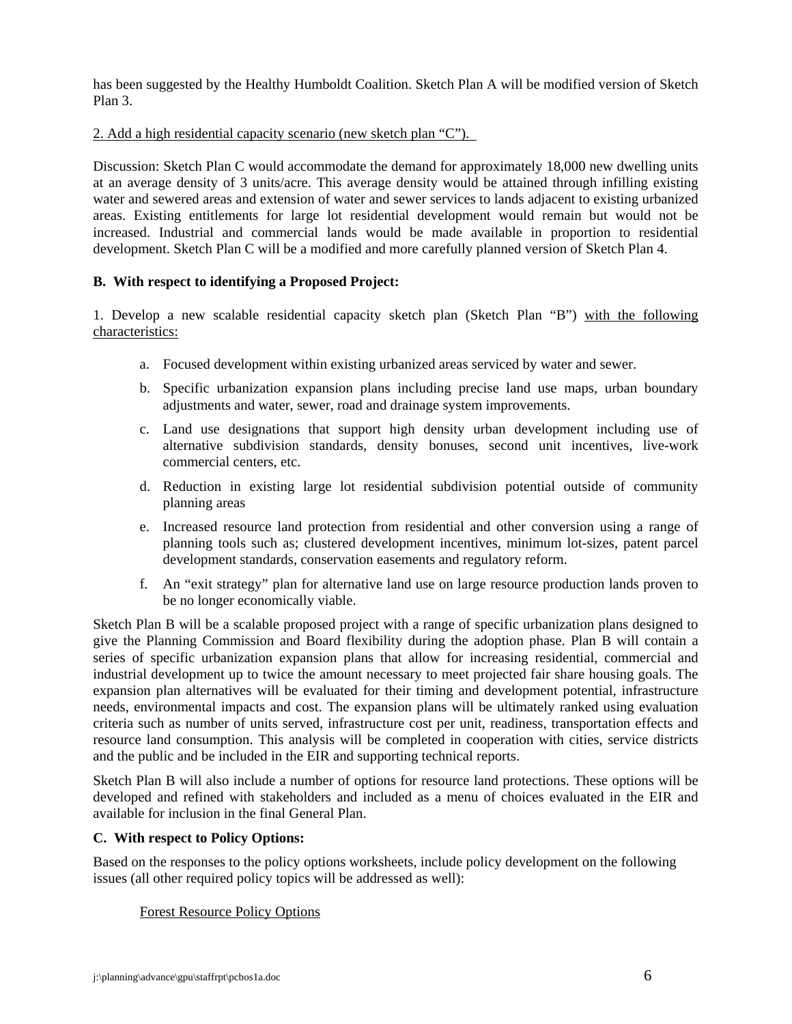has been suggested by the Healthy Humboldt Coalition. Sketch Plan A will be modified version of Sketch Plan 3.

## 2. Add a high residential capacity scenario (new sketch plan "C").

Discussion: Sketch Plan C would accommodate the demand for approximately 18,000 new dwelling units at an average density of 3 units/acre. This average density would be attained through infilling existing water and sewered areas and extension of water and sewer services to lands adjacent to existing urbanized areas. Existing entitlements for large lot residential development would remain but would not be increased. Industrial and commercial lands would be made available in proportion to residential development. Sketch Plan C will be a modified and more carefully planned version of Sketch Plan 4.

# **B. With respect to identifying a Proposed Project:**

1. Develop a new scalable residential capacity sketch plan (Sketch Plan "B") with the following characteristics:

- a. Focused development within existing urbanized areas serviced by water and sewer.
- b. Specific urbanization expansion plans including precise land use maps, urban boundary adjustments and water, sewer, road and drainage system improvements.
- c. Land use designations that support high density urban development including use of alternative subdivision standards, density bonuses, second unit incentives, live-work commercial centers, etc.
- d. Reduction in existing large lot residential subdivision potential outside of community planning areas
- e. Increased resource land protection from residential and other conversion using a range of planning tools such as; clustered development incentives, minimum lot-sizes, patent parcel development standards, conservation easements and regulatory reform.
- f. An "exit strategy" plan for alternative land use on large resource production lands proven to be no longer economically viable.

Sketch Plan B will be a scalable proposed project with a range of specific urbanization plans designed to give the Planning Commission and Board flexibility during the adoption phase. Plan B will contain a series of specific urbanization expansion plans that allow for increasing residential, commercial and industrial development up to twice the amount necessary to meet projected fair share housing goals. The expansion plan alternatives will be evaluated for their timing and development potential, infrastructure needs, environmental impacts and cost. The expansion plans will be ultimately ranked using evaluation criteria such as number of units served, infrastructure cost per unit, readiness, transportation effects and resource land consumption. This analysis will be completed in cooperation with cities, service districts and the public and be included in the EIR and supporting technical reports.

Sketch Plan B will also include a number of options for resource land protections. These options will be developed and refined with stakeholders and included as a menu of choices evaluated in the EIR and available for inclusion in the final General Plan.

# **C. With respect to Policy Options:**

Based on the responses to the policy options worksheets, include policy development on the following issues (all other required policy topics will be addressed as well):

## Forest Resource Policy Options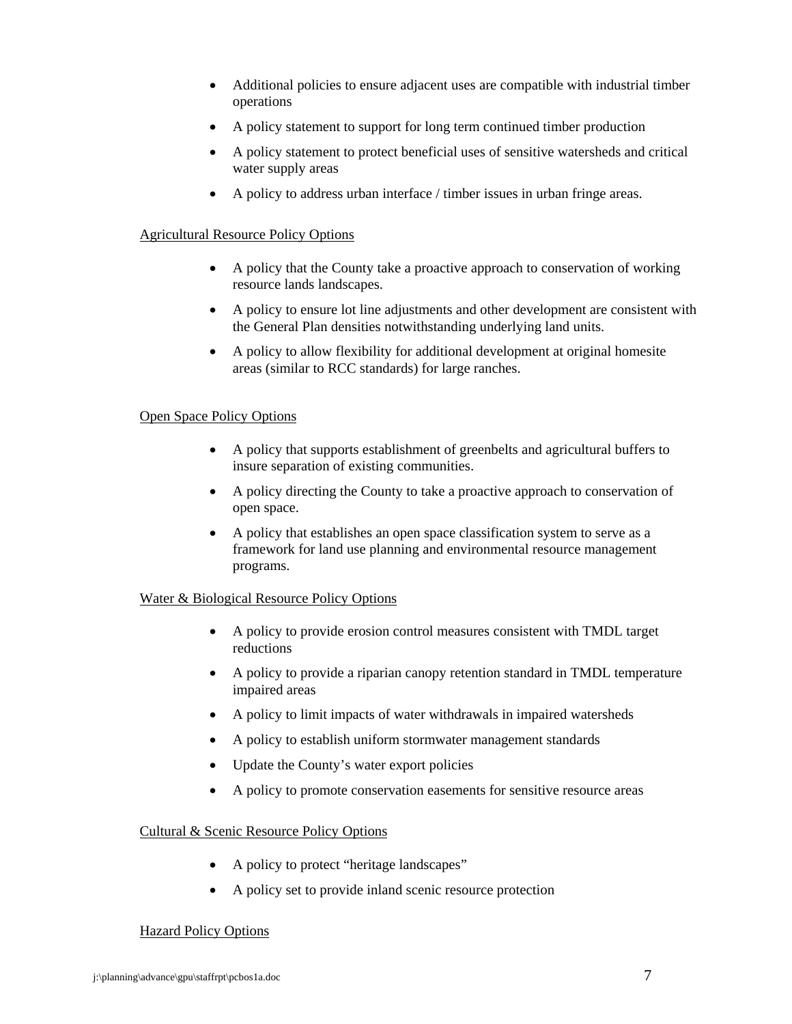- Additional policies to ensure adjacent uses are compatible with industrial timber operations
- A policy statement to support for long term continued timber production
- A policy statement to protect beneficial uses of sensitive watersheds and critical water supply areas
- A policy to address urban interface / timber issues in urban fringe areas.

# Agricultural Resource Policy Options

- A policy that the County take a proactive approach to conservation of working resource lands landscapes.
- A policy to ensure lot line adjustments and other development are consistent with the General Plan densities notwithstanding underlying land units.
- A policy to allow flexibility for additional development at original homesite areas (similar to RCC standards) for large ranches.

## Open Space Policy Options

- A policy that supports establishment of greenbelts and agricultural buffers to insure separation of existing communities.
- A policy directing the County to take a proactive approach to conservation of open space.
- A policy that establishes an open space classification system to serve as a framework for land use planning and environmental resource management programs.

## Water & Biological Resource Policy Options

- A policy to provide erosion control measures consistent with TMDL target reductions
- A policy to provide a riparian canopy retention standard in TMDL temperature impaired areas
- A policy to limit impacts of water withdrawals in impaired watersheds
- A policy to establish uniform stormwater management standards
- Update the County's water export policies
- A policy to promote conservation easements for sensitive resource areas

## Cultural & Scenic Resource Policy Options

- A policy to protect "heritage landscapes"
- A policy set to provide inland scenic resource protection

## Hazard Policy Options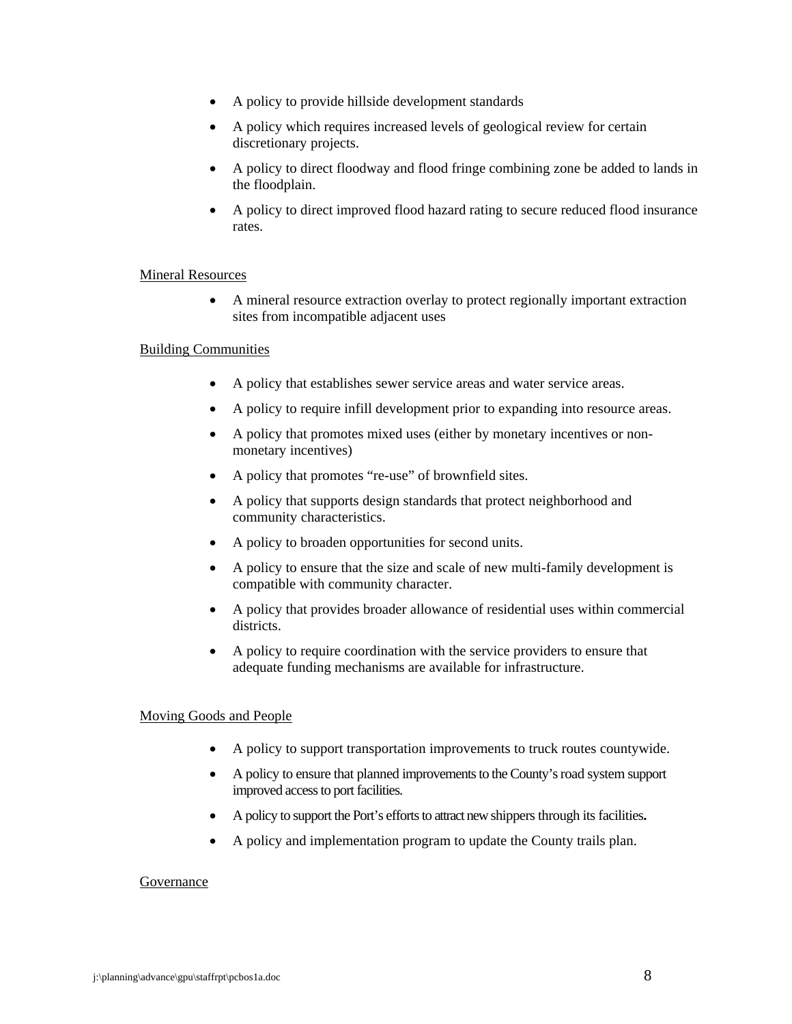- A policy to provide hillside development standards
- A policy which requires increased levels of geological review for certain discretionary projects.
- A policy to direct floodway and flood fringe combining zone be added to lands in the floodplain.
- A policy to direct improved flood hazard rating to secure reduced flood insurance rates.

### Mineral Resources

• A mineral resource extraction overlay to protect regionally important extraction sites from incompatible adjacent uses

### Building Communities

- A policy that establishes sewer service areas and water service areas.
- A policy to require infill development prior to expanding into resource areas.
- A policy that promotes mixed uses (either by monetary incentives or nonmonetary incentives)
- A policy that promotes "re-use" of brownfield sites.
- A policy that supports design standards that protect neighborhood and community characteristics.
- A policy to broaden opportunities for second units.
- A policy to ensure that the size and scale of new multi-family development is compatible with community character.
- A policy that provides broader allowance of residential uses within commercial districts.
- A policy to require coordination with the service providers to ensure that adequate funding mechanisms are available for infrastructure.

### Moving Goods and People

- A policy to support transportation improvements to truck routes countywide.
- A policy to ensure that planned improvements to the County's road system support improved access to port facilities.
- A policy to support the Port's efforts to attract new shippers through its facilities**.**
- A policy and implementation program to update the County trails plan.

### Governance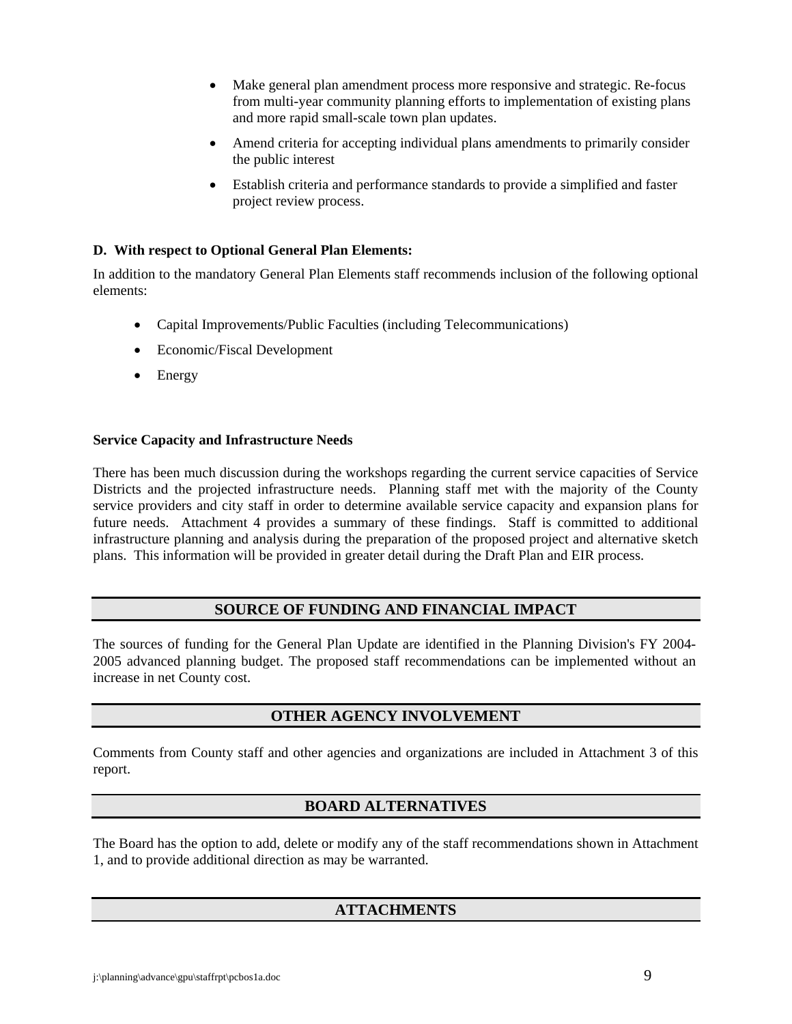- Make general plan amendment process more responsive and strategic. Re-focus from multi-year community planning efforts to implementation of existing plans and more rapid small-scale town plan updates.
- Amend criteria for accepting individual plans amendments to primarily consider the public interest
- Establish criteria and performance standards to provide a simplified and faster project review process.

# **D. With respect to Optional General Plan Elements:**

In addition to the mandatory General Plan Elements staff recommends inclusion of the following optional elements:

- Capital Improvements/Public Faculties (including Telecommunications)
- Economic/Fiscal Development
- Energy

## **Service Capacity and Infrastructure Needs**

There has been much discussion during the workshops regarding the current service capacities of Service Districts and the projected infrastructure needs. Planning staff met with the majority of the County service providers and city staff in order to determine available service capacity and expansion plans for future needs. Attachment 4 provides a summary of these findings. Staff is committed to additional infrastructure planning and analysis during the preparation of the proposed project and alternative sketch plans. This information will be provided in greater detail during the Draft Plan and EIR process.

# **SOURCE OF FUNDING AND FINANCIAL IMPACT**

The sources of funding for the General Plan Update are identified in the Planning Division's FY 2004- 2005 advanced planning budget. The proposed staff recommendations can be implemented without an increase in net County cost.

# **OTHER AGENCY INVOLVEMENT**

Comments from County staff and other agencies and organizations are included in Attachment 3 of this report.

# **BOARD ALTERNATIVES**

The Board has the option to add, delete or modify any of the staff recommendations shown in Attachment 1, and to provide additional direction as may be warranted.

# **ATTACHMENTS**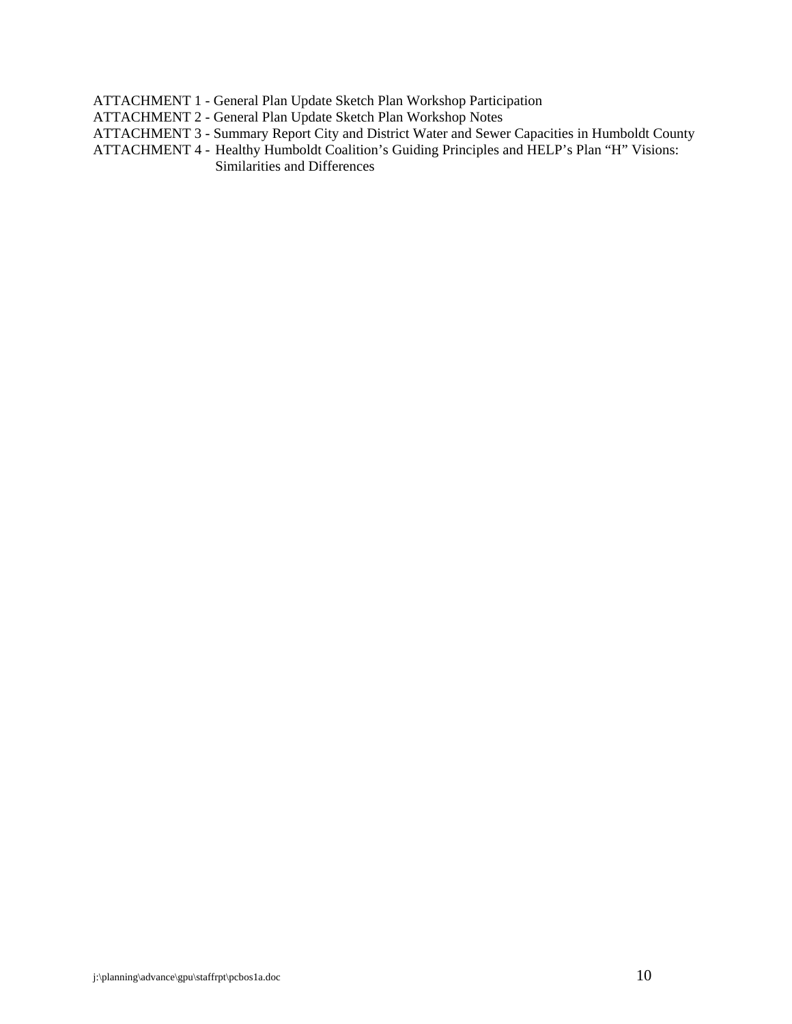ATTACHMENT 1 - General Plan Update Sketch Plan Workshop Participation

- ATTACHMENT 2 General Plan Update Sketch Plan Workshop Notes
- ATTACHMENT 3 Summary Report City and District Water and Sewer Capacities in Humboldt County
- ATTACHMENT 4 Healthy Humboldt Coalition's Guiding Principles and HELP's Plan "H" Visions: Similarities and Differences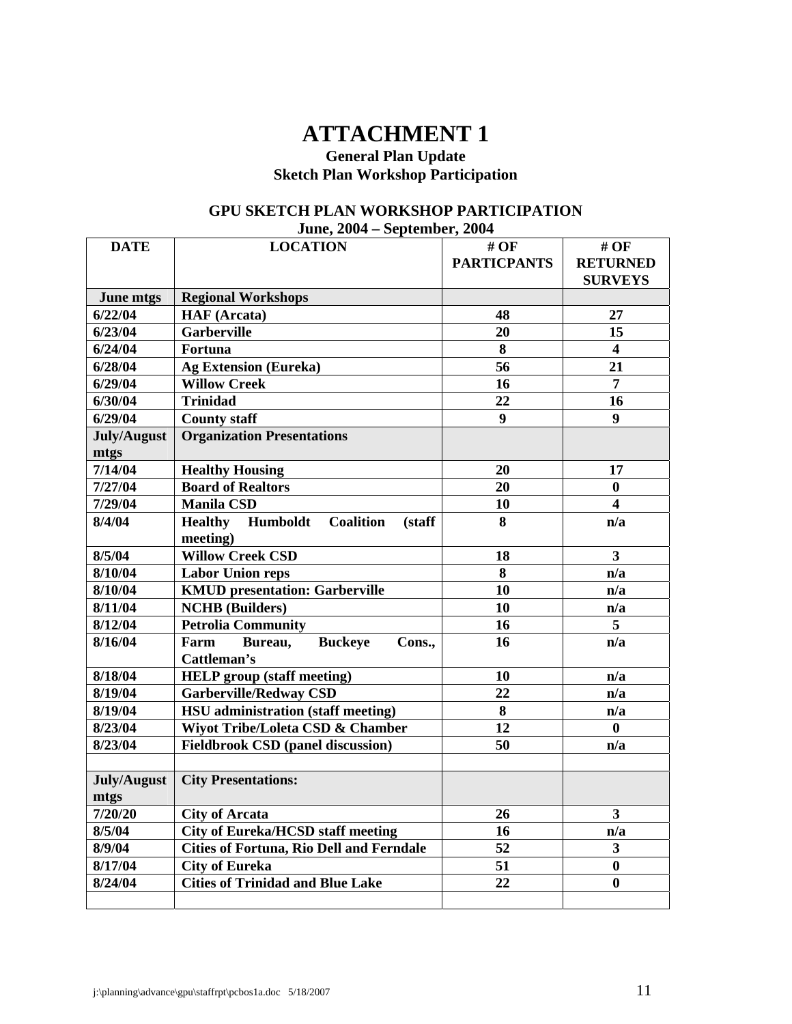# **ATTACHMENT 1**

# **General Plan Update Sketch Plan Workshop Participation**

# **GPU SKETCH PLAN WORKSHOP PARTICIPATION June, 2004 – September, 2004**

| <b>DATE</b> | <b>LOCATION</b>                                          | # OF               | # OF                    |
|-------------|----------------------------------------------------------|--------------------|-------------------------|
|             |                                                          | <b>PARTICPANTS</b> | <b>RETURNED</b>         |
|             |                                                          |                    | <b>SURVEYS</b>          |
| June mtgs   | <b>Regional Workshops</b>                                |                    |                         |
| 6/22/04     | <b>HAF</b> (Arcata)                                      | 48                 | 27                      |
| 6/23/04     | <b>Garberville</b>                                       | 20                 | 15                      |
| 6/24/04     | Fortuna                                                  | 8                  | $\overline{\mathbf{4}}$ |
| 6/28/04     | <b>Ag Extension (Eureka)</b>                             | 56                 | 21                      |
| 6/29/04     | <b>Willow Creek</b>                                      | 16                 | 7                       |
| 6/30/04     | <b>Trinidad</b>                                          | 22                 | 16                      |
| 6/29/04     | <b>County staff</b>                                      | $\boldsymbol{9}$   | 9                       |
| July/August | <b>Organization Presentations</b>                        |                    |                         |
| mtgs        |                                                          |                    |                         |
| 7/14/04     | <b>Healthy Housing</b>                                   | 20                 | 17                      |
| 7/27/04     | <b>Board of Realtors</b>                                 | 20                 | $\bf{0}$                |
| 7/29/04     | <b>Manila CSD</b>                                        | 10                 | 4                       |
| 8/4/04      | Humboldt<br><b>Healthy</b><br><b>Coalition</b><br>(staff | 8                  | n/a                     |
|             | meeting)                                                 |                    |                         |
| 8/5/04      | <b>Willow Creek CSD</b>                                  | 18                 | $\overline{\mathbf{3}}$ |
| 8/10/04     | <b>Labor Union reps</b>                                  | 8                  | n/a                     |
| 8/10/04     | <b>KMUD</b> presentation: Garberville                    | 10                 | n/a                     |
| 8/11/04     | <b>NCHB</b> (Builders)                                   | 10                 | n/a                     |
| 8/12/04     | <b>Petrolia Community</b>                                | 16                 | 5                       |
| 8/16/04     | <b>Buckeye</b><br>Farm<br>Bureau,<br>Cons.,              | 16                 | n/a                     |
|             | Cattleman's                                              |                    |                         |
| 8/18/04     | <b>HELP</b> group (staff meeting)                        | 10                 | n/a                     |
| 8/19/04     | <b>Garberville/Redway CSD</b>                            | 22                 | n/a                     |
| 8/19/04     | <b>HSU</b> administration (staff meeting)                | 8                  | n/a                     |
| 8/23/04     | Wiyot Tribe/Loleta CSD & Chamber                         | 12                 | $\bf{0}$                |
| 8/23/04     | <b>Fieldbrook CSD (panel discussion)</b>                 | 50                 | n/a                     |
|             |                                                          |                    |                         |
| July/August | <b>City Presentations:</b>                               |                    |                         |
| mtgs        |                                                          |                    |                         |
| 7/20/20     | <b>City of Arcata</b>                                    | 26                 | 3                       |
| 8/5/04      | <b>City of Eureka/HCSD staff meeting</b>                 | 16                 | n/a                     |
| 8/9/04      | <b>Cities of Fortuna, Rio Dell and Ferndale</b>          | $\overline{52}$    | 3                       |
| 8/17/04     | <b>City of Eureka</b>                                    | 51                 | $\bf{0}$                |
| 8/24/04     | <b>Cities of Trinidad and Blue Lake</b>                  | 22                 | $\bf{0}$                |
|             |                                                          |                    |                         |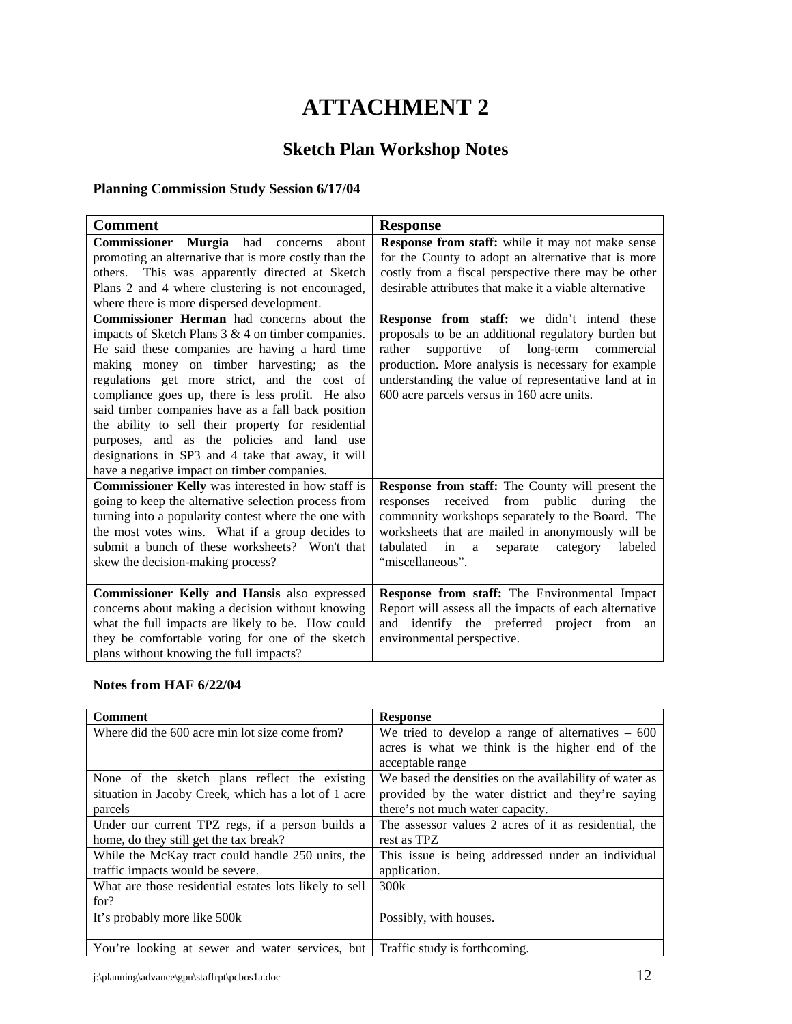# **ATTACHMENT 2**

# **Sketch Plan Workshop Notes**

# **Planning Commission Study Session 6/17/04**

| <b>Comment</b>                                                                                                                                                                                                                                                                                                                                                                                                                                                                                                                                                                                                                                                                                                                                                                                                                         | <b>Response</b>                                                                                                                                                                                                                                                                                                                                                                                                                                                                                                                               |
|----------------------------------------------------------------------------------------------------------------------------------------------------------------------------------------------------------------------------------------------------------------------------------------------------------------------------------------------------------------------------------------------------------------------------------------------------------------------------------------------------------------------------------------------------------------------------------------------------------------------------------------------------------------------------------------------------------------------------------------------------------------------------------------------------------------------------------------|-----------------------------------------------------------------------------------------------------------------------------------------------------------------------------------------------------------------------------------------------------------------------------------------------------------------------------------------------------------------------------------------------------------------------------------------------------------------------------------------------------------------------------------------------|
| Commissioner Murgia had concerns<br>about<br>promoting an alternative that is more costly than the<br>others. This was apparently directed at Sketch<br>Plans 2 and 4 where clustering is not encouraged,<br>where there is more dispersed development.<br><b>Commissioner Herman</b> had concerns about the<br>impacts of Sketch Plans $3 & 4$ on timber companies.<br>He said these companies are having a hard time<br>making money on timber harvesting; as the<br>regulations get more strict, and the cost of<br>compliance goes up, there is less profit. He also<br>said timber companies have as a fall back position<br>the ability to sell their property for residential<br>purposes, and as the policies and land use<br>designations in SP3 and 4 take that away, it will<br>have a negative impact on timber companies. | Response from staff: while it may not make sense<br>for the County to adopt an alternative that is more<br>costly from a fiscal perspective there may be other<br>desirable attributes that make it a viable alternative<br>Response from staff: we didn't intend these<br>proposals to be an additional regulatory burden but<br>rather<br>supportive of<br>long-term commercial<br>production. More analysis is necessary for example<br>understanding the value of representative land at in<br>600 acre parcels versus in 160 acre units. |
| Commissioner Kelly was interested in how staff is<br>going to keep the alternative selection process from<br>turning into a popularity contest where the one with<br>the most votes wins. What if a group decides to<br>submit a bunch of these worksheets? Won't that<br>skew the decision-making process?<br>Commissioner Kelly and Hansis also expressed                                                                                                                                                                                                                                                                                                                                                                                                                                                                            | Response from staff: The County will present the<br>responses received<br>from<br>public<br>during<br>the<br>community workshops separately to the Board. The<br>worksheets that are mailed in anonymously will be<br>tabulated in<br>separate<br>category<br>labeled<br>a<br>"miscellaneous".<br>Response from staff: The Environmental Impact                                                                                                                                                                                               |
| concerns about making a decision without knowing<br>what the full impacts are likely to be. How could<br>they be comfortable voting for one of the sketch<br>plans without knowing the full impacts?                                                                                                                                                                                                                                                                                                                                                                                                                                                                                                                                                                                                                                   | Report will assess all the impacts of each alternative<br>and identify the preferred project from<br>an<br>environmental perspective.                                                                                                                                                                                                                                                                                                                                                                                                         |

### **Notes from HAF 6/22/04**

| <b>Comment</b>                                         | <b>Response</b>                                        |
|--------------------------------------------------------|--------------------------------------------------------|
| Where did the 600 acre min lot size come from?         | We tried to develop a range of alternatives $-600$     |
|                                                        | acres is what we think is the higher end of the        |
|                                                        | acceptable range                                       |
| None of the sketch plans reflect the existing          | We based the densities on the availability of water as |
| situation in Jacoby Creek, which has a lot of 1 acre   | provided by the water district and they're saying      |
| parcels                                                | there's not much water capacity.                       |
| Under our current TPZ regs, if a person builds a       | The assessor values 2 acres of it as residential, the  |
| home, do they still get the tax break?                 | rest as TPZ                                            |
| While the McKay tract could handle 250 units, the      | This issue is being addressed under an individual      |
| traffic impacts would be severe.                       | application.                                           |
| What are those residential estates lots likely to sell | 300k                                                   |
| for?                                                   |                                                        |
| It's probably more like 500k                           | Possibly, with houses.                                 |
|                                                        |                                                        |
| You're looking at sewer and water services, but        | Traffic study is forthcoming.                          |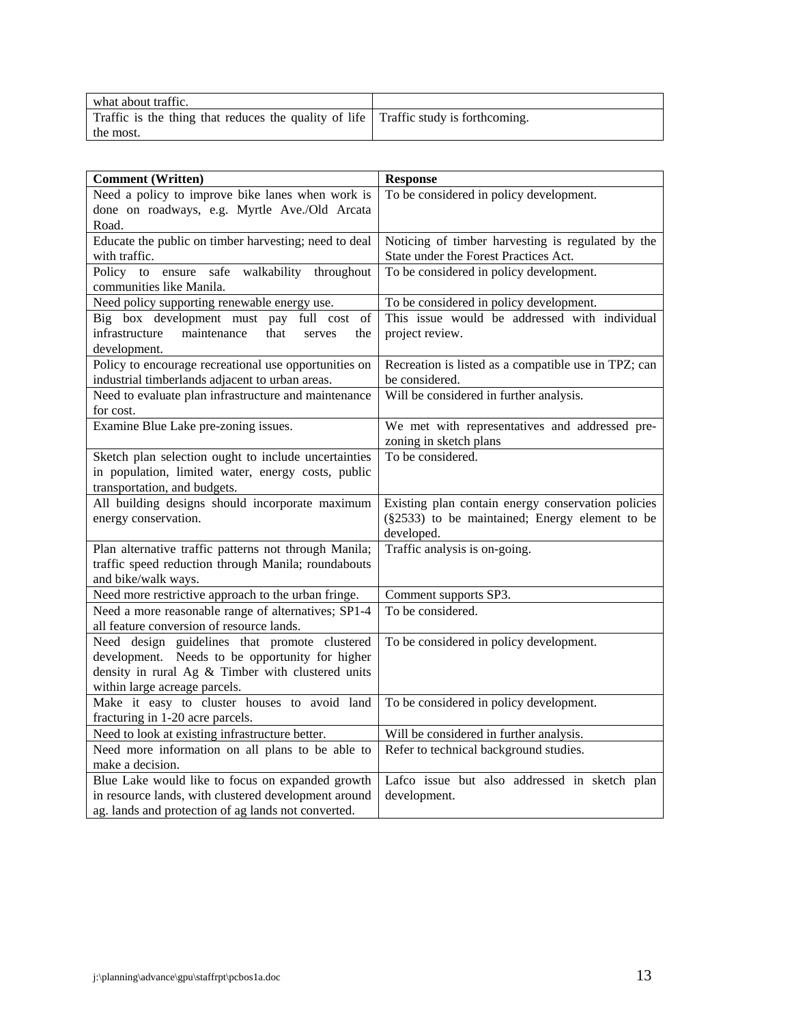| what about traffic.                                                                 |  |
|-------------------------------------------------------------------------------------|--|
| Traffic is the thing that reduces the quality of life Traffic study is forthcoming. |  |
| the most.                                                                           |  |

| <b>Comment (Written)</b>                               | <b>Response</b>                                      |
|--------------------------------------------------------|------------------------------------------------------|
| Need a policy to improve bike lanes when work is       | To be considered in policy development.              |
| done on roadways, e.g. Myrtle Ave./Old Arcata          |                                                      |
| Road.                                                  |                                                      |
| Educate the public on timber harvesting; need to deal  | Noticing of timber harvesting is regulated by the    |
| with traffic.                                          | State under the Forest Practices Act.                |
| ensure safe walkability<br>Policy to<br>throughout     | To be considered in policy development.              |
| communities like Manila.                               |                                                      |
| Need policy supporting renewable energy use.           | To be considered in policy development.              |
| Big box development must pay full cost<br>of           | This issue would be addressed with individual        |
| infrastructure<br>maintenance<br>that<br>serves<br>the | project review.                                      |
| development.                                           |                                                      |
| Policy to encourage recreational use opportunities on  | Recreation is listed as a compatible use in TPZ; can |
| industrial timberlands adjacent to urban areas.        | be considered.                                       |
| Need to evaluate plan infrastructure and maintenance   | Will be considered in further analysis.              |
| for cost.                                              |                                                      |
| Examine Blue Lake pre-zoning issues.                   | We met with representatives and addressed pre-       |
|                                                        | zoning in sketch plans                               |
| Sketch plan selection ought to include uncertainties   | To be considered.                                    |
| in population, limited water, energy costs, public     |                                                      |
| transportation, and budgets.                           |                                                      |
| All building designs should incorporate maximum        | Existing plan contain energy conservation policies   |
| energy conservation.                                   | (§2533) to be maintained; Energy element to be       |
| Plan alternative traffic patterns not through Manila;  | developed.<br>Traffic analysis is on-going.          |
| traffic speed reduction through Manila; roundabouts    |                                                      |
| and bike/walk ways.                                    |                                                      |
| Need more restrictive approach to the urban fringe.    | Comment supports SP3.                                |
| Need a more reasonable range of alternatives; SP1-4    | To be considered.                                    |
| all feature conversion of resource lands.              |                                                      |
| Need design guidelines that promote clustered          | To be considered in policy development.              |
| development. Needs to be opportunity for higher        |                                                      |
| density in rural Ag & Timber with clustered units      |                                                      |
| within large acreage parcels.                          |                                                      |
| Make it easy to cluster houses to avoid land           | To be considered in policy development.              |
| fracturing in 1-20 acre parcels.                       |                                                      |
| Need to look at existing infrastructure better.        | Will be considered in further analysis.              |
| Need more information on all plans to be able to       | Refer to technical background studies.               |
| make a decision.                                       |                                                      |
| Blue Lake would like to focus on expanded growth       | Lafco issue but also addressed in sketch plan        |
| in resource lands, with clustered development around   | development.                                         |
| ag. lands and protection of ag lands not converted.    |                                                      |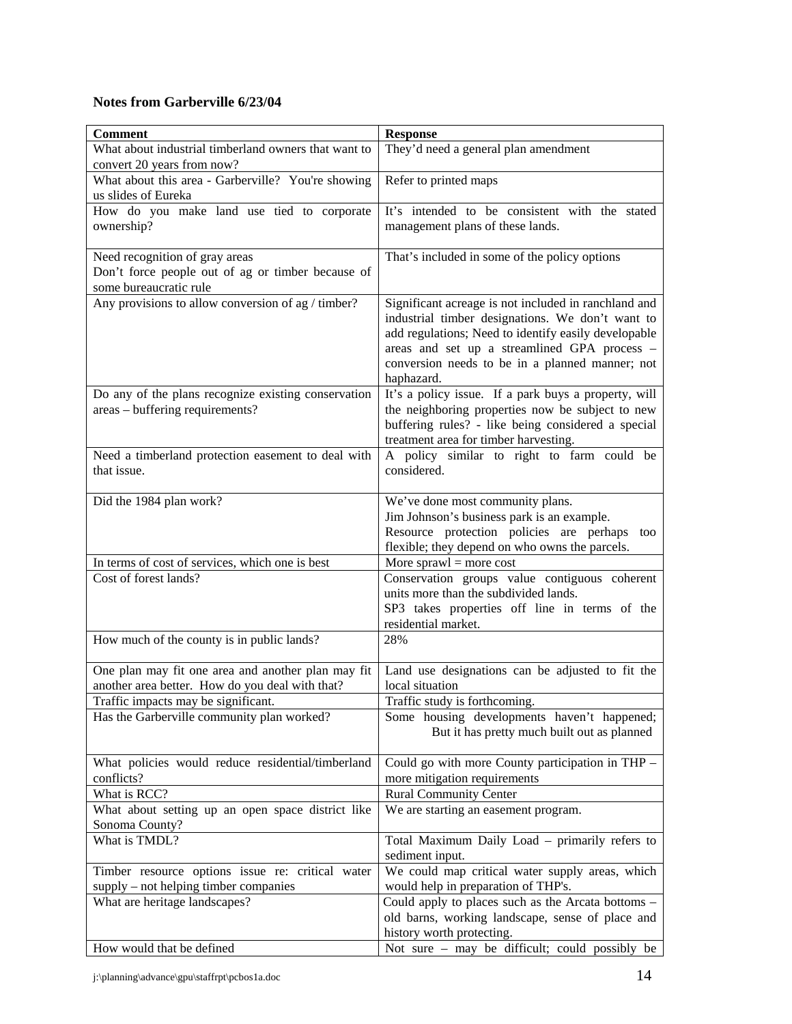# **Notes from Garberville 6/23/04**

| <b>Comment</b>                                       | <b>Response</b>                                                                                        |
|------------------------------------------------------|--------------------------------------------------------------------------------------------------------|
| What about industrial timberland owners that want to | They'd need a general plan amendment                                                                   |
| convert 20 years from now?                           |                                                                                                        |
| What about this area - Garberville? You're showing   | Refer to printed maps                                                                                  |
| us slides of Eureka                                  |                                                                                                        |
| How do you make land use tied to corporate           | It's intended to be consistent with the stated                                                         |
| ownership?                                           | management plans of these lands.                                                                       |
| Need recognition of gray areas                       | That's included in some of the policy options                                                          |
| Don't force people out of ag or timber because of    |                                                                                                        |
| some bureaucratic rule                               |                                                                                                        |
| Any provisions to allow conversion of ag / timber?   | Significant acreage is not included in ranchland and                                                   |
|                                                      | industrial timber designations. We don't want to                                                       |
|                                                      | add regulations; Need to identify easily developable                                                   |
|                                                      | areas and set up a streamlined GPA process -                                                           |
|                                                      | conversion needs to be in a planned manner; not                                                        |
| Do any of the plans recognize existing conservation  | haphazard.<br>It's a policy issue. If a park buys a property, will                                     |
| areas - buffering requirements?                      | the neighboring properties now be subject to new                                                       |
|                                                      | buffering rules? - like being considered a special                                                     |
|                                                      | treatment area for timber harvesting.                                                                  |
| Need a timberland protection easement to deal with   | A policy similar to right to farm could be                                                             |
| that issue.                                          | considered.                                                                                            |
|                                                      |                                                                                                        |
| Did the 1984 plan work?                              | We've done most community plans.                                                                       |
|                                                      | Jim Johnson's business park is an example.<br>Resource protection policies are perhaps too             |
|                                                      | flexible; they depend on who owns the parcels.                                                         |
| In terms of cost of services, which one is best      | More sprawl = more cost                                                                                |
| Cost of forest lands?                                | Conservation groups value contiguous coherent                                                          |
|                                                      | units more than the subdivided lands.                                                                  |
|                                                      | SP3 takes properties off line in terms of the                                                          |
|                                                      | residential market.                                                                                    |
| How much of the county is in public lands?           | 28%                                                                                                    |
| One plan may fit one area and another plan may fit   | Land use designations can be adjusted to fit the                                                       |
| another area better. How do you deal with that?      | local situation                                                                                        |
| Traffic impacts may be significant.                  | Traffic study is forthcoming.                                                                          |
| Has the Garberville community plan worked?           | Some housing developments haven't happened;                                                            |
|                                                      | But it has pretty much built out as planned                                                            |
| What policies would reduce residential/timberland    | Could go with more County participation in THP -                                                       |
| conflicts?                                           | more mitigation requirements                                                                           |
| What is RCC?                                         | <b>Rural Community Center</b>                                                                          |
| What about setting up an open space district like    | We are starting an easement program.                                                                   |
| Sonoma County?                                       |                                                                                                        |
| What is TMDL?                                        | Total Maximum Daily Load - primarily refers to                                                         |
|                                                      | sediment input.                                                                                        |
| Timber resource options issue re: critical water     | We could map critical water supply areas, which                                                        |
| supply – not helping timber companies                | would help in preparation of THP's.                                                                    |
| What are heritage landscapes?                        | Could apply to places such as the Arcata bottoms -<br>old barns, working landscape, sense of place and |
|                                                      | history worth protecting.                                                                              |
| How would that be defined                            | Not sure - may be difficult; could possibly be                                                         |
|                                                      |                                                                                                        |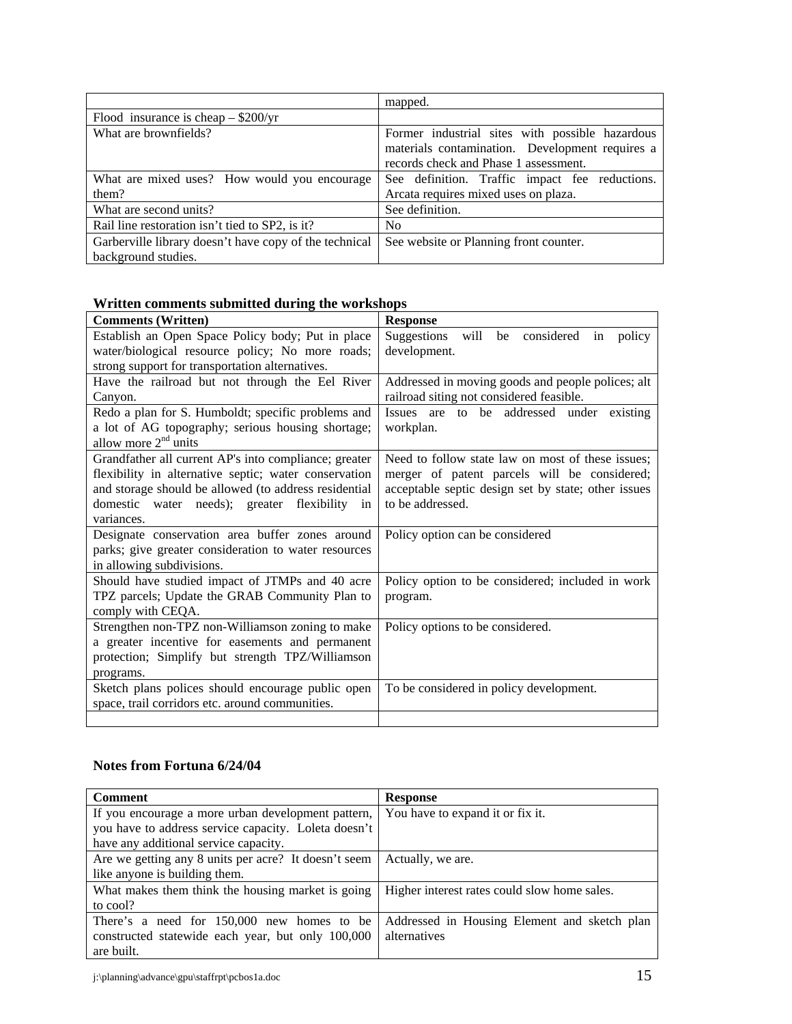|                                                        | mapped.                                         |
|--------------------------------------------------------|-------------------------------------------------|
| Flood insurance is cheap $-$ \$200/yr                  |                                                 |
| What are brownfields?                                  | Former industrial sites with possible hazardous |
|                                                        | materials contamination. Development requires a |
|                                                        | records check and Phase 1 assessment.           |
| What are mixed uses? How would you encourage           | See definition. Traffic impact fee reductions.  |
| them?                                                  | Arcata requires mixed uses on plaza.            |
| What are second units?                                 | See definition.                                 |
| Rail line restoration isn't tied to SP2, is it?        | No.                                             |
| Garberville library doesn't have copy of the technical | See website or Planning front counter.          |
| background studies.                                    |                                                 |

# **Written comments submitted during the workshops**

| <b>Comments (Written)</b>                             | <b>Response</b>                                     |
|-------------------------------------------------------|-----------------------------------------------------|
| Establish an Open Space Policy body; Put in place     | Suggestions<br>be considered in<br>will<br>policy   |
| water/biological resource policy; No more roads;      | development.                                        |
| strong support for transportation alternatives.       |                                                     |
| Have the railroad but not through the Eel River       | Addressed in moving goods and people polices; alt   |
| Canyon.                                               | railroad siting not considered feasible.            |
| Redo a plan for S. Humboldt; specific problems and    | Issues are to be addressed under existing           |
| a lot of AG topography; serious housing shortage;     | workplan.                                           |
| allow more $2nd$ units                                |                                                     |
| Grandfather all current AP's into compliance; greater | Need to follow state law on most of these issues;   |
| flexibility in alternative septic; water conservation | merger of patent parcels will be considered;        |
| and storage should be allowed (to address residential | acceptable septic design set by state; other issues |
| domestic water needs); greater flexibility in         | to be addressed.                                    |
| variances.                                            |                                                     |
| Designate conservation area buffer zones around       | Policy option can be considered                     |
| parks; give greater consideration to water resources  |                                                     |
| in allowing subdivisions.                             |                                                     |
| Should have studied impact of JTMPs and 40 acre       | Policy option to be considered; included in work    |
| TPZ parcels; Update the GRAB Community Plan to        | program.                                            |
| comply with CEQA.                                     |                                                     |
| Strengthen non-TPZ non-Williamson zoning to make      | Policy options to be considered.                    |
| a greater incentive for easements and permanent       |                                                     |
| protection; Simplify but strength TPZ/Williamson      |                                                     |
| programs.                                             |                                                     |
| Sketch plans polices should encourage public open     | To be considered in policy development.             |
| space, trail corridors etc. around communities.       |                                                     |
|                                                       |                                                     |

# **Notes from Fortuna 6/24/04**

| <b>Comment</b>                                       | <b>Response</b>                              |
|------------------------------------------------------|----------------------------------------------|
| If you encourage a more urban development pattern,   | You have to expand it or fix it.             |
| you have to address service capacity. Loleta doesn't |                                              |
| have any additional service capacity.                |                                              |
| Are we getting any 8 units per acre? It doesn't seem | Actually, we are.                            |
| like anyone is building them.                        |                                              |
| What makes them think the housing market is going    | Higher interest rates could slow home sales. |
| to cool?                                             |                                              |
| There's a need for 150,000 new homes to be           | Addressed in Housing Element and sketch plan |
| constructed statewide each year, but only 100,000    | alternatives                                 |
| are built.                                           |                                              |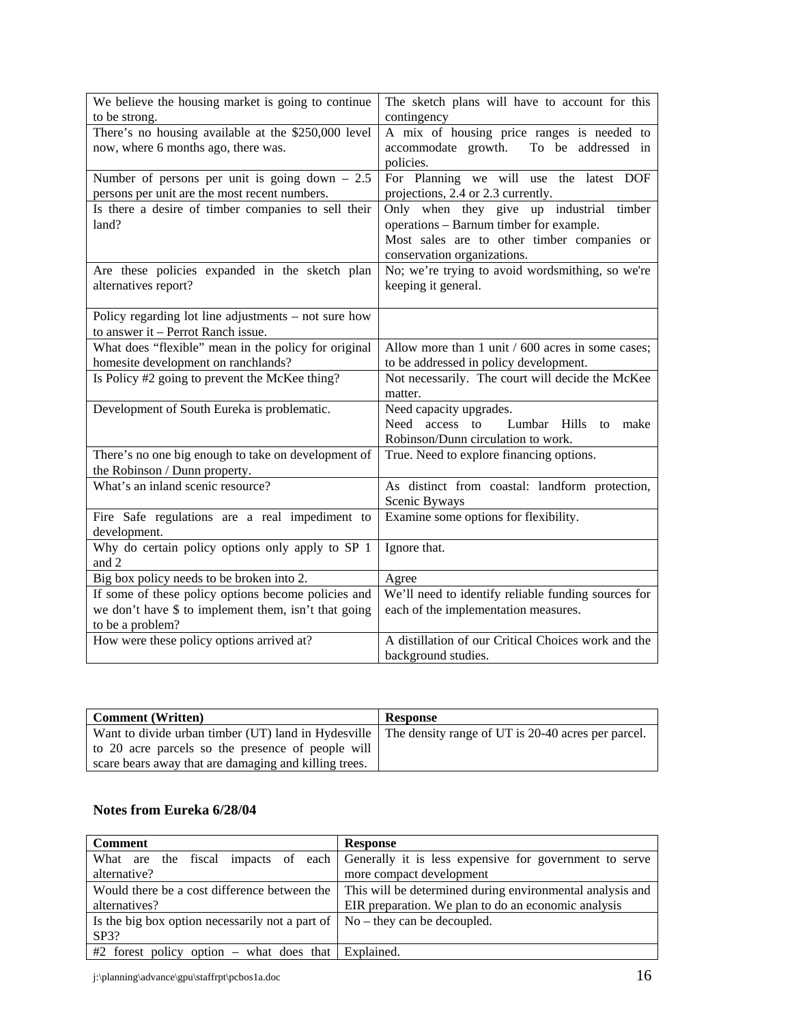| We believe the housing market is going to continue        | The sketch plans will have to account for this        |
|-----------------------------------------------------------|-------------------------------------------------------|
| to be strong.                                             | contingency                                           |
| There's no housing available at the \$250,000 level       | A mix of housing price ranges is needed to            |
| now, where 6 months ago, there was.                       | accommodate growth.<br>To be addressed in             |
|                                                           | policies.                                             |
| Number of persons per unit is going down $-2.5$           | For Planning we will use the latest DOF               |
| persons per unit are the most recent numbers.             | projections, 2.4 or 2.3 currently.                    |
| Is there a desire of timber companies to sell their       | Only when they give up industrial<br>timber           |
| land?                                                     | operations - Barnum timber for example.               |
|                                                           | Most sales are to other timber companies or           |
|                                                           | conservation organizations.                           |
| Are these policies expanded in the sketch plan            | No; we're trying to avoid wordsmithing, so we're      |
| alternatives report?                                      | keeping it general.                                   |
|                                                           |                                                       |
| Policy regarding lot line adjustments – not sure how      |                                                       |
| to answer it - Perrot Ranch issue.                        |                                                       |
| What does "flexible" mean in the policy for original      | Allow more than $1$ unit $/$ 600 acres in some cases; |
| homesite development on ranchlands?                       | to be addressed in policy development.                |
| Is Policy #2 going to prevent the McKee thing?            | Not necessarily. The court will decide the McKee      |
|                                                           | matter.                                               |
| Development of South Eureka is problematic.               | Need capacity upgrades.                               |
|                                                           | access to<br>Lumbar Hills<br>Need<br>to make          |
|                                                           | Robinson/Dunn circulation to work.                    |
| There's no one big enough to take on development of       | True. Need to explore financing options.              |
| the Robinson / Dunn property.                             |                                                       |
| What's an inland scenic resource?                         | As distinct from coastal: landform protection,        |
|                                                           | Scenic Byways                                         |
| Fire Safe regulations are a real impediment to            | Examine some options for flexibility.                 |
| development.                                              |                                                       |
| Why do certain policy options only apply to SP 1<br>and 2 | Ignore that.                                          |
| Big box policy needs to be broken into 2.                 | Agree                                                 |
| If some of these policy options become policies and       | We'll need to identify reliable funding sources for   |
| we don't have \$ to implement them, isn't that going      | each of the implementation measures.                  |
| to be a problem?                                          |                                                       |
| How were these policy options arrived at?                 | A distillation of our Critical Choices work and the   |
|                                                           | background studies.                                   |

| <b>Comment</b> (Written)                                                                                 | <b>Response</b> |
|----------------------------------------------------------------------------------------------------------|-----------------|
| Want to divide urban timber (UT) land in Hydesville   The density range of UT is 20-40 acres per parcel. |                 |
| to 20 acre parcels so the presence of people will                                                        |                 |
| scare bears away that are damaging and killing trees.                                                    |                 |

# **Notes from Eureka 6/28/04**

| <b>Comment</b>                                                                      | <b>Response</b>                                                                                        |
|-------------------------------------------------------------------------------------|--------------------------------------------------------------------------------------------------------|
|                                                                                     | What are the fiscal impacts of each Generally it is less expensive for government to serve             |
| alternative?                                                                        | more compact development                                                                               |
|                                                                                     | Would there be a cost difference between the This will be determined during environmental analysis and |
| alternatives?                                                                       | EIR preparation. We plan to do an economic analysis                                                    |
| Is the big box option necessarily not a part of $\vert$ No – they can be decoupled. |                                                                                                        |
| SP3?                                                                                |                                                                                                        |
| $#2$ forest policy option – what does that Explained.                               |                                                                                                        |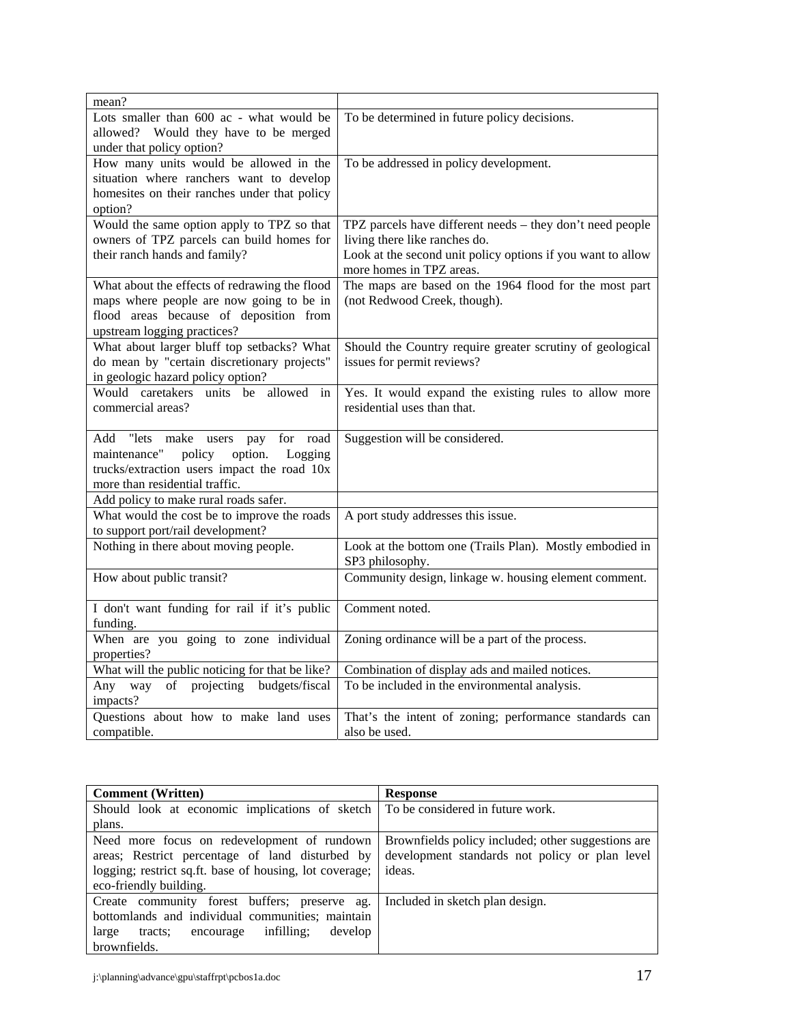| mean?                                            |                                                             |
|--------------------------------------------------|-------------------------------------------------------------|
| Lots smaller than 600 ac - what would be         | To be determined in future policy decisions.                |
| allowed?<br>Would they have to be merged         |                                                             |
| under that policy option?                        |                                                             |
| How many units would be allowed in the           | To be addressed in policy development.                      |
| situation where ranchers want to develop         |                                                             |
| homesites on their ranches under that policy     |                                                             |
| option?                                          |                                                             |
| Would the same option apply to TPZ so that       | TPZ parcels have different needs - they don't need people   |
| owners of TPZ parcels can build homes for        | living there like ranches do.                               |
| their ranch hands and family?                    | Look at the second unit policy options if you want to allow |
|                                                  | more homes in TPZ areas.                                    |
| What about the effects of redrawing the flood    | The maps are based on the 1964 flood for the most part      |
| maps where people are now going to be in         | (not Redwood Creek, though).                                |
| flood areas because of deposition from           |                                                             |
| upstream logging practices?                      |                                                             |
| What about larger bluff top setbacks? What       | Should the Country require greater scrutiny of geological   |
| do mean by "certain discretionary projects"      | issues for permit reviews?                                  |
| in geologic hazard policy option?                |                                                             |
| Would caretakers units be allowed in             | Yes. It would expand the existing rules to allow more       |
| commercial areas?                                | residential uses than that.                                 |
|                                                  |                                                             |
| Add "lets<br>make<br>for<br>road<br>users<br>pay | Suggestion will be considered.                              |
| maintenance"<br>policy<br>option.<br>Logging     |                                                             |
| trucks/extraction users impact the road 10x      |                                                             |
| more than residential traffic.                   |                                                             |
| Add policy to make rural roads safer.            |                                                             |
| What would the cost be to improve the roads      | A port study addresses this issue.                          |
| to support port/rail development?                |                                                             |
| Nothing in there about moving people.            | Look at the bottom one (Trails Plan). Mostly embodied in    |
|                                                  | SP3 philosophy.                                             |
| How about public transit?                        | Community design, linkage w. housing element comment.       |
|                                                  |                                                             |
| I don't want funding for rail if it's public     | Comment noted.                                              |
| funding.                                         |                                                             |
| When are you going to zone individual            | Zoning ordinance will be a part of the process.             |
| properties?                                      |                                                             |
| What will the public noticing for that be like?  | Combination of display ads and mailed notices.              |
| Any way<br>of projecting budgets/fiscal          | To be included in the environmental analysis.               |
| impacts?                                         |                                                             |
| Questions about how to make land uses            | That's the intent of zoning; performance standards can      |
| compatible.                                      | also be used.                                               |

| <b>Comment</b> (Written)                                | <b>Response</b>                                    |
|---------------------------------------------------------|----------------------------------------------------|
| Should look at economic implications of sketch          | To be considered in future work.                   |
| plans.                                                  |                                                    |
| Need more focus on redevelopment of rundown             | Brownfields policy included; other suggestions are |
| areas; Restrict percentage of land disturbed by         | development standards not policy or plan level     |
| logging; restrict sq.ft. base of housing, lot coverage; | ideas.                                             |
| eco-friendly building.                                  |                                                    |
| Create community forest buffers; preserve ag.           | Included in sketch plan design.                    |
| bottomlands and individual communities; maintain        |                                                    |
| infilling;<br>develop<br>large<br>encourage<br>tracts:  |                                                    |
| brownfields.                                            |                                                    |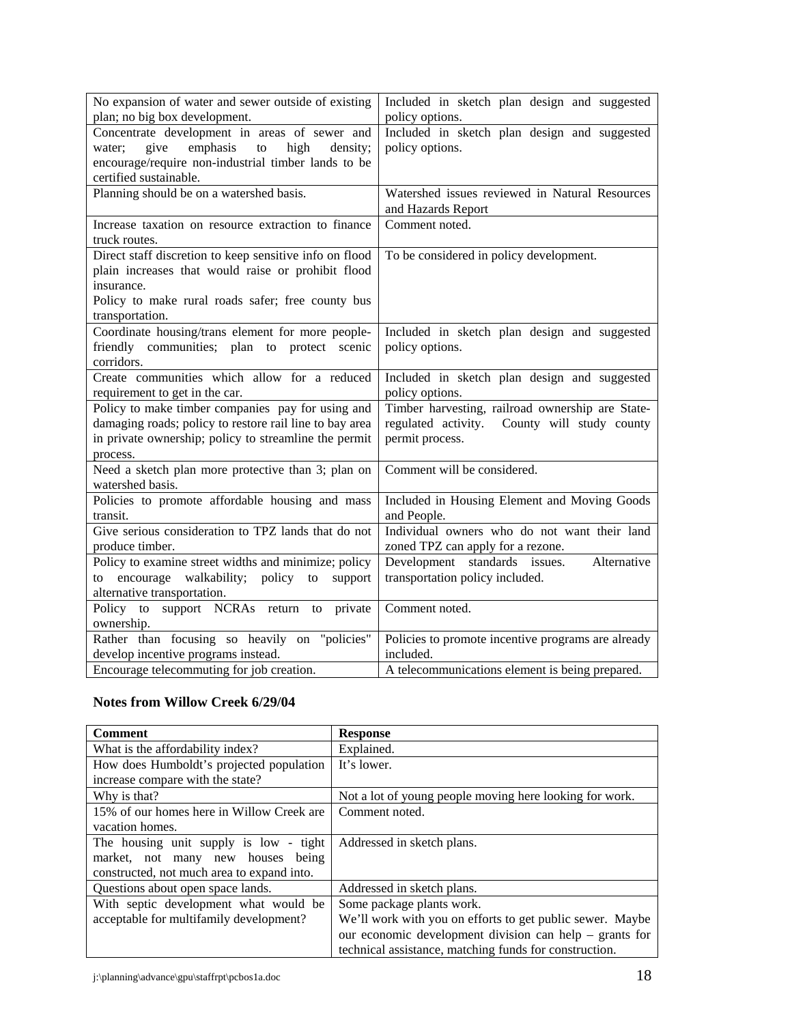| No expansion of water and sewer outside of existing     | Included in sketch plan design and suggested                         |
|---------------------------------------------------------|----------------------------------------------------------------------|
| plan; no big box development.                           | policy options.                                                      |
| Concentrate development in areas of sewer and           | Included in sketch plan design and suggested                         |
| emphasis<br>give<br>to<br>high<br>density;<br>water;    | policy options.                                                      |
| encourage/require non-industrial timber lands to be     |                                                                      |
| certified sustainable.                                  |                                                                      |
| Planning should be on a watershed basis.                | Watershed issues reviewed in Natural Resources<br>and Hazards Report |
| Increase taxation on resource extraction to finance     | Comment noted.                                                       |
| truck routes.                                           |                                                                      |
| Direct staff discretion to keep sensitive info on flood | To be considered in policy development.                              |
| plain increases that would raise or prohibit flood      |                                                                      |
| insurance.                                              |                                                                      |
| Policy to make rural roads safer; free county bus       |                                                                      |
| transportation.                                         |                                                                      |
| Coordinate housing/trans element for more people-       | Included in sketch plan design and suggested                         |
| friendly communities; plan to protect scenic            | policy options.                                                      |
| corridors.                                              |                                                                      |
| Create communities which allow for a reduced            | Included in sketch plan design and suggested                         |
| requirement to get in the car.                          | policy options.                                                      |
| Policy to make timber companies pay for using and       | Timber harvesting, railroad ownership are State-                     |
| damaging roads; policy to restore rail line to bay area | regulated activity. County will study county                         |
| in private ownership; policy to streamline the permit   | permit process.                                                      |
| process.                                                |                                                                      |
| Need a sketch plan more protective than 3; plan on      | Comment will be considered.                                          |
| watershed basis.                                        |                                                                      |
| Policies to promote affordable housing and mass         | Included in Housing Element and Moving Goods                         |
| transit.                                                | and People.                                                          |
| Give serious consideration to TPZ lands that do not     | Individual owners who do not want their land                         |
| produce timber.                                         | zoned TPZ can apply for a rezone.                                    |
| Policy to examine street widths and minimize; policy    | Development standards issues.<br>Alternative                         |
| to encourage<br>walkability; policy<br>support<br>to    | transportation policy included.                                      |
| alternative transportation.                             |                                                                      |
| Policy to support NCRAs return to private               | Comment noted.                                                       |
| ownership.                                              |                                                                      |
| Rather than focusing so heavily on "policies"           | Policies to promote incentive programs are already                   |
| develop incentive programs instead.                     | included.                                                            |
| Encourage telecommuting for job creation.               | A telecommunications element is being prepared.                      |

# **Notes from Willow Creek 6/29/04**

| <b>Comment</b>                             | <b>Response</b>                                           |
|--------------------------------------------|-----------------------------------------------------------|
| What is the affordability index?           | Explained.                                                |
| How does Humboldt's projected population   | It's lower.                                               |
| increase compare with the state?           |                                                           |
| Why is that?                               | Not a lot of young people moving here looking for work.   |
| 15% of our homes here in Willow Creek are  | Comment noted.                                            |
| vacation homes.                            |                                                           |
| The housing unit supply is low - tight     | Addressed in sketch plans.                                |
| market, not many new houses being          |                                                           |
| constructed, not much area to expand into. |                                                           |
| Questions about open space lands.          | Addressed in sketch plans.                                |
| With septic development what would be      | Some package plants work.                                 |
| acceptable for multifamily development?    | We'll work with you on efforts to get public sewer. Maybe |
|                                            | our economic development division can help $-$ grants for |
|                                            | technical assistance, matching funds for construction.    |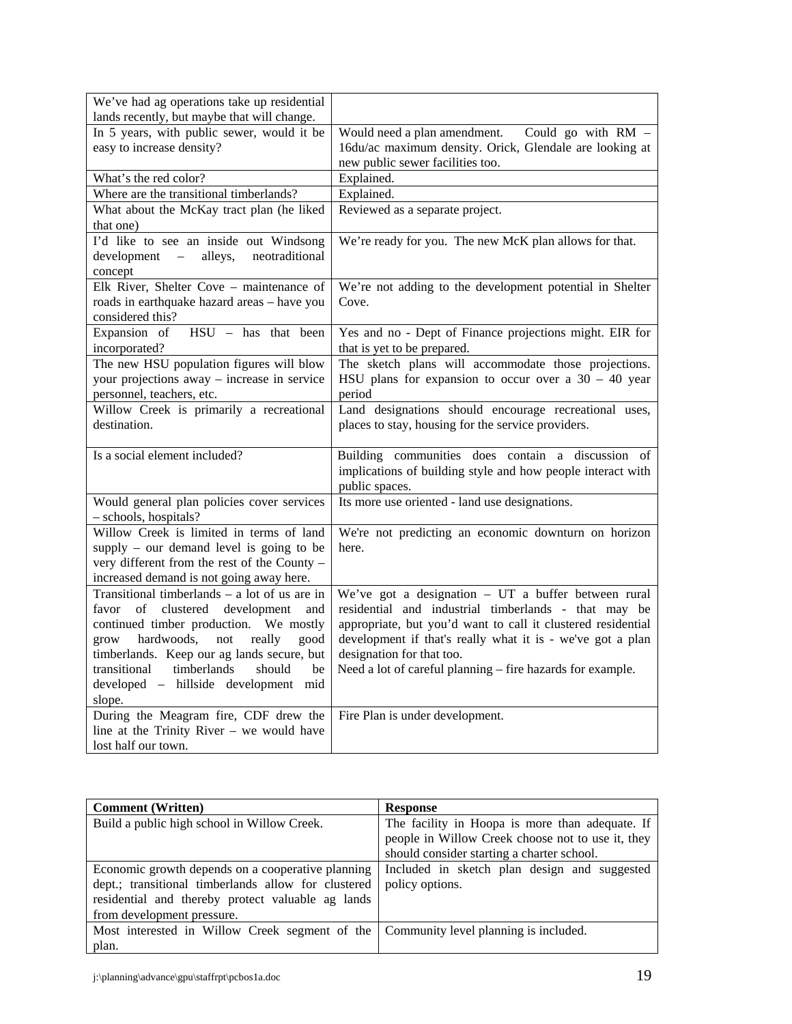| We've had ag operations take up residential        |                                                              |
|----------------------------------------------------|--------------------------------------------------------------|
| lands recently, but maybe that will change.        |                                                              |
| In 5 years, with public sewer, would it be         | Would need a plan amendment.<br>Could go with RM -           |
| easy to increase density?                          | 16du/ac maximum density. Orick, Glendale are looking at      |
|                                                    | new public sewer facilities too.                             |
| What's the red color?                              | Explained.                                                   |
| Where are the transitional timberlands?            | Explained.                                                   |
| What about the McKay tract plan (he liked          | Reviewed as a separate project.                              |
| that one)                                          |                                                              |
| I'd like to see an inside out Windsong             | We're ready for you. The new McK plan allows for that.       |
| neotraditional<br>alleys,<br>development<br>$\sim$ |                                                              |
| concept                                            |                                                              |
| Elk River, Shelter Cove - maintenance of           | We're not adding to the development potential in Shelter     |
| roads in earthquake hazard areas - have you        | Cove.                                                        |
| considered this?                                   |                                                              |
| Expansion of<br>HSU - has that been                | Yes and no - Dept of Finance projections might. EIR for      |
| incorporated?                                      | that is yet to be prepared.                                  |
| The new HSU population figures will blow           | The sketch plans will accommodate those projections.         |
| your projections away – increase in service        | HSU plans for expansion to occur over a $30 - 40$ year       |
| personnel, teachers, etc.                          | period                                                       |
| Willow Creek is primarily a recreational           | Land designations should encourage recreational uses,        |
| destination.                                       | places to stay, housing for the service providers.           |
|                                                    |                                                              |
| Is a social element included?                      | Building communities does contain a discussion of            |
|                                                    | implications of building style and how people interact with  |
|                                                    | public spaces.                                               |
| Would general plan policies cover services         | Its more use oriented - land use designations.               |
| - schools, hospitals?                              |                                                              |
| Willow Creek is limited in terms of land           | We're not predicting an economic downturn on horizon         |
| supply – our demand level is going to be           |                                                              |
|                                                    | here.                                                        |
| very different from the rest of the County -       |                                                              |
| increased demand is not going away here.           |                                                              |
| Transitional timberlands $-$ a lot of us are in    | We've got a designation $-$ UT a buffer between rural        |
| favor of clustered development<br>and              | residential and industrial timberlands - that may be         |
| continued timber production. We mostly             | appropriate, but you'd want to call it clustered residential |
| hardwoods,<br>really<br>grow<br>not<br>good        | development if that's really what it is - we've got a plan   |
| timberlands. Keep our ag lands secure, but         | designation for that too.                                    |
| transitional<br>timberlands<br>should<br>be        | Need a lot of careful planning - fire hazards for example.   |
| developed - hillside development mid               |                                                              |
| slope.                                             |                                                              |
| During the Meagram fire, CDF drew the              | Fire Plan is under development.                              |
| line at the Trinity River $-$ we would have        |                                                              |

| <b>Comment</b> (Written)                                                             | <b>Response</b>                                   |
|--------------------------------------------------------------------------------------|---------------------------------------------------|
| Build a public high school in Willow Creek.                                          | The facility in Hoopa is more than adequate. If   |
|                                                                                      | people in Willow Creek choose not to use it, they |
|                                                                                      | should consider starting a charter school.        |
| Economic growth depends on a cooperative planning                                    | Included in sketch plan design and suggested      |
| dept.; transitional timberlands allow for clustered                                  | policy options.                                   |
| residential and thereby protect valuable ag lands                                    |                                                   |
| from development pressure.                                                           |                                                   |
| Most interested in Willow Creek segment of the Community level planning is included. |                                                   |
| plan.                                                                                |                                                   |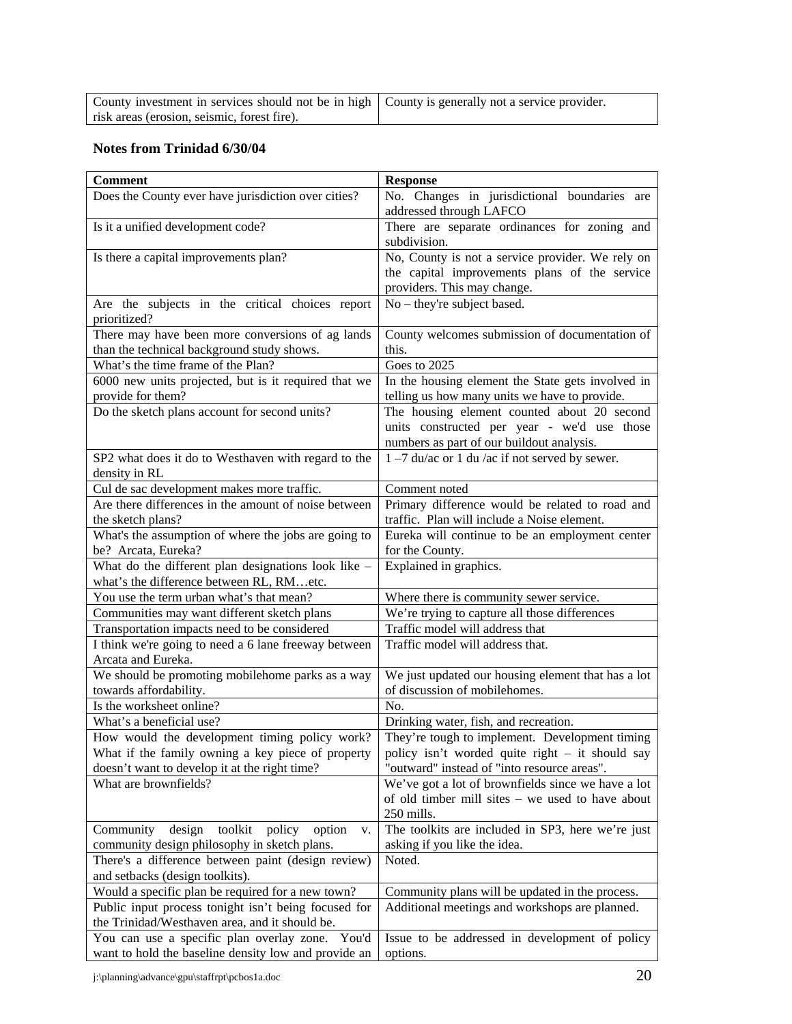| County investment in services should not be in high   County is generally not a service provider. |  |
|---------------------------------------------------------------------------------------------------|--|
| risk areas (erosion, seismic, forest fire).                                                       |  |

# **Notes from Trinidad 6/30/04**

| <b>Comment</b>                                                                                  | <b>Response</b>                                                                          |
|-------------------------------------------------------------------------------------------------|------------------------------------------------------------------------------------------|
| Does the County ever have jurisdiction over cities?                                             | No. Changes in jurisdictional boundaries are                                             |
|                                                                                                 | addressed through LAFCO                                                                  |
| Is it a unified development code?                                                               | There are separate ordinances for zoning and                                             |
|                                                                                                 | subdivision.                                                                             |
| Is there a capital improvements plan?                                                           | No, County is not a service provider. We rely on                                         |
|                                                                                                 | the capital improvements plans of the service                                            |
|                                                                                                 | providers. This may change.                                                              |
| Are the subjects in the critical choices report                                                 | No – they're subject based.                                                              |
| prioritized?                                                                                    |                                                                                          |
| There may have been more conversions of ag lands                                                | County welcomes submission of documentation of                                           |
| than the technical background study shows.                                                      | this.                                                                                    |
| What's the time frame of the Plan?                                                              | Goes to 2025                                                                             |
| 6000 new units projected, but is it required that we                                            | In the housing element the State gets involved in                                        |
| provide for them?                                                                               | telling us how many units we have to provide.                                            |
| Do the sketch plans account for second units?                                                   | The housing element counted about 20 second                                              |
|                                                                                                 | units constructed per year - we'd use those                                              |
|                                                                                                 | numbers as part of our buildout analysis.                                                |
| SP2 what does it do to Westhaven with regard to the                                             | $1 - 7$ du/ac or 1 du/ac if not served by sewer.                                         |
| density in RL                                                                                   |                                                                                          |
| Cul de sac development makes more traffic.                                                      | Comment noted                                                                            |
| Are there differences in the amount of noise between                                            | Primary difference would be related to road and                                          |
| the sketch plans?                                                                               | traffic. Plan will include a Noise element.                                              |
| What's the assumption of where the jobs are going to                                            | Eureka will continue to be an employment center                                          |
| be? Arcata, Eureka?                                                                             | for the County.                                                                          |
| What do the different plan designations look like -<br>what's the difference between RL, RMetc. | Explained in graphics.                                                                   |
| You use the term urban what's that mean?                                                        |                                                                                          |
| Communities may want different sketch plans                                                     | Where there is community sewer service.<br>We're trying to capture all those differences |
| Transportation impacts need to be considered                                                    | Traffic model will address that                                                          |
| I think we're going to need a 6 lane freeway between                                            | Traffic model will address that.                                                         |
| Arcata and Eureka.                                                                              |                                                                                          |
| We should be promoting mobilehome parks as a way                                                | We just updated our housing element that has a lot                                       |
| towards affordability.                                                                          | of discussion of mobilehomes.                                                            |
| Is the worksheet online?                                                                        | No.                                                                                      |
| What's a beneficial use?                                                                        | Drinking water, fish, and recreation.                                                    |
| How would the development timing policy work?                                                   | They're tough to implement. Development timing                                           |
| What if the family owning a key piece of property                                               | policy isn't worded quite right – it should say                                          |
| doesn't want to develop it at the right time?                                                   | "outward" instead of "into resource areas".                                              |
| What are brownfields?                                                                           | We've got a lot of brownfields since we have a lot                                       |
|                                                                                                 | of old timber mill sites – we used to have about                                         |
|                                                                                                 | 250 mills.                                                                               |
| Community<br>design<br>toolkit<br>policy<br>option<br>v.                                        | The toolkits are included in SP3, here we're just                                        |
| community design philosophy in sketch plans.                                                    | asking if you like the idea.                                                             |
| There's a difference between paint (design review)                                              | Noted.                                                                                   |
| and setbacks (design toolkits).                                                                 |                                                                                          |
| Would a specific plan be required for a new town?                                               | Community plans will be updated in the process.                                          |
| Public input process tonight isn't being focused for                                            | Additional meetings and workshops are planned.                                           |
| the Trinidad/Westhaven area, and it should be.                                                  |                                                                                          |
| You can use a specific plan overlay zone.<br>You'd                                              | Issue to be addressed in development of policy                                           |
| want to hold the baseline density low and provide an                                            | options.                                                                                 |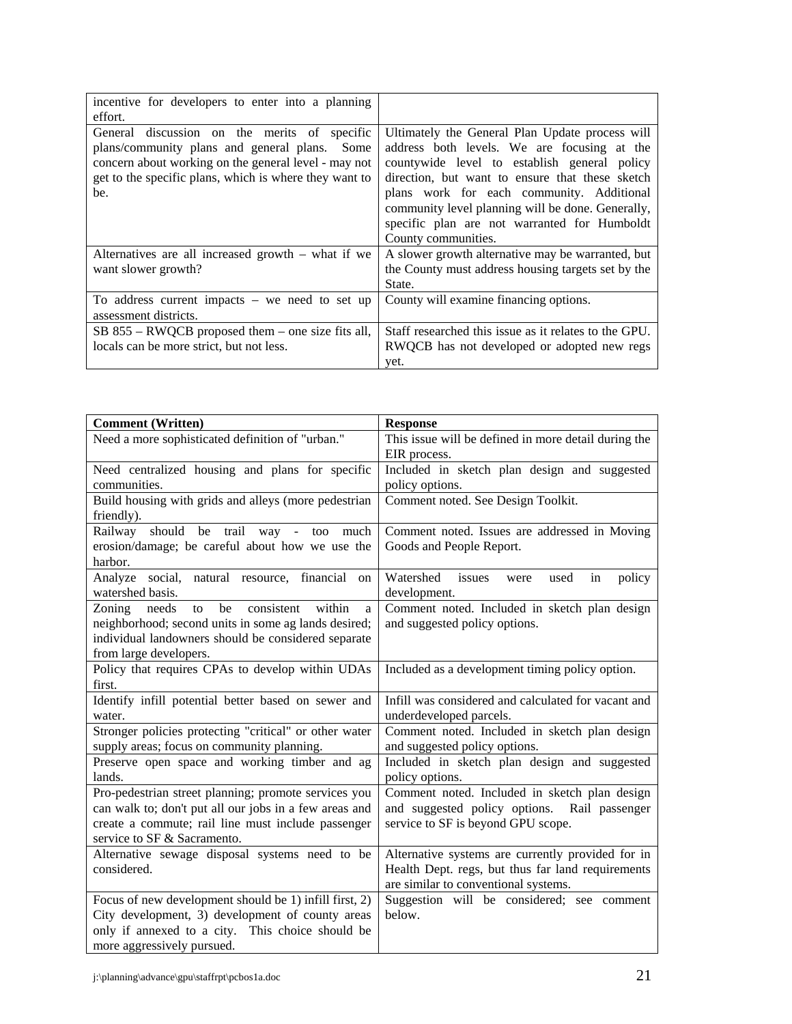| incentive for developers to enter into a planning<br>effort.                                                                                                                                                              |                                                                                                                                                                                                                                                                                                                                                                            |
|---------------------------------------------------------------------------------------------------------------------------------------------------------------------------------------------------------------------------|----------------------------------------------------------------------------------------------------------------------------------------------------------------------------------------------------------------------------------------------------------------------------------------------------------------------------------------------------------------------------|
| General discussion on the merits of specific<br>plans/community plans and general plans.<br>Some<br>concern about working on the general level - may not<br>get to the specific plans, which is where they want to<br>be. | Ultimately the General Plan Update process will<br>address both levels. We are focusing at the<br>countywide level to establish general policy<br>direction, but want to ensure that these sketch<br>plans work for each community. Additional<br>community level planning will be done. Generally,<br>specific plan are not warranted for Humboldt<br>County communities. |
| Alternatives are all increased growth $-$ what if we<br>want slower growth?                                                                                                                                               | A slower growth alternative may be warranted, but<br>the County must address housing targets set by the<br>State.                                                                                                                                                                                                                                                          |
| To address current impacts $-$ we need to set up<br>assessment districts.                                                                                                                                                 | County will examine financing options.                                                                                                                                                                                                                                                                                                                                     |
| $SB$ 855 – RWQCB proposed them – one size fits all,<br>locals can be more strict, but not less.                                                                                                                           | Staff researched this issue as it relates to the GPU.<br>RWQCB has not developed or adopted new regs<br>yet.                                                                                                                                                                                                                                                               |

| <b>Comment</b> (Written)                                                         | <b>Response</b>                                                     |
|----------------------------------------------------------------------------------|---------------------------------------------------------------------|
| Need a more sophisticated definition of "urban."                                 | This issue will be defined in more detail during the                |
|                                                                                  | EIR process.                                                        |
| Need centralized housing and plans for specific                                  | Included in sketch plan design and suggested                        |
| communities.                                                                     | policy options.                                                     |
| Build housing with grids and alleys (more pedestrian                             | Comment noted. See Design Toolkit.                                  |
| friendly).                                                                       |                                                                     |
| should be trail<br>Railway<br>way - too<br>much                                  | Comment noted. Issues are addressed in Moving                       |
| erosion/damage; be careful about how we use the                                  | Goods and People Report.                                            |
| harbor.                                                                          |                                                                     |
| Analyze social, natural resource, financial<br><sub>on</sub><br>watershed basis. | Watershed<br>issues<br>in<br>used<br>policy<br>were<br>development. |
| be<br>consistent<br>within<br>Zoning<br>needs<br>to<br>a                         | Comment noted. Included in sketch plan design                       |
| neighborhood; second units in some ag lands desired;                             | and suggested policy options.                                       |
| individual landowners should be considered separate                              |                                                                     |
| from large developers.                                                           |                                                                     |
| Policy that requires CPAs to develop within UDAs                                 | Included as a development timing policy option.                     |
| first.                                                                           |                                                                     |
| Identify infill potential better based on sewer and                              | Infill was considered and calculated for vacant and                 |
| water.                                                                           | underdeveloped parcels.                                             |
| Stronger policies protecting "critical" or other water                           | Comment noted. Included in sketch plan design                       |
| supply areas; focus on community planning.                                       | and suggested policy options.                                       |
| Preserve open space and working timber and ag                                    | Included in sketch plan design and suggested                        |
| lands.                                                                           | policy options.                                                     |
| Pro-pedestrian street planning; promote services you                             | Comment noted. Included in sketch plan design                       |
| can walk to; don't put all our jobs in a few areas and                           | and suggested policy options. Rail passenger                        |
| create a commute; rail line must include passenger                               | service to SF is beyond GPU scope.                                  |
| service to SF & Sacramento.                                                      |                                                                     |
| Alternative sewage disposal systems need to be                                   | Alternative systems are currently provided for in                   |
| considered.                                                                      | Health Dept. regs, but thus far land requirements                   |
|                                                                                  | are similar to conventional systems.                                |
| Focus of new development should be 1) infill first, 2)                           | Suggestion will be considered; see comment                          |
| City development, 3) development of county areas                                 | below.                                                              |
| only if annexed to a city. This choice should be                                 |                                                                     |
| more aggressively pursued.                                                       |                                                                     |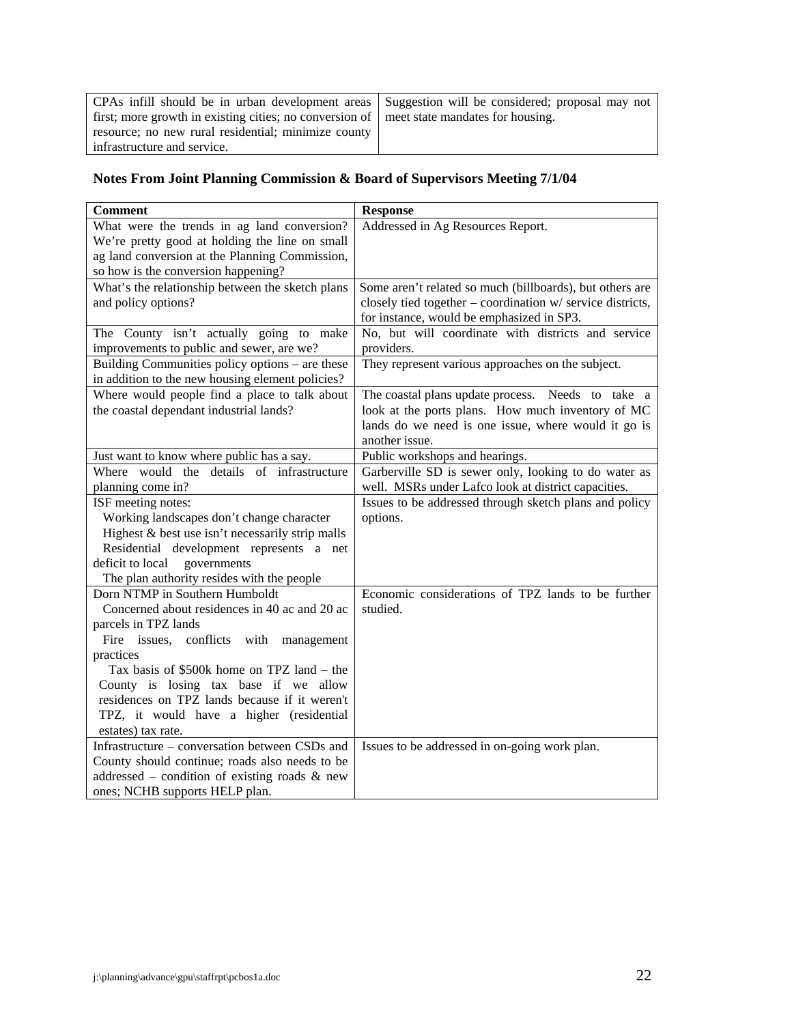CPAs infill should be in urban development areas first; more growth in existing cities; no conversion of resource; no new rural residential; minimize county infrastructure and service. Suggestion will be considered; proposal may not meet state mandates for housing.

# **Notes From Joint Planning Commission & Board of Supervisors Meeting 7/1/04**

| <b>Comment</b>                                                                      | <b>Response</b>                                            |
|-------------------------------------------------------------------------------------|------------------------------------------------------------|
| What were the trends in ag land conversion?                                         | Addressed in Ag Resources Report.                          |
| We're pretty good at holding the line on small                                      |                                                            |
| ag land conversion at the Planning Commission,                                      |                                                            |
| so how is the conversion happening?                                                 |                                                            |
| What's the relationship between the sketch plans                                    | Some aren't related so much (billboards), but others are   |
| and policy options?                                                                 | closely tied together – coordination w/ service districts, |
|                                                                                     | for instance, would be emphasized in SP3.                  |
| The County isn't actually going to make                                             | No, but will coordinate with districts and service         |
| improvements to public and sewer, are we?                                           | providers.                                                 |
| Building Communities policy options – are these                                     | They represent various approaches on the subject.          |
| in addition to the new housing element policies?                                    |                                                            |
| Where would people find a place to talk about                                       | The coastal plans update process. Needs to take a          |
| the coastal dependant industrial lands?                                             | look at the ports plans. How much inventory of MC          |
|                                                                                     | lands do we need is one issue, where would it go is        |
|                                                                                     | another issue.                                             |
| Just want to know where public has a say.                                           | Public workshops and hearings.                             |
| Where would the details of infrastructure                                           | Garberville SD is sewer only, looking to do water as       |
| planning come in?                                                                   | well. MSRs under Lafco look at district capacities.        |
| ISF meeting notes:                                                                  | Issues to be addressed through sketch plans and policy     |
| Working landscapes don't change character                                           | options.                                                   |
| Highest & best use isn't necessarily strip malls                                    |                                                            |
| Residential development represents a net                                            |                                                            |
| deficit to local<br>governments                                                     |                                                            |
| The plan authority resides with the people                                          |                                                            |
| Dorn NTMP in Southern Humboldt                                                      | Economic considerations of TPZ lands to be further         |
| Concerned about residences in 40 ac and 20 ac                                       | studied.                                                   |
| parcels in TPZ lands                                                                |                                                            |
| Fire issues, conflicts with<br>management                                           |                                                            |
| practices                                                                           |                                                            |
| Tax basis of \$500k home on TPZ land – the<br>County is losing tax base if we allow |                                                            |
| residences on TPZ lands because if it weren't                                       |                                                            |
| TPZ, it would have a higher (residential                                            |                                                            |
| estates) tax rate.                                                                  |                                                            |
| Infrastructure – conversation between CSDs and                                      | Issues to be addressed in on-going work plan.              |
| County should continue; roads also needs to be                                      |                                                            |
| addressed – condition of existing roads $\&$ new                                    |                                                            |
| ones; NCHB supports HELP plan.                                                      |                                                            |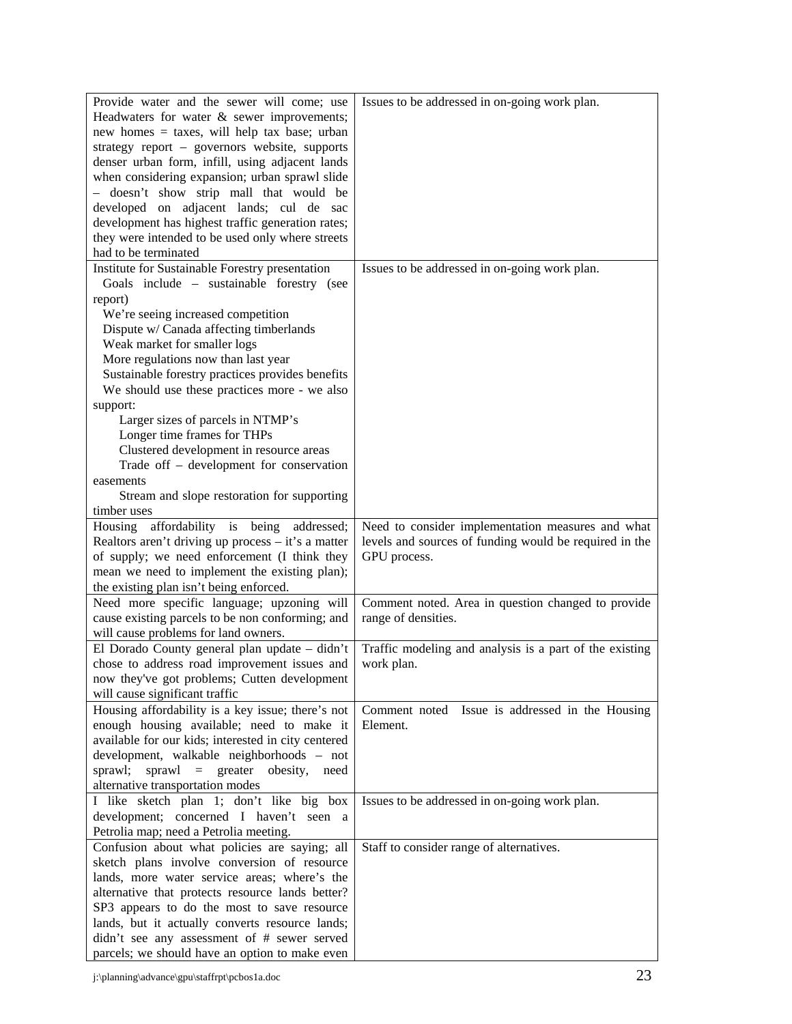| Provide water and the sewer will come; use          | Issues to be addressed in on-going work plan.           |
|-----------------------------------------------------|---------------------------------------------------------|
| Headwaters for water $\&$ sewer improvements;       |                                                         |
| new homes = taxes, will help tax base; urban        |                                                         |
| strategy report - governors website, supports       |                                                         |
| denser urban form, infill, using adjacent lands     |                                                         |
| when considering expansion; urban sprawl slide      |                                                         |
| - doesn't show strip mall that would be             |                                                         |
|                                                     |                                                         |
| developed on adjacent lands; cul de sac             |                                                         |
| development has highest traffic generation rates;   |                                                         |
| they were intended to be used only where streets    |                                                         |
| had to be terminated                                |                                                         |
| Institute for Sustainable Forestry presentation     | Issues to be addressed in on-going work plan.           |
| Goals include - sustainable forestry (see           |                                                         |
| report)                                             |                                                         |
| We're seeing increased competition                  |                                                         |
| Dispute w/ Canada affecting timberlands             |                                                         |
| Weak market for smaller logs                        |                                                         |
| More regulations now than last year                 |                                                         |
| Sustainable forestry practices provides benefits    |                                                         |
| We should use these practices more - we also        |                                                         |
| support:                                            |                                                         |
| Larger sizes of parcels in NTMP's                   |                                                         |
| Longer time frames for THPs                         |                                                         |
| Clustered development in resource areas             |                                                         |
| Trade off - development for conservation            |                                                         |
| easements                                           |                                                         |
| Stream and slope restoration for supporting         |                                                         |
| timber uses                                         |                                                         |
| Housing affordability is being addressed;           | Need to consider implementation measures and what       |
| Realtors aren't driving up process – it's a matter  | levels and sources of funding would be required in the  |
| of supply; we need enforcement (I think they        | GPU process.                                            |
| mean we need to implement the existing plan);       |                                                         |
| the existing plan isn't being enforced.             |                                                         |
| Need more specific language; upzoning will          | Comment noted. Area in question changed to provide      |
| cause existing parcels to be non conforming; and    | range of densities.                                     |
| will cause problems for land owners.                |                                                         |
|                                                     | Traffic modeling and analysis is a part of the existing |
| El Dorado County general plan update - didn't       |                                                         |
| chose to address road improvement issues and        | work plan.                                              |
| now they've got problems; Cutten development        |                                                         |
| will cause significant traffic                      |                                                         |
| Housing affordability is a key issue; there's not   | Comment noted Issue is addressed in the Housing         |
| enough housing available; need to make it           | Element.                                                |
| available for our kids; interested in city centered |                                                         |
| development, walkable neighborhoods - not           |                                                         |
| $spravl = greater$<br>sprawl;<br>obesity,<br>need   |                                                         |
| alternative transportation modes                    |                                                         |
| I like sketch plan 1; don't like big box            | Issues to be addressed in on-going work plan.           |
| development; concerned I haven't seen a             |                                                         |
| Petrolia map; need a Petrolia meeting.              |                                                         |
| Confusion about what policies are saying; all       | Staff to consider range of alternatives.                |
| sketch plans involve conversion of resource         |                                                         |
| lands, more water service areas; where's the        |                                                         |
| alternative that protects resource lands better?    |                                                         |
| SP3 appears to do the most to save resource         |                                                         |
| lands, but it actually converts resource lands;     |                                                         |
| didn't see any assessment of # sewer served         |                                                         |
| parcels; we should have an option to make even      |                                                         |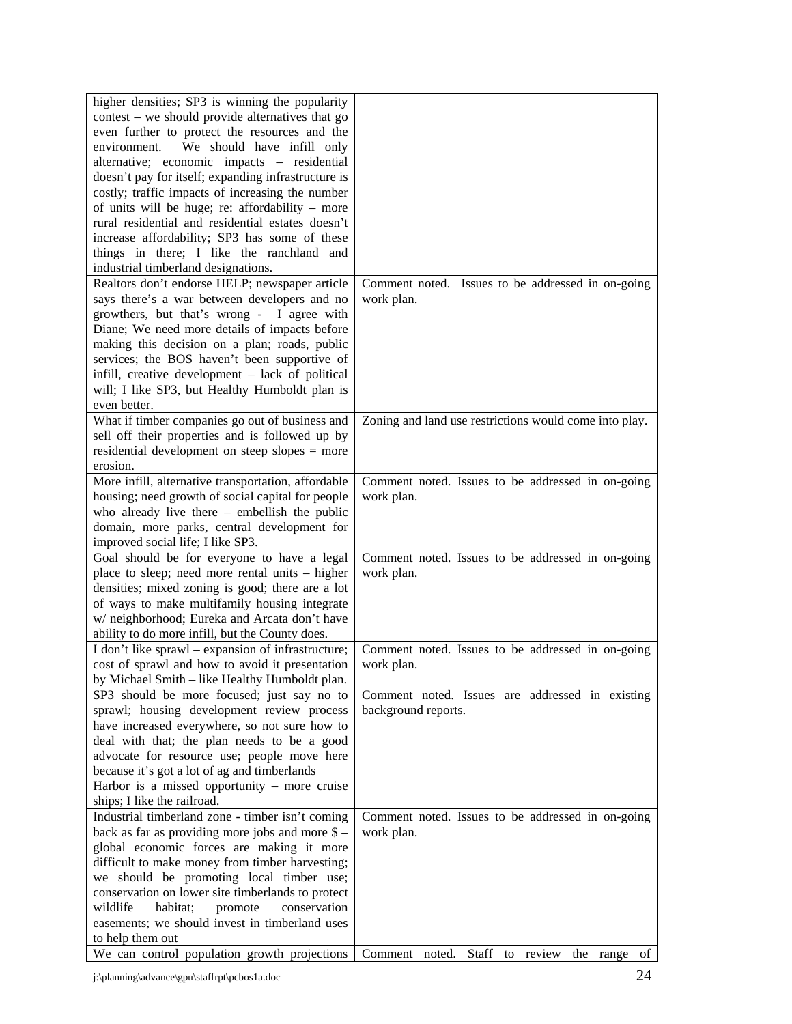| contest – we should provide alternatives that go<br>even further to protect the resources and the<br>We should have infill only<br>environment.<br>alternative; economic impacts - residential<br>doesn't pay for itself; expanding infrastructure is<br>costly; traffic impacts of increasing the number<br>of units will be huge; re: affordability – more<br>rural residential and residential estates doesn't<br>increase affordability; SP3 has some of these<br>things in there; I like the ranchland and<br>industrial timberland designations.<br>Realtors don't endorse HELP; newspaper article<br>Comment noted. Issues to be addressed in on-going<br>says there's a war between developers and no<br>work plan.<br>growthers, but that's wrong - I agree with | higher densities; SP3 is winning the popularity |                                                 |
|---------------------------------------------------------------------------------------------------------------------------------------------------------------------------------------------------------------------------------------------------------------------------------------------------------------------------------------------------------------------------------------------------------------------------------------------------------------------------------------------------------------------------------------------------------------------------------------------------------------------------------------------------------------------------------------------------------------------------------------------------------------------------|-------------------------------------------------|-------------------------------------------------|
|                                                                                                                                                                                                                                                                                                                                                                                                                                                                                                                                                                                                                                                                                                                                                                           |                                                 |                                                 |
|                                                                                                                                                                                                                                                                                                                                                                                                                                                                                                                                                                                                                                                                                                                                                                           |                                                 |                                                 |
|                                                                                                                                                                                                                                                                                                                                                                                                                                                                                                                                                                                                                                                                                                                                                                           |                                                 |                                                 |
|                                                                                                                                                                                                                                                                                                                                                                                                                                                                                                                                                                                                                                                                                                                                                                           |                                                 |                                                 |
|                                                                                                                                                                                                                                                                                                                                                                                                                                                                                                                                                                                                                                                                                                                                                                           |                                                 |                                                 |
|                                                                                                                                                                                                                                                                                                                                                                                                                                                                                                                                                                                                                                                                                                                                                                           |                                                 |                                                 |
|                                                                                                                                                                                                                                                                                                                                                                                                                                                                                                                                                                                                                                                                                                                                                                           |                                                 |                                                 |
|                                                                                                                                                                                                                                                                                                                                                                                                                                                                                                                                                                                                                                                                                                                                                                           |                                                 |                                                 |
|                                                                                                                                                                                                                                                                                                                                                                                                                                                                                                                                                                                                                                                                                                                                                                           |                                                 |                                                 |
|                                                                                                                                                                                                                                                                                                                                                                                                                                                                                                                                                                                                                                                                                                                                                                           |                                                 |                                                 |
|                                                                                                                                                                                                                                                                                                                                                                                                                                                                                                                                                                                                                                                                                                                                                                           |                                                 |                                                 |
|                                                                                                                                                                                                                                                                                                                                                                                                                                                                                                                                                                                                                                                                                                                                                                           |                                                 |                                                 |
|                                                                                                                                                                                                                                                                                                                                                                                                                                                                                                                                                                                                                                                                                                                                                                           |                                                 |                                                 |
|                                                                                                                                                                                                                                                                                                                                                                                                                                                                                                                                                                                                                                                                                                                                                                           |                                                 |                                                 |
|                                                                                                                                                                                                                                                                                                                                                                                                                                                                                                                                                                                                                                                                                                                                                                           | Diane; We need more details of impacts before   |                                                 |
| making this decision on a plan; roads, public                                                                                                                                                                                                                                                                                                                                                                                                                                                                                                                                                                                                                                                                                                                             |                                                 |                                                 |
| services; the BOS haven't been supportive of                                                                                                                                                                                                                                                                                                                                                                                                                                                                                                                                                                                                                                                                                                                              |                                                 |                                                 |
| infill, creative development - lack of political                                                                                                                                                                                                                                                                                                                                                                                                                                                                                                                                                                                                                                                                                                                          |                                                 |                                                 |
| will; I like SP3, but Healthy Humboldt plan is                                                                                                                                                                                                                                                                                                                                                                                                                                                                                                                                                                                                                                                                                                                            |                                                 |                                                 |
| even better.                                                                                                                                                                                                                                                                                                                                                                                                                                                                                                                                                                                                                                                                                                                                                              |                                                 |                                                 |
| What if timber companies go out of business and<br>Zoning and land use restrictions would come into play.                                                                                                                                                                                                                                                                                                                                                                                                                                                                                                                                                                                                                                                                 |                                                 |                                                 |
| sell off their properties and is followed up by                                                                                                                                                                                                                                                                                                                                                                                                                                                                                                                                                                                                                                                                                                                           |                                                 |                                                 |
| residential development on steep slopes = more                                                                                                                                                                                                                                                                                                                                                                                                                                                                                                                                                                                                                                                                                                                            |                                                 |                                                 |
| erosion.                                                                                                                                                                                                                                                                                                                                                                                                                                                                                                                                                                                                                                                                                                                                                                  |                                                 |                                                 |
| More infill, alternative transportation, affordable<br>Comment noted. Issues to be addressed in on-going                                                                                                                                                                                                                                                                                                                                                                                                                                                                                                                                                                                                                                                                  |                                                 |                                                 |
| housing; need growth of social capital for people<br>work plan.                                                                                                                                                                                                                                                                                                                                                                                                                                                                                                                                                                                                                                                                                                           |                                                 |                                                 |
| who already live there $-$ embellish the public                                                                                                                                                                                                                                                                                                                                                                                                                                                                                                                                                                                                                                                                                                                           |                                                 |                                                 |
| domain, more parks, central development for                                                                                                                                                                                                                                                                                                                                                                                                                                                                                                                                                                                                                                                                                                                               |                                                 |                                                 |
| improved social life; I like SP3.                                                                                                                                                                                                                                                                                                                                                                                                                                                                                                                                                                                                                                                                                                                                         |                                                 |                                                 |
| Goal should be for everyone to have a legal<br>Comment noted. Issues to be addressed in on-going                                                                                                                                                                                                                                                                                                                                                                                                                                                                                                                                                                                                                                                                          |                                                 |                                                 |
| place to sleep; need more rental units – higher<br>work plan.                                                                                                                                                                                                                                                                                                                                                                                                                                                                                                                                                                                                                                                                                                             |                                                 |                                                 |
| densities; mixed zoning is good; there are a lot                                                                                                                                                                                                                                                                                                                                                                                                                                                                                                                                                                                                                                                                                                                          |                                                 |                                                 |
| of ways to make multifamily housing integrate                                                                                                                                                                                                                                                                                                                                                                                                                                                                                                                                                                                                                                                                                                                             |                                                 |                                                 |
| w/ neighborhood; Eureka and Arcata don't have                                                                                                                                                                                                                                                                                                                                                                                                                                                                                                                                                                                                                                                                                                                             |                                                 |                                                 |
| ability to do more infill, but the County does.                                                                                                                                                                                                                                                                                                                                                                                                                                                                                                                                                                                                                                                                                                                           |                                                 |                                                 |
| I don't like sprawl – expansion of infrastructure;<br>Comment noted. Issues to be addressed in on-going                                                                                                                                                                                                                                                                                                                                                                                                                                                                                                                                                                                                                                                                   |                                                 |                                                 |
| cost of sprawl and how to avoid it presentation<br>work plan.                                                                                                                                                                                                                                                                                                                                                                                                                                                                                                                                                                                                                                                                                                             |                                                 |                                                 |
| by Michael Smith - like Healthy Humboldt plan.                                                                                                                                                                                                                                                                                                                                                                                                                                                                                                                                                                                                                                                                                                                            |                                                 |                                                 |
| SP3 should be more focused; just say no to                                                                                                                                                                                                                                                                                                                                                                                                                                                                                                                                                                                                                                                                                                                                |                                                 | Comment noted. Issues are addressed in existing |
| sprawl; housing development review process<br>background reports.                                                                                                                                                                                                                                                                                                                                                                                                                                                                                                                                                                                                                                                                                                         |                                                 |                                                 |
| have increased everywhere, so not sure how to                                                                                                                                                                                                                                                                                                                                                                                                                                                                                                                                                                                                                                                                                                                             |                                                 |                                                 |
| deal with that; the plan needs to be a good                                                                                                                                                                                                                                                                                                                                                                                                                                                                                                                                                                                                                                                                                                                               |                                                 |                                                 |
| advocate for resource use; people move here                                                                                                                                                                                                                                                                                                                                                                                                                                                                                                                                                                                                                                                                                                                               |                                                 |                                                 |
| because it's got a lot of ag and timberlands                                                                                                                                                                                                                                                                                                                                                                                                                                                                                                                                                                                                                                                                                                                              |                                                 |                                                 |
| Harbor is a missed opportunity – more cruise                                                                                                                                                                                                                                                                                                                                                                                                                                                                                                                                                                                                                                                                                                                              |                                                 |                                                 |
| ships; I like the railroad.                                                                                                                                                                                                                                                                                                                                                                                                                                                                                                                                                                                                                                                                                                                                               |                                                 |                                                 |
| Industrial timberland zone - timber isn't coming<br>Comment noted. Issues to be addressed in on-going                                                                                                                                                                                                                                                                                                                                                                                                                                                                                                                                                                                                                                                                     |                                                 |                                                 |
| back as far as providing more jobs and more $\$$ –<br>work plan.                                                                                                                                                                                                                                                                                                                                                                                                                                                                                                                                                                                                                                                                                                          |                                                 |                                                 |
| global economic forces are making it more                                                                                                                                                                                                                                                                                                                                                                                                                                                                                                                                                                                                                                                                                                                                 |                                                 |                                                 |
| difficult to make money from timber harvesting;                                                                                                                                                                                                                                                                                                                                                                                                                                                                                                                                                                                                                                                                                                                           |                                                 |                                                 |
| we should be promoting local timber use;                                                                                                                                                                                                                                                                                                                                                                                                                                                                                                                                                                                                                                                                                                                                  |                                                 |                                                 |
| conservation on lower site timberlands to protect                                                                                                                                                                                                                                                                                                                                                                                                                                                                                                                                                                                                                                                                                                                         |                                                 |                                                 |
| wildlife<br>habitat;<br>conservation<br>promote                                                                                                                                                                                                                                                                                                                                                                                                                                                                                                                                                                                                                                                                                                                           |                                                 |                                                 |
| easements; we should invest in timberland uses                                                                                                                                                                                                                                                                                                                                                                                                                                                                                                                                                                                                                                                                                                                            |                                                 |                                                 |
| to help them out                                                                                                                                                                                                                                                                                                                                                                                                                                                                                                                                                                                                                                                                                                                                                          |                                                 |                                                 |
| We can control population growth projections<br>Staff to review the range of<br>Comment noted.                                                                                                                                                                                                                                                                                                                                                                                                                                                                                                                                                                                                                                                                            |                                                 |                                                 |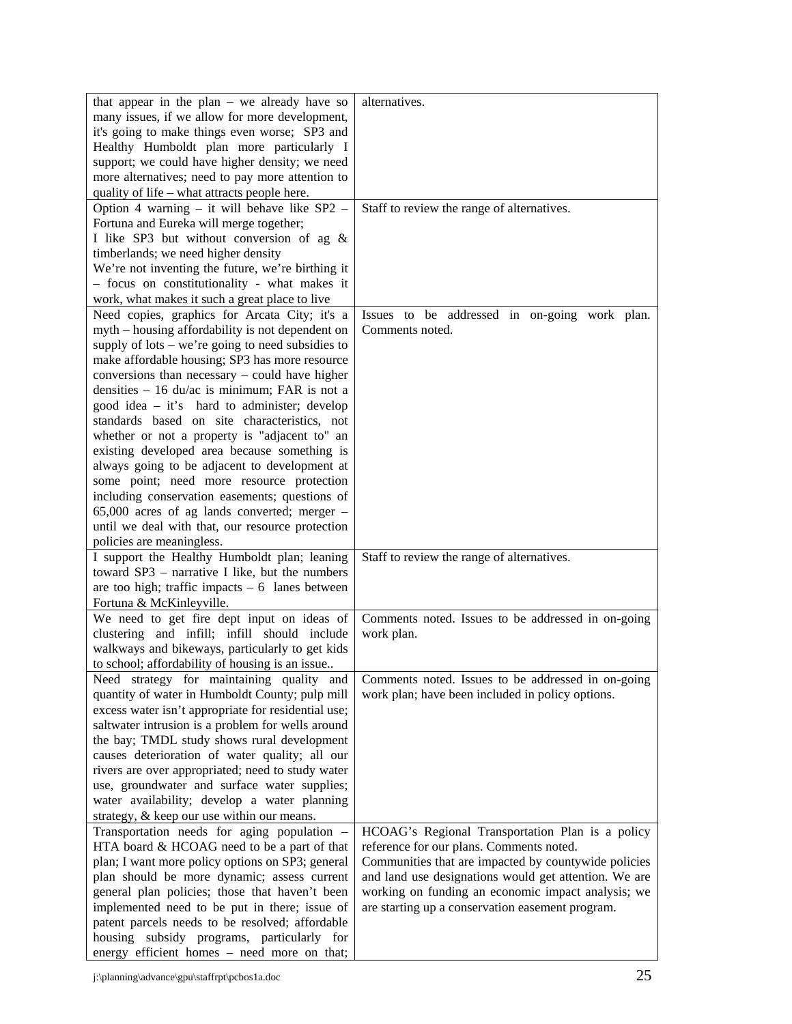| that appear in the plan $-$ we already have so                    | alternatives.                                         |
|-------------------------------------------------------------------|-------------------------------------------------------|
|                                                                   |                                                       |
| many issues, if we allow for more development,                    |                                                       |
| it's going to make things even worse; SP3 and                     |                                                       |
| Healthy Humboldt plan more particularly I                         |                                                       |
| support; we could have higher density; we need                    |                                                       |
| more alternatives; need to pay more attention to                  |                                                       |
| quality of life – what attracts people here.                      |                                                       |
| Option 4 warning $-$ it will behave like SP2 $-$                  | Staff to review the range of alternatives.            |
| Fortuna and Eureka will merge together;                           |                                                       |
| I like SP3 but without conversion of ag &                         |                                                       |
| timberlands; we need higher density                               |                                                       |
| We're not inventing the future, we're birthing it                 |                                                       |
| - focus on constitutionality - what makes it                      |                                                       |
| work, what makes it such a great place to live                    |                                                       |
| Need copies, graphics for Arcata City; it's a                     | Issues to be addressed in on-going work plan.         |
|                                                                   |                                                       |
| myth – housing affordability is not dependent on                  | Comments noted.                                       |
| supply of $\text{lots} - \text{we're going to need subsidies to}$ |                                                       |
| make affordable housing; SP3 has more resource                    |                                                       |
| conversions than necessary $-$ could have higher                  |                                                       |
| densities $-16$ du/ac is minimum; FAR is not a                    |                                                       |
| good idea $-$ it's hard to administer; develop                    |                                                       |
| standards based on site characteristics, not                      |                                                       |
| whether or not a property is "adjacent to" an                     |                                                       |
| existing developed area because something is                      |                                                       |
| always going to be adjacent to development at                     |                                                       |
| some point; need more resource protection                         |                                                       |
| including conservation easements; questions of                    |                                                       |
| $65,000$ acres of ag lands converted; merger -                    |                                                       |
| until we deal with that, our resource protection                  |                                                       |
| policies are meaningless.                                         |                                                       |
| I support the Healthy Humboldt plan; leaning                      | Staff to review the range of alternatives.            |
| toward SP3 – narrative I like, but the numbers                    |                                                       |
| are too high; traffic impacts $-6$ lanes between                  |                                                       |
| Fortuna & McKinleyville.                                          |                                                       |
| We need to get fire dept input on ideas of                        | Comments noted. Issues to be addressed in on-going    |
| clustering and infill; infill should include                      |                                                       |
|                                                                   | work plan.                                            |
| walkways and bikeways, particularly to get kids                   |                                                       |
| to school; affordability of housing is an issue                   |                                                       |
| Need strategy for maintaining quality and                         | Comments noted. Issues to be addressed in on-going    |
| quantity of water in Humboldt County; pulp mill                   | work plan; have been included in policy options.      |
| excess water isn't appropriate for residential use;               |                                                       |
| saltwater intrusion is a problem for wells around                 |                                                       |
| the bay; TMDL study shows rural development                       |                                                       |
| causes deterioration of water quality; all our                    |                                                       |
| rivers are over appropriated; need to study water                 |                                                       |
| use, groundwater and surface water supplies;                      |                                                       |
| water availability; develop a water planning                      |                                                       |
| strategy, & keep our use within our means.                        |                                                       |
| Transportation needs for aging population -                       | HCOAG's Regional Transportation Plan is a policy      |
| HTA board & HCOAG need to be a part of that                       | reference for our plans. Comments noted.              |
| plan; I want more policy options on SP3; general                  | Communities that are impacted by countywide policies  |
| plan should be more dynamic; assess current                       | and land use designations would get attention. We are |
| general plan policies; those that haven't been                    | working on funding an economic impact analysis; we    |
| implemented need to be put in there; issue of                     | are starting up a conservation easement program.      |
| patent parcels needs to be resolved; affordable                   |                                                       |
| housing subsidy programs, particularly for                        |                                                       |
| energy efficient homes - need more on that;                       |                                                       |
|                                                                   |                                                       |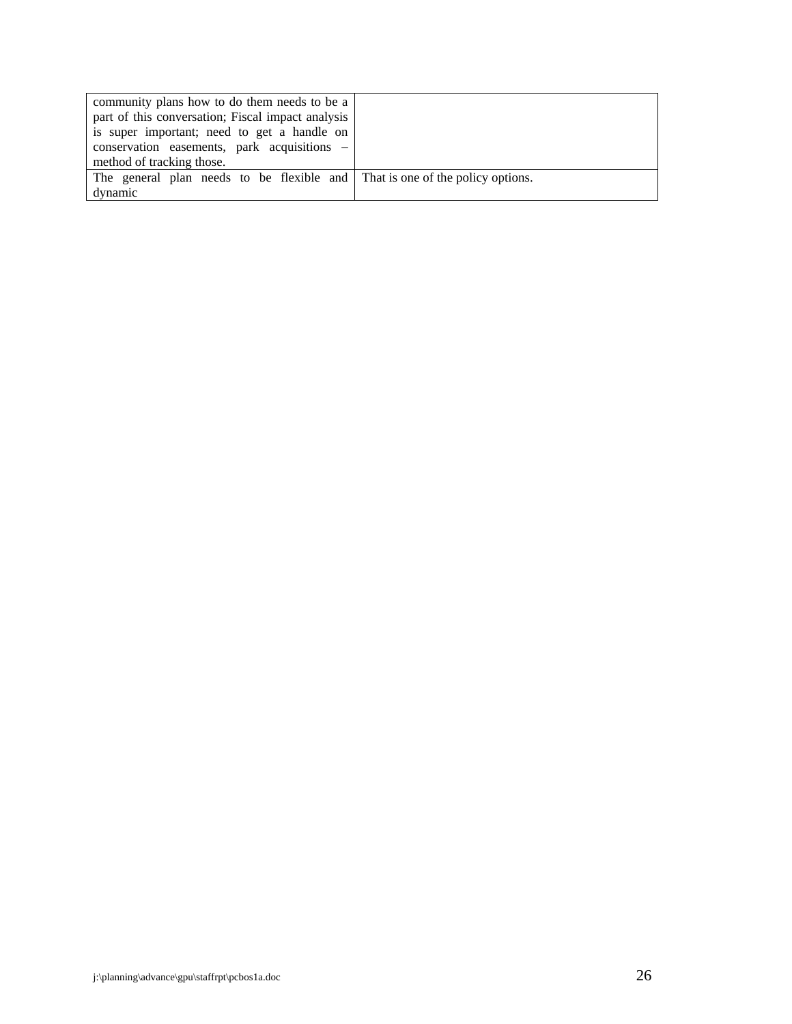| community plans how to do them needs to be a                                 |  |
|------------------------------------------------------------------------------|--|
| part of this conversation; Fiscal impact analysis                            |  |
| is super important; need to get a handle on                                  |  |
| $conservation$ easements, park acquisitions $-$                              |  |
| method of tracking those.                                                    |  |
| The general plan needs to be flexible and That is one of the policy options. |  |
| dynamic                                                                      |  |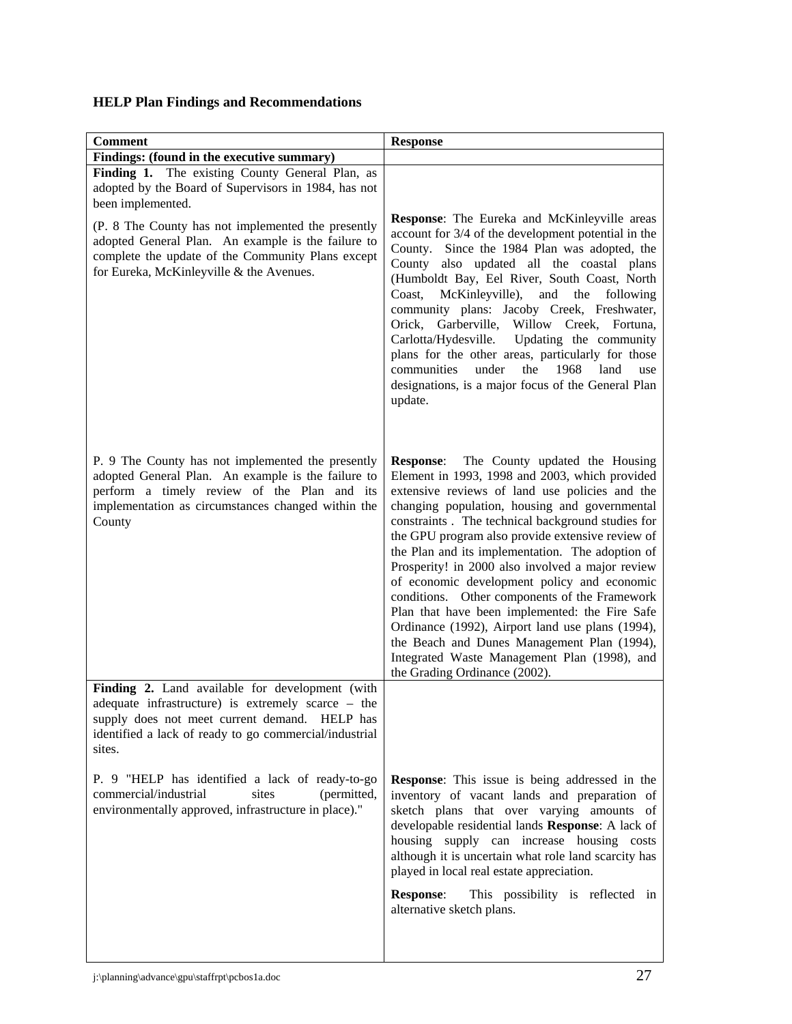# **HELP Plan Findings and Recommendations**

| <b>Comment</b>                                                                                                                                                                                                             | <b>Response</b>                                                                                                                                                                                                                                                                                                                                                                                                                                                                                                                                                                                                                                                                                                                                                |
|----------------------------------------------------------------------------------------------------------------------------------------------------------------------------------------------------------------------------|----------------------------------------------------------------------------------------------------------------------------------------------------------------------------------------------------------------------------------------------------------------------------------------------------------------------------------------------------------------------------------------------------------------------------------------------------------------------------------------------------------------------------------------------------------------------------------------------------------------------------------------------------------------------------------------------------------------------------------------------------------------|
| Findings: (found in the executive summary)                                                                                                                                                                                 |                                                                                                                                                                                                                                                                                                                                                                                                                                                                                                                                                                                                                                                                                                                                                                |
| Finding 1. The existing County General Plan, as<br>adopted by the Board of Supervisors in 1984, has not<br>been implemented.                                                                                               |                                                                                                                                                                                                                                                                                                                                                                                                                                                                                                                                                                                                                                                                                                                                                                |
| (P. 8 The County has not implemented the presently<br>adopted General Plan. An example is the failure to<br>complete the update of the Community Plans except<br>for Eureka, McKinleyville & the Avenues.                  | <b>Response:</b> The Eureka and McKinleyville areas<br>account for 3/4 of the development potential in the<br>County. Since the 1984 Plan was adopted, the<br>County also updated all the coastal plans<br>(Humboldt Bay, Eel River, South Coast, North<br>McKinleyville),<br>and the<br>Coast,<br>following<br>community plans: Jacoby Creek, Freshwater,<br>Orick, Garberville, Willow Creek, Fortuna,<br>Updating the community<br>Carlotta/Hydesville.<br>plans for the other areas, particularly for those<br>under<br>the<br>land<br>communities<br>1968<br>use<br>designations, is a major focus of the General Plan<br>update.                                                                                                                         |
| P. 9 The County has not implemented the presently<br>adopted General Plan. An example is the failure to<br>perform a timely review of the Plan and its<br>implementation as circumstances changed within the<br>County     | The County updated the Housing<br><b>Response:</b><br>Element in 1993, 1998 and 2003, which provided<br>extensive reviews of land use policies and the<br>changing population, housing and governmental<br>constraints. The technical background studies for<br>the GPU program also provide extensive review of<br>the Plan and its implementation. The adoption of<br>Prosperity! in 2000 also involved a major review<br>of economic development policy and economic<br>conditions. Other components of the Framework<br>Plan that have been implemented: the Fire Safe<br>Ordinance (1992), Airport land use plans (1994),<br>the Beach and Dunes Management Plan (1994),<br>Integrated Waste Management Plan (1998), and<br>the Grading Ordinance (2002). |
| Finding 2. Land available for development (with<br>adequate infrastructure) is extremely scarce – the<br>supply does not meet current demand. HELP has<br>identified a lack of ready to go commercial/industrial<br>sites. |                                                                                                                                                                                                                                                                                                                                                                                                                                                                                                                                                                                                                                                                                                                                                                |
| P. 9 "HELP has identified a lack of ready-to-go<br>commercial/industrial<br>sites<br>(permitted,<br>environmentally approved, infrastructure in place)."                                                                   | <b>Response:</b> This issue is being addressed in the<br>inventory of vacant lands and preparation of<br>sketch plans that over varying amounts of<br>developable residential lands Response: A lack of<br>housing supply can increase housing costs<br>although it is uncertain what role land scarcity has<br>played in local real estate appreciation.                                                                                                                                                                                                                                                                                                                                                                                                      |
|                                                                                                                                                                                                                            | <b>Response:</b><br>This possibility is reflected in<br>alternative sketch plans.                                                                                                                                                                                                                                                                                                                                                                                                                                                                                                                                                                                                                                                                              |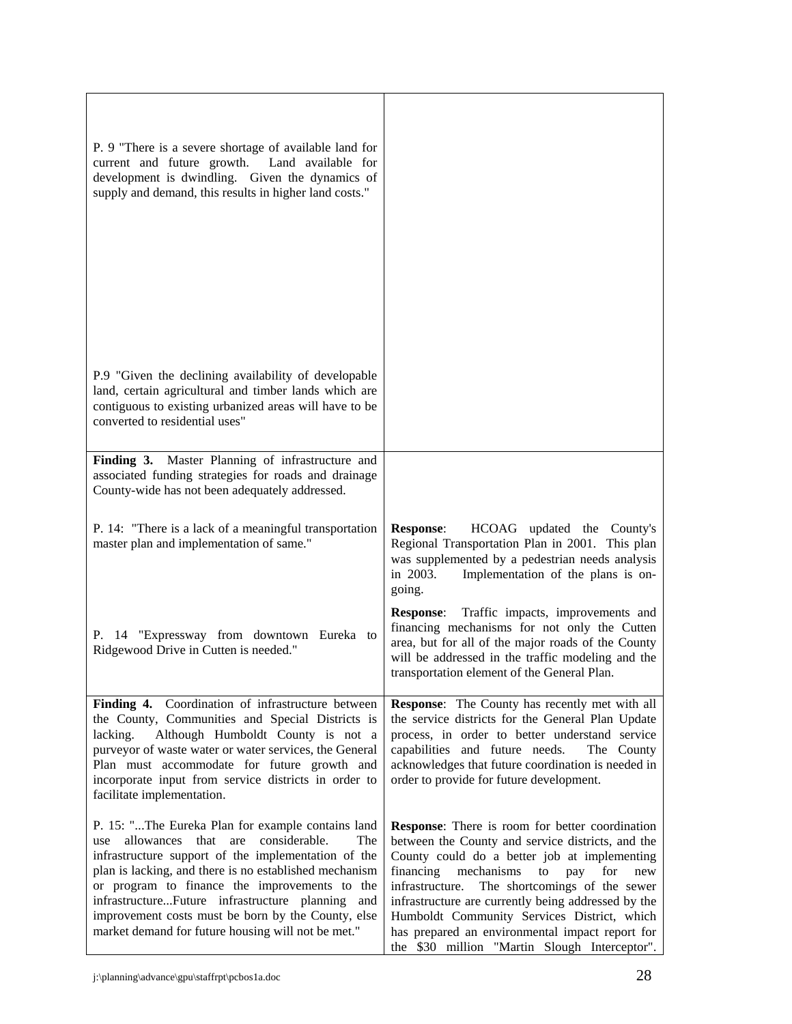| P. 9 "There is a severe shortage of available land for<br>current and future growth. Land available for<br>development is dwindling. Given the dynamics of<br>supply and demand, this results in higher land costs."                                                                                                                                                                                                                      |                                                                                                                                                                                                                                                                                                                                                                                                                                                                                 |
|-------------------------------------------------------------------------------------------------------------------------------------------------------------------------------------------------------------------------------------------------------------------------------------------------------------------------------------------------------------------------------------------------------------------------------------------|---------------------------------------------------------------------------------------------------------------------------------------------------------------------------------------------------------------------------------------------------------------------------------------------------------------------------------------------------------------------------------------------------------------------------------------------------------------------------------|
|                                                                                                                                                                                                                                                                                                                                                                                                                                           |                                                                                                                                                                                                                                                                                                                                                                                                                                                                                 |
| P.9 "Given the declining availability of developable<br>land, certain agricultural and timber lands which are<br>contiguous to existing urbanized areas will have to be<br>converted to residential uses"                                                                                                                                                                                                                                 |                                                                                                                                                                                                                                                                                                                                                                                                                                                                                 |
| Finding 3. Master Planning of infrastructure and<br>associated funding strategies for roads and drainage<br>County-wide has not been adequately addressed.                                                                                                                                                                                                                                                                                |                                                                                                                                                                                                                                                                                                                                                                                                                                                                                 |
| P. 14: "There is a lack of a meaningful transportation<br>master plan and implementation of same."                                                                                                                                                                                                                                                                                                                                        | <b>Response:</b><br>HCOAG updated the County's<br>Regional Transportation Plan in 2001. This plan<br>was supplemented by a pedestrian needs analysis<br>in 2003.<br>Implementation of the plans is on-<br>going.                                                                                                                                                                                                                                                                |
| P. 14 "Expressway from downtown Eureka to<br>Ridgewood Drive in Cutten is needed."                                                                                                                                                                                                                                                                                                                                                        | <b>Response:</b><br>Traffic impacts, improvements and<br>financing mechanisms for not only the Cutten<br>area, but for all of the major roads of the County<br>will be addressed in the traffic modeling and the<br>transportation element of the General Plan.                                                                                                                                                                                                                 |
| Finding 4. Coordination of infrastructure between<br>the County, Communities and Special Districts is<br>Although Humboldt County is not a<br>lacking.<br>purveyor of waste water or water services, the General<br>Plan must accommodate for future growth and<br>incorporate input from service districts in order to<br>facilitate implementation.                                                                                     | Response: The County has recently met with all<br>the service districts for the General Plan Update<br>process, in order to better understand service<br>capabilities and future needs.<br>The County<br>acknowledges that future coordination is needed in<br>order to provide for future development.                                                                                                                                                                         |
| P. 15: "The Eureka Plan for example contains land<br>considerable.<br>allowances that are<br>The<br>use<br>infrastructure support of the implementation of the<br>plan is lacking, and there is no established mechanism<br>or program to finance the improvements to the<br>infrastructureFuture infrastructure planning and<br>improvement costs must be born by the County, else<br>market demand for future housing will not be met." | <b>Response:</b> There is room for better coordination<br>between the County and service districts, and the<br>County could do a better job at implementing<br>financing<br>mechanisms<br>to<br>pay<br>for<br>new<br>The shortcomings of the sewer<br>infrastructure.<br>infrastructure are currently being addressed by the<br>Humboldt Community Services District, which<br>has prepared an environmental impact report for<br>the \$30 million "Martin Slough Interceptor". |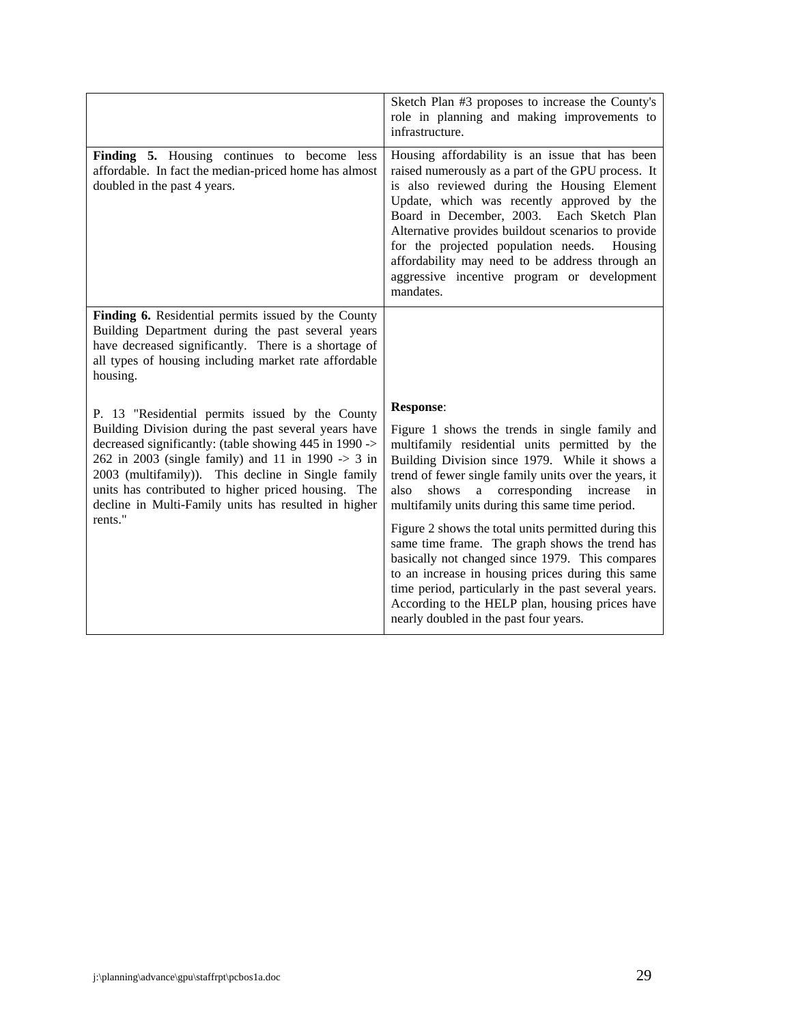|                                                                                                                                                                                                                                                                                                                                                                                                         | Sketch Plan #3 proposes to increase the County's<br>role in planning and making improvements to<br>infrastructure.                                                                                                                                                                                                                                                                                                                                                     |
|---------------------------------------------------------------------------------------------------------------------------------------------------------------------------------------------------------------------------------------------------------------------------------------------------------------------------------------------------------------------------------------------------------|------------------------------------------------------------------------------------------------------------------------------------------------------------------------------------------------------------------------------------------------------------------------------------------------------------------------------------------------------------------------------------------------------------------------------------------------------------------------|
| Finding 5. Housing continues to become less<br>affordable. In fact the median-priced home has almost<br>doubled in the past 4 years.                                                                                                                                                                                                                                                                    | Housing affordability is an issue that has been<br>raised numerously as a part of the GPU process. It<br>is also reviewed during the Housing Element<br>Update, which was recently approved by the<br>Board in December, 2003. Each Sketch Plan<br>Alternative provides buildout scenarios to provide<br>for the projected population needs.<br>Housing<br>affordability may need to be address through an<br>aggressive incentive program or development<br>mandates. |
| Finding 6. Residential permits issued by the County<br>Building Department during the past several years<br>have decreased significantly. There is a shortage of<br>all types of housing including market rate affordable<br>housing.                                                                                                                                                                   |                                                                                                                                                                                                                                                                                                                                                                                                                                                                        |
| P. 13 "Residential permits issued by the County<br>Building Division during the past several years have<br>decreased significantly: (table showing 445 in 1990 -><br>262 in 2003 (single family) and 11 in 1990 $\rightarrow$ 3 in<br>2003 (multifamily)). This decline in Single family<br>units has contributed to higher priced housing. The<br>decline in Multi-Family units has resulted in higher | <b>Response:</b><br>Figure 1 shows the trends in single family and<br>multifamily residential units permitted by the<br>Building Division since 1979. While it shows a<br>trend of fewer single family units over the years, it<br>a corresponding<br>also<br>shows<br>increase<br>in<br>multifamily units during this same time period.                                                                                                                               |
| rents."                                                                                                                                                                                                                                                                                                                                                                                                 | Figure 2 shows the total units permitted during this<br>same time frame. The graph shows the trend has<br>basically not changed since 1979. This compares<br>to an increase in housing prices during this same<br>time period, particularly in the past several years.<br>According to the HELP plan, housing prices have<br>nearly doubled in the past four years.                                                                                                    |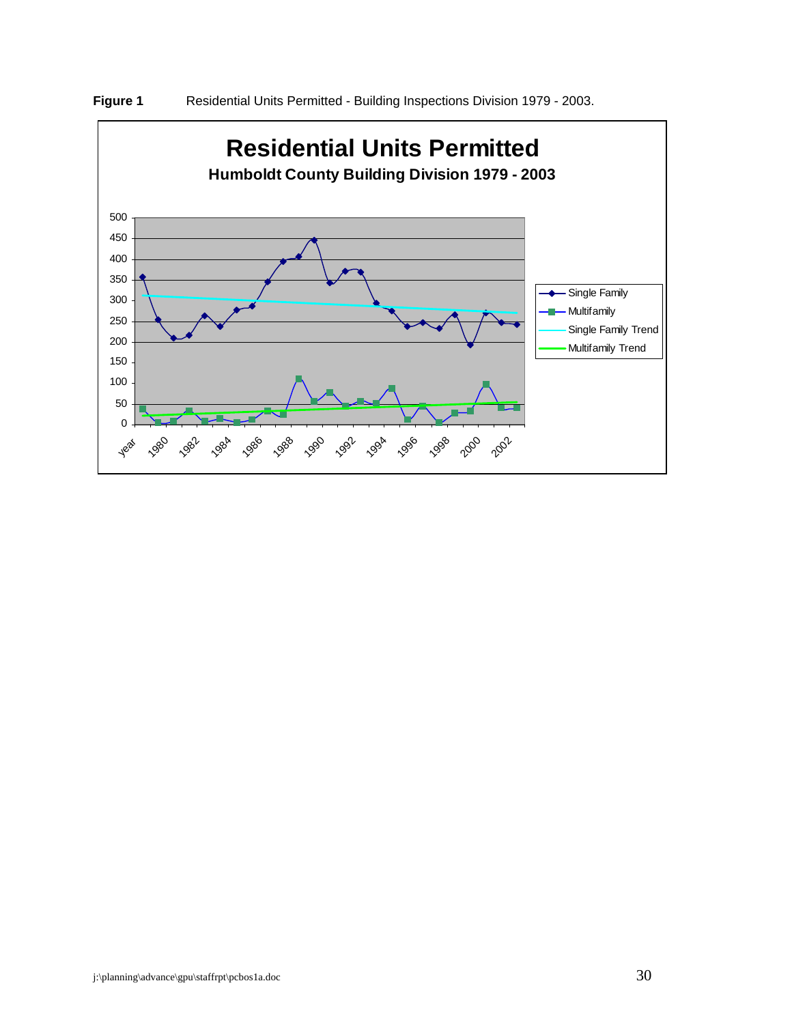

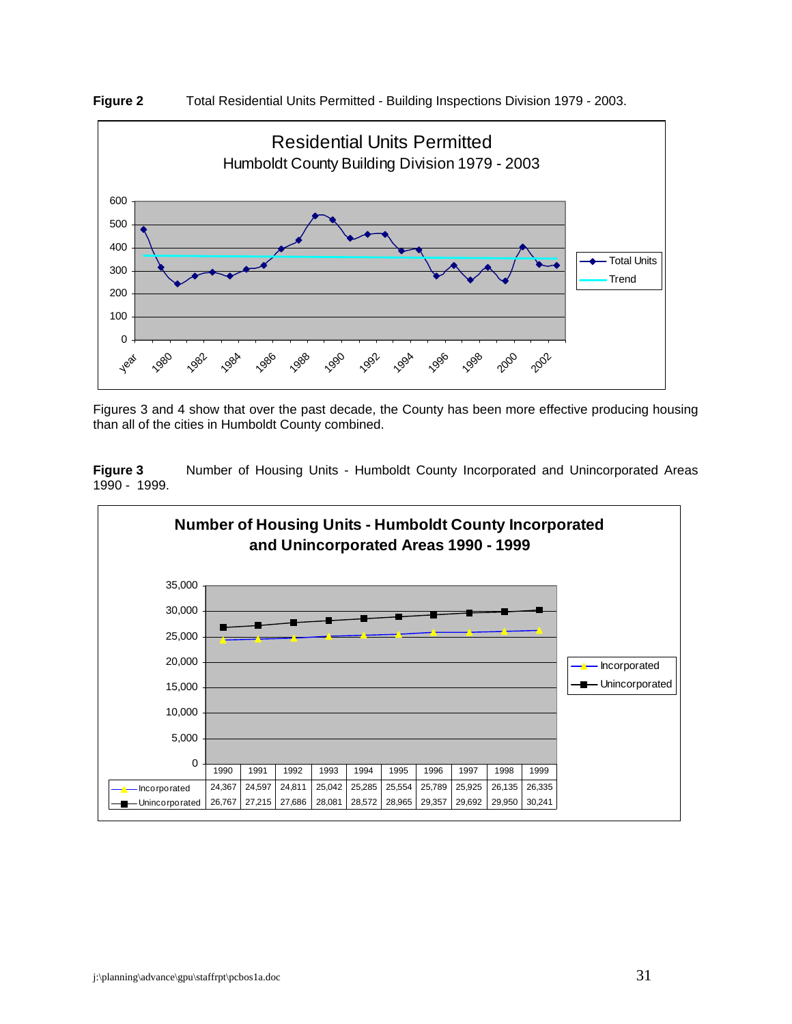



Figures 3 and 4 show that over the past decade, the County has been more effective producing housing than all of the cities in Humboldt County combined.

**Figure 3** Number of Housing Units - Humboldt County Incorporated and Unincorporated Areas 1990 - 1999.

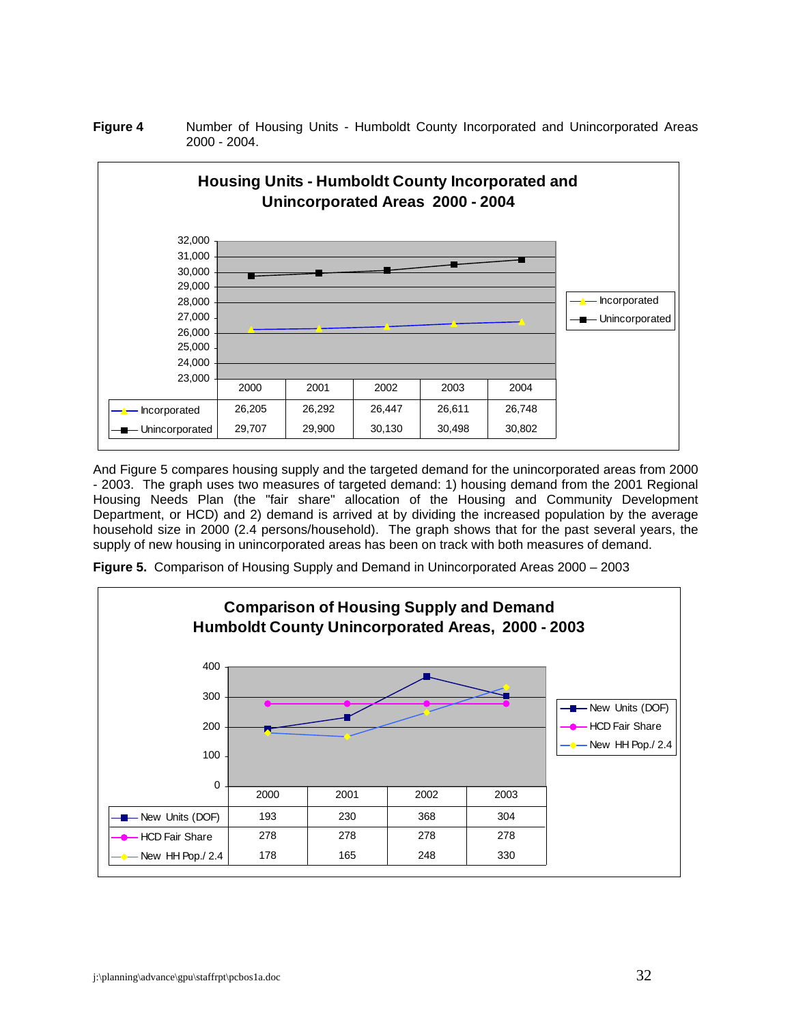**Figure 4** Number of Housing Units - Humboldt County Incorporated and Unincorporated Areas 2000 - 2004.



And Figure 5 compares housing supply and the targeted demand for the unincorporated areas from 2000 - 2003. The graph uses two measures of targeted demand: 1) housing demand from the 2001 Regional Housing Needs Plan (the "fair share" allocation of the Housing and Community Development Department, or HCD) and 2) demand is arrived at by dividing the increased population by the average household size in 2000 (2.4 persons/household). The graph shows that for the past several years, the supply of new housing in unincorporated areas has been on track with both measures of demand.

**Figure 5.** Comparison of Housing Supply and Demand in Unincorporated Areas 2000 – 2003

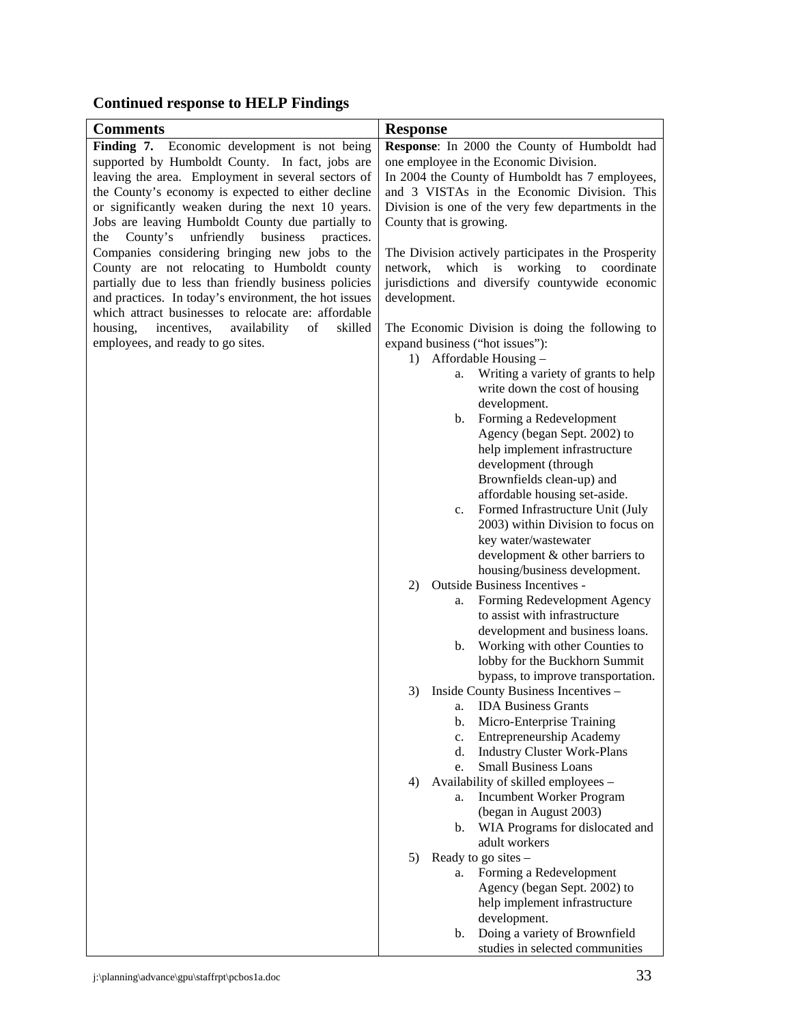# **Continued response to HELP Findings**

| <b>Comments</b>                                                                                 | <b>Response</b>                                                   |
|-------------------------------------------------------------------------------------------------|-------------------------------------------------------------------|
|                                                                                                 |                                                                   |
| Finding 7. Economic development is not being<br>supported by Humboldt County. In fact, jobs are | Response: In 2000 the County of Humboldt had                      |
|                                                                                                 | one employee in the Economic Division.                            |
| leaving the area. Employment in several sectors of                                              | In 2004 the County of Humboldt has 7 employees,                   |
| the County's economy is expected to either decline                                              | and 3 VISTAs in the Economic Division. This                       |
| or significantly weaken during the next 10 years.                                               | Division is one of the very few departments in the                |
| Jobs are leaving Humboldt County due partially to                                               | County that is growing.                                           |
| County's unfriendly<br>business practices.<br>the                                               |                                                                   |
| Companies considering bringing new jobs to the                                                  | The Division actively participates in the Prosperity              |
| County are not relocating to Humboldt county                                                    | which is working to coordinate<br>network.                        |
| partially due to less than friendly business policies                                           | jurisdictions and diversify countywide economic                   |
| and practices. In today's environment, the hot issues                                           | development.                                                      |
| which attract businesses to relocate are: affordable                                            |                                                                   |
| incentives,<br>availability<br>of<br>skilled<br>housing,                                        | The Economic Division is doing the following to                   |
| employees, and ready to go sites.                                                               | expand business ("hot issues"):                                   |
|                                                                                                 | Affordable Housing -<br>1)                                        |
|                                                                                                 | Writing a variety of grants to help<br>a.                         |
|                                                                                                 | write down the cost of housing                                    |
|                                                                                                 | development.                                                      |
|                                                                                                 | Forming a Redevelopment<br>b.                                     |
|                                                                                                 | Agency (began Sept. 2002) to                                      |
|                                                                                                 | help implement infrastructure                                     |
|                                                                                                 | development (through                                              |
|                                                                                                 | Brownfields clean-up) and                                         |
|                                                                                                 | affordable housing set-aside.<br>Formed Infrastructure Unit (July |
|                                                                                                 | c.<br>2003) within Division to focus on                           |
|                                                                                                 | key water/wastewater                                              |
|                                                                                                 | development & other barriers to                                   |
|                                                                                                 | housing/business development.                                     |
|                                                                                                 | Outside Business Incentives -<br>2)                               |
|                                                                                                 | Forming Redevelopment Agency<br>a.                                |
|                                                                                                 | to assist with infrastructure                                     |
|                                                                                                 | development and business loans.                                   |
|                                                                                                 | Working with other Counties to<br>b.                              |
|                                                                                                 | lobby for the Buckhorn Summit                                     |
|                                                                                                 | bypass, to improve transportation.                                |
|                                                                                                 | Inside County Business Incentives -<br>3)                         |
|                                                                                                 | <b>IDA Business Grants</b><br>a.                                  |
|                                                                                                 | Micro-Enterprise Training<br>b.                                   |
|                                                                                                 | <b>Entrepreneurship Academy</b><br>c.                             |
|                                                                                                 | d.<br><b>Industry Cluster Work-Plans</b>                          |
|                                                                                                 | <b>Small Business Loans</b><br>e.                                 |
|                                                                                                 | Availability of skilled employees -<br>4)                         |
|                                                                                                 | Incumbent Worker Program<br>a.                                    |
|                                                                                                 | (began in August 2003)                                            |
|                                                                                                 | WIA Programs for dislocated and<br>b.                             |
|                                                                                                 | adult workers                                                     |
|                                                                                                 | Ready to go sites $-$<br>5)                                       |
|                                                                                                 | Forming a Redevelopment<br>a.                                     |
|                                                                                                 | Agency (began Sept. 2002) to                                      |
|                                                                                                 | help implement infrastructure                                     |
|                                                                                                 | development.                                                      |
|                                                                                                 | Doing a variety of Brownfield<br>b.                               |
|                                                                                                 | studies in selected communities                                   |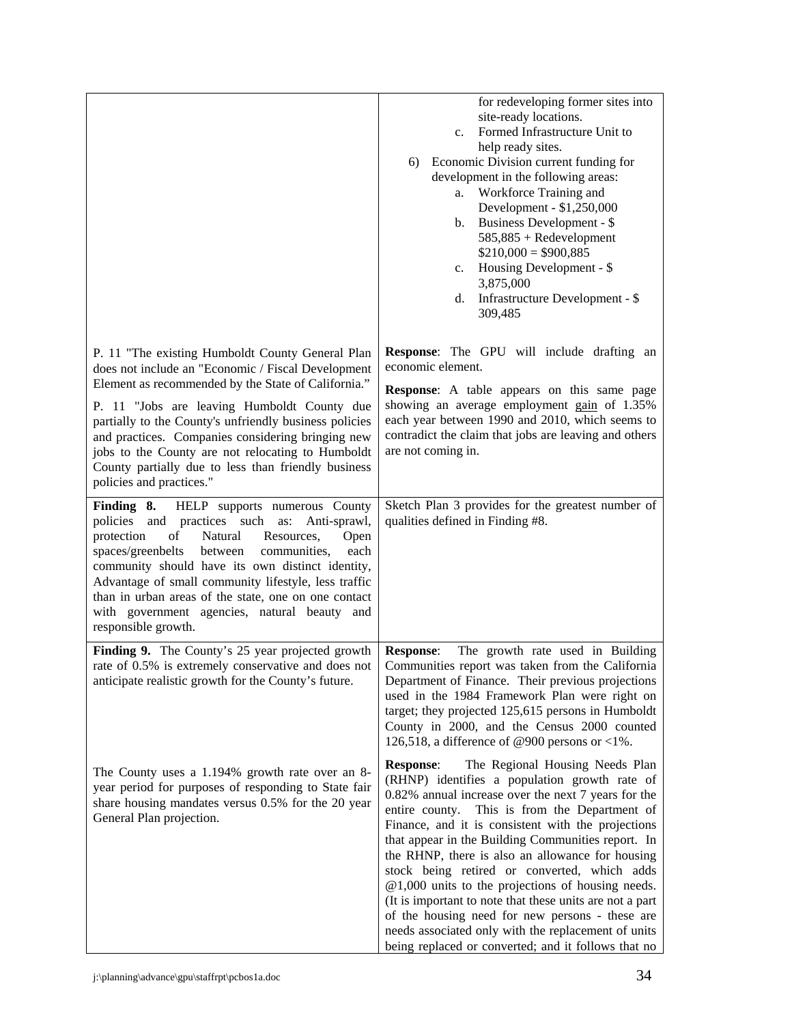|                                                                                                                                                                                                                                                                                                                                                                                                                                                                     | for redeveloping former sites into<br>site-ready locations.<br>Formed Infrastructure Unit to<br>$c_{\cdot}$<br>help ready sites.<br>Economic Division current funding for<br>6)<br>development in the following areas:<br>Workforce Training and<br>a.<br>Development - \$1,250,000<br>Business Development - \$<br>b.<br>$585,885 +$ Redevelopment<br>$$210,000 = $900,885$<br>Housing Development - \$<br>$c_{\cdot}$<br>3,875,000<br>Infrastructure Development - \$<br>d.<br>309,485                                                                                                                                                                                                                         |
|---------------------------------------------------------------------------------------------------------------------------------------------------------------------------------------------------------------------------------------------------------------------------------------------------------------------------------------------------------------------------------------------------------------------------------------------------------------------|------------------------------------------------------------------------------------------------------------------------------------------------------------------------------------------------------------------------------------------------------------------------------------------------------------------------------------------------------------------------------------------------------------------------------------------------------------------------------------------------------------------------------------------------------------------------------------------------------------------------------------------------------------------------------------------------------------------|
| P. 11 "The existing Humboldt County General Plan<br>does not include an "Economic / Fiscal Development<br>Element as recommended by the State of California."<br>P. 11 "Jobs are leaving Humboldt County due<br>partially to the County's unfriendly business policies<br>and practices. Companies considering bringing new<br>jobs to the County are not relocating to Humboldt<br>County partially due to less than friendly business<br>policies and practices." | <b>Response:</b> The GPU will include drafting an<br>economic element.<br><b>Response:</b> A table appears on this same page<br>showing an average employment gain of 1.35%<br>each year between 1990 and 2010, which seems to<br>contradict the claim that jobs are leaving and others<br>are not coming in.                                                                                                                                                                                                                                                                                                                                                                                                    |
| Finding 8. HELP supports numerous County<br>policies and practices such as:<br>Anti-sprawl,<br>protection<br>of<br>Natural<br>Resources,<br>Open<br>spaces/greenbelts<br>between<br>communities,<br>each<br>community should have its own distinct identity,<br>Advantage of small community lifestyle, less traffic<br>than in urban areas of the state, one on one contact<br>with government agencies, natural beauty and<br>responsible growth.                 | Sketch Plan 3 provides for the greatest number of<br>qualities defined in Finding #8.                                                                                                                                                                                                                                                                                                                                                                                                                                                                                                                                                                                                                            |
| Finding 9. The County's 25 year projected growth<br>rate of 0.5% is extremely conservative and does not<br>anticipate realistic growth for the County's future.                                                                                                                                                                                                                                                                                                     | <b>Response:</b><br>The growth rate used in Building<br>Communities report was taken from the California<br>Department of Finance. Their previous projections<br>used in the 1984 Framework Plan were right on<br>target; they projected 125,615 persons in Humboldt<br>County in 2000, and the Census 2000 counted<br>126,518, a difference of @900 persons or <1%.                                                                                                                                                                                                                                                                                                                                             |
| The County uses a 1.194% growth rate over an 8-<br>year period for purposes of responding to State fair<br>share housing mandates versus 0.5% for the 20 year<br>General Plan projection.                                                                                                                                                                                                                                                                           | The Regional Housing Needs Plan<br><b>Response:</b><br>(RHNP) identifies a population growth rate of<br>0.82% annual increase over the next 7 years for the<br>entire county. This is from the Department of<br>Finance, and it is consistent with the projections<br>that appear in the Building Communities report. In<br>the RHNP, there is also an allowance for housing<br>stock being retired or converted, which adds<br>$@1,000$ units to the projections of housing needs.<br>(It is important to note that these units are not a part<br>of the housing need for new persons - these are<br>needs associated only with the replacement of units<br>being replaced or converted; and it follows that no |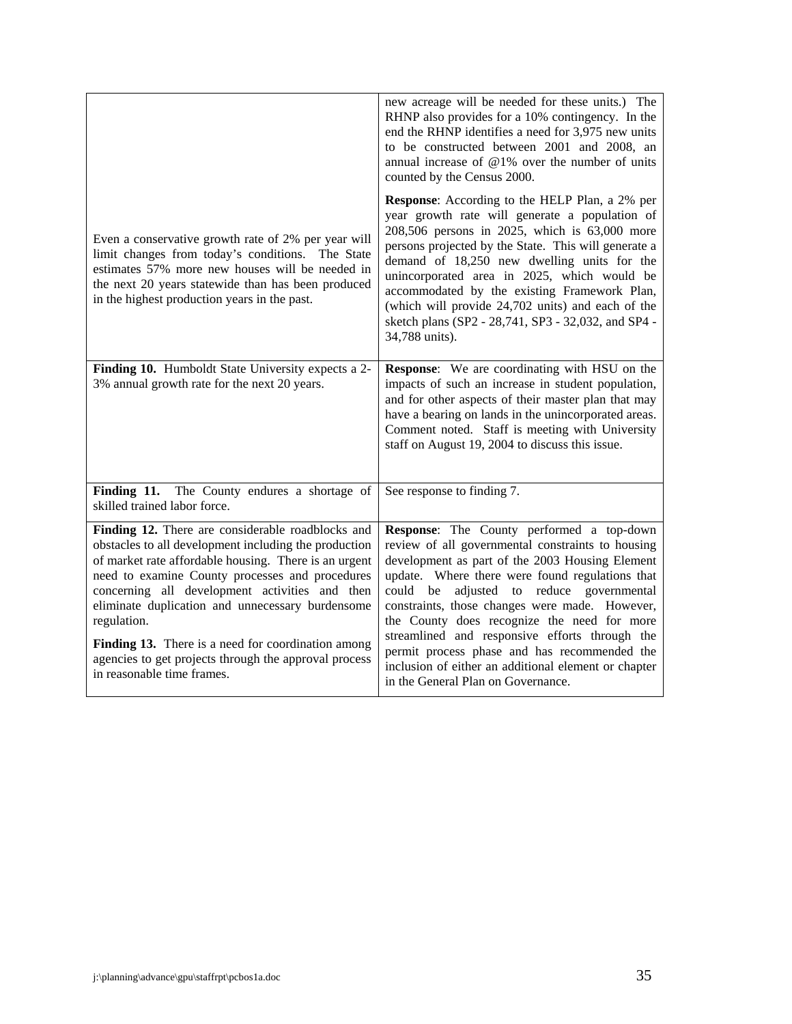|                                                                                                                                                                                                                                                                                                                                                                                                                                                                                          | new acreage will be needed for these units.) The<br>RHNP also provides for a 10% contingency. In the<br>end the RHNP identifies a need for 3,975 new units<br>to be constructed between 2001 and 2008, an<br>annual increase of $@1%$ over the number of units<br>counted by the Census 2000.                                                                                                                                                                                                                                                           |
|------------------------------------------------------------------------------------------------------------------------------------------------------------------------------------------------------------------------------------------------------------------------------------------------------------------------------------------------------------------------------------------------------------------------------------------------------------------------------------------|---------------------------------------------------------------------------------------------------------------------------------------------------------------------------------------------------------------------------------------------------------------------------------------------------------------------------------------------------------------------------------------------------------------------------------------------------------------------------------------------------------------------------------------------------------|
| Even a conservative growth rate of 2% per year will<br>limit changes from today's conditions. The State<br>estimates 57% more new houses will be needed in<br>the next 20 years statewide than has been produced<br>in the highest production years in the past.                                                                                                                                                                                                                         | <b>Response:</b> According to the HELP Plan, a 2% per<br>year growth rate will generate a population of<br>208,506 persons in 2025, which is 63,000 more<br>persons projected by the State. This will generate a<br>demand of 18,250 new dwelling units for the<br>unincorporated area in 2025, which would be<br>accommodated by the existing Framework Plan,<br>(which will provide 24,702 units) and each of the<br>sketch plans (SP2 - 28,741, SP3 - 32,032, and SP4 -<br>34,788 units).                                                            |
| Finding 10. Humboldt State University expects a 2-<br>3% annual growth rate for the next 20 years.                                                                                                                                                                                                                                                                                                                                                                                       | Response: We are coordinating with HSU on the<br>impacts of such an increase in student population,<br>and for other aspects of their master plan that may<br>have a bearing on lands in the unincorporated areas.<br>Comment noted. Staff is meeting with University<br>staff on August 19, 2004 to discuss this issue.                                                                                                                                                                                                                                |
| Finding 11. The County endures a shortage of<br>skilled trained labor force.                                                                                                                                                                                                                                                                                                                                                                                                             | See response to finding 7.                                                                                                                                                                                                                                                                                                                                                                                                                                                                                                                              |
| Finding 12. There are considerable roadblocks and<br>obstacles to all development including the production<br>of market rate affordable housing. There is an urgent<br>need to examine County processes and procedures<br>concerning all development activities and then<br>eliminate duplication and unnecessary burdensome<br>regulation.<br>Finding 13. There is a need for coordination among<br>agencies to get projects through the approval process<br>in reasonable time frames. | Response: The County performed a top-down<br>review of all governmental constraints to housing<br>development as part of the 2003 Housing Element<br>update. Where there were found regulations that<br>could<br>adjusted to reduce governmental<br>be<br>constraints, those changes were made. However,<br>the County does recognize the need for more<br>streamlined and responsive efforts through the<br>permit process phase and has recommended the<br>inclusion of either an additional element or chapter<br>in the General Plan on Governance. |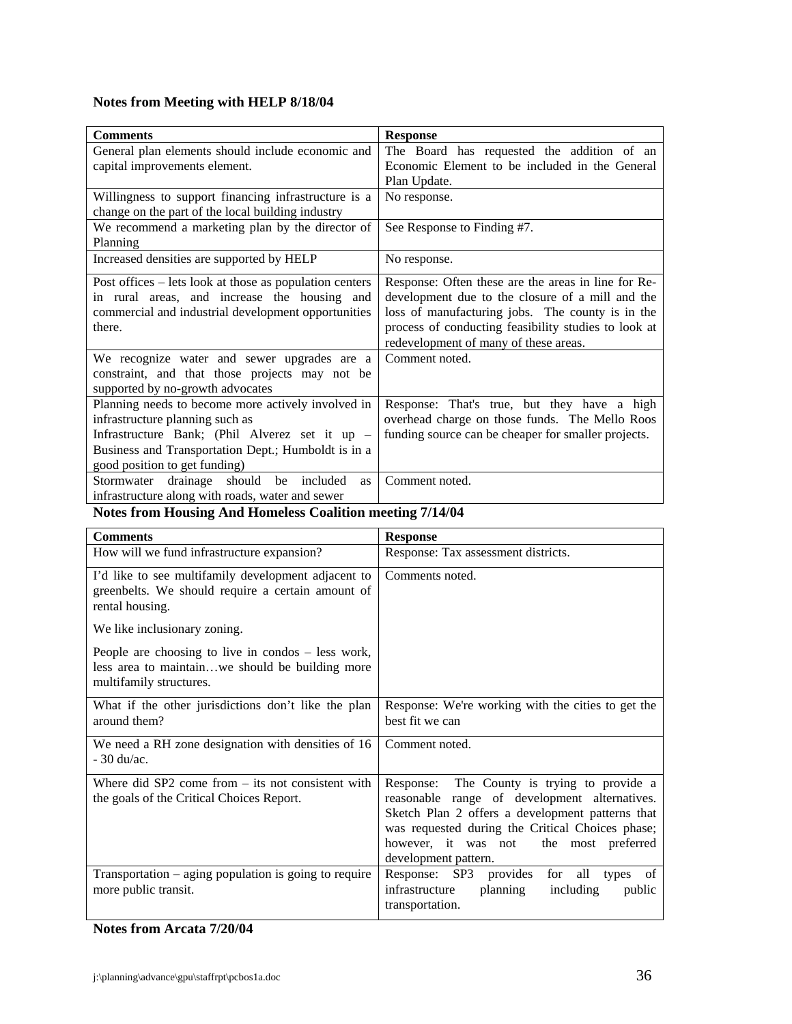# **Notes from Meeting with HELP 8/18/04**

| <b>Comments</b>                                         | <b>Response</b>                                      |
|---------------------------------------------------------|------------------------------------------------------|
| General plan elements should include economic and       | The Board has requested the addition of an           |
| capital improvements element.                           | Economic Element to be included in the General       |
|                                                         | Plan Update.                                         |
| Willingness to support financing infrastructure is a    | No response.                                         |
| change on the part of the local building industry       |                                                      |
| We recommend a marketing plan by the director of        | See Response to Finding #7.                          |
| Planning                                                |                                                      |
| Increased densities are supported by HELP               | No response.                                         |
| Post offices – lets look at those as population centers | Response: Often these are the areas in line for Re-  |
| in rural areas, and increase the housing and            | development due to the closure of a mill and the     |
| commercial and industrial development opportunities     | loss of manufacturing jobs. The county is in the     |
| there.                                                  | process of conducting feasibility studies to look at |
|                                                         | redevelopment of many of these areas.                |
| We recognize water and sewer upgrades are a             | Comment noted.                                       |
| constraint, and that those projects may not be          |                                                      |
| supported by no-growth advocates                        |                                                      |
| Planning needs to become more actively involved in      | Response: That's true, but they have a high          |
| infrastructure planning such as                         | overhead charge on those funds. The Mello Roos       |
| Infrastructure Bank; (Phil Alverez set it up -          | funding source can be cheaper for smaller projects.  |
| Business and Transportation Dept.; Humboldt is in a     |                                                      |
| good position to get funding)                           |                                                      |
| Stormwater drainage should be included<br>as            | Comment noted.                                       |
| infrastructure along with roads, water and sewer        |                                                      |

# **Notes from Housing And Homeless Coalition meeting 7/14/04**

| <b>Comments</b>                                                                                                                    | <b>Response</b>                                                                                                                                                                                                                                                           |
|------------------------------------------------------------------------------------------------------------------------------------|---------------------------------------------------------------------------------------------------------------------------------------------------------------------------------------------------------------------------------------------------------------------------|
| How will we fund infrastructure expansion?                                                                                         | Response: Tax assessment districts.                                                                                                                                                                                                                                       |
| I'd like to see multifamily development adjacent to<br>greenbelts. We should require a certain amount of<br>rental housing.        | Comments noted.                                                                                                                                                                                                                                                           |
| We like inclusionary zoning.                                                                                                       |                                                                                                                                                                                                                                                                           |
| People are choosing to live in condos $-$ less work,<br>less area to maintainwe should be building more<br>multifamily structures. |                                                                                                                                                                                                                                                                           |
| What if the other jurisdictions don't like the plan<br>around them?                                                                | Response: We're working with the cities to get the<br>best fit we can                                                                                                                                                                                                     |
| We need a RH zone designation with densities of 16<br>$-30 \frac{\text{du}}{\text{ac}}$ .                                          | Comment noted.                                                                                                                                                                                                                                                            |
| Where did $SP2$ come from $-$ its not consistent with<br>the goals of the Critical Choices Report.                                 | Response: The County is trying to provide a<br>reasonable range of development alternatives.<br>Sketch Plan 2 offers a development patterns that<br>was requested during the Critical Choices phase;<br>however, it was not<br>the most preferred<br>development pattern. |
| Transportation $-$ aging population is going to require<br>more public transit.                                                    | Response: SP3 provides<br>for<br>all<br>types<br>of<br>infrastructure<br>planning<br>including<br>public<br>transportation.                                                                                                                                               |

# **Notes from Arcata 7/20/04**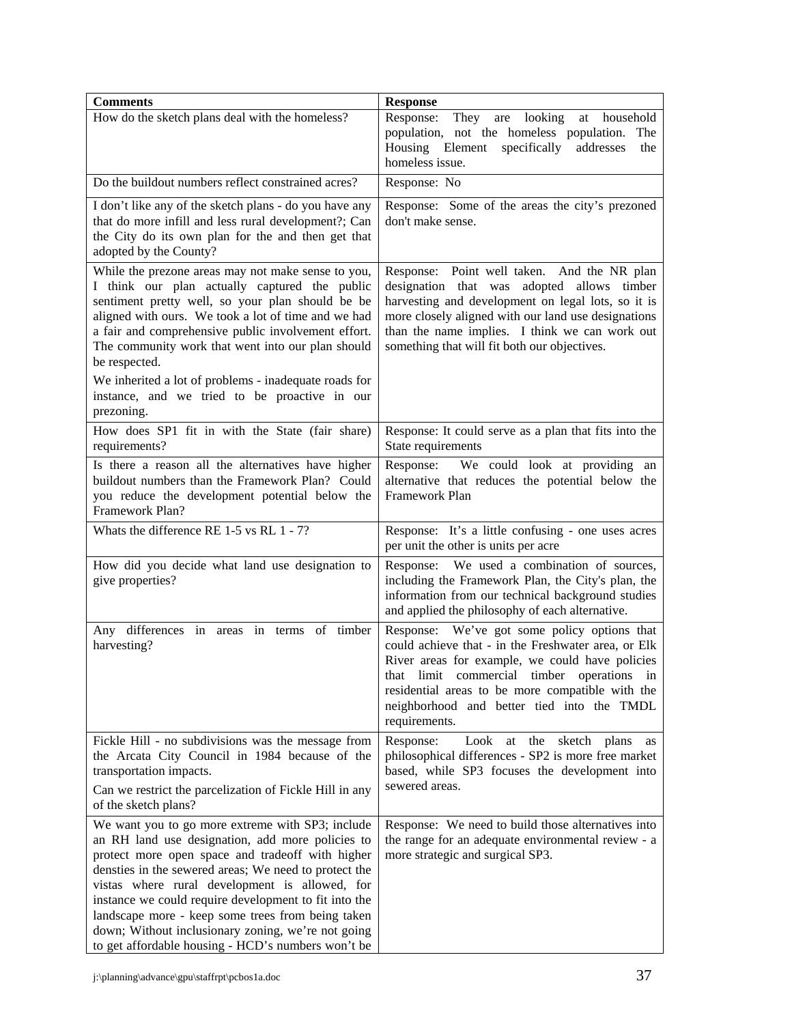| <b>Comments</b>                                                                                                                                                                                                                                                                                                                                                                                                                                                                               | <b>Response</b>                                                                                                                                                                                                                                                                                                            |
|-----------------------------------------------------------------------------------------------------------------------------------------------------------------------------------------------------------------------------------------------------------------------------------------------------------------------------------------------------------------------------------------------------------------------------------------------------------------------------------------------|----------------------------------------------------------------------------------------------------------------------------------------------------------------------------------------------------------------------------------------------------------------------------------------------------------------------------|
| How do the sketch plans deal with the homeless?                                                                                                                                                                                                                                                                                                                                                                                                                                               | Response:<br>They<br>are looking<br>at household<br>population, not the homeless population.<br>The<br>specifically<br>Housing Element<br>addresses<br>the<br>homeless issue.                                                                                                                                              |
| Do the buildout numbers reflect constrained acres?                                                                                                                                                                                                                                                                                                                                                                                                                                            | Response: No                                                                                                                                                                                                                                                                                                               |
| I don't like any of the sketch plans - do you have any<br>that do more infill and less rural development?; Can<br>the City do its own plan for the and then get that<br>adopted by the County?                                                                                                                                                                                                                                                                                                | Response: Some of the areas the city's prezoned<br>don't make sense.                                                                                                                                                                                                                                                       |
| While the prezone areas may not make sense to you,<br>I think our plan actually captured the public<br>sentiment pretty well, so your plan should be be<br>aligned with ours. We took a lot of time and we had<br>a fair and comprehensive public involvement effort.<br>The community work that went into our plan should<br>be respected.                                                                                                                                                   | Response: Point well taken. And the NR plan<br>designation that was adopted allows timber<br>harvesting and development on legal lots, so it is<br>more closely aligned with our land use designations<br>than the name implies. I think we can work out<br>something that will fit both our objectives.                   |
| We inherited a lot of problems - inadequate roads for<br>instance, and we tried to be proactive in our<br>prezoning.                                                                                                                                                                                                                                                                                                                                                                          |                                                                                                                                                                                                                                                                                                                            |
| How does SP1 fit in with the State (fair share)<br>requirements?                                                                                                                                                                                                                                                                                                                                                                                                                              | Response: It could serve as a plan that fits into the<br>State requirements                                                                                                                                                                                                                                                |
| Is there a reason all the alternatives have higher<br>buildout numbers than the Framework Plan? Could<br>you reduce the development potential below the<br>Framework Plan?                                                                                                                                                                                                                                                                                                                    | Response: We could look at providing an<br>alternative that reduces the potential below the<br>Framework Plan                                                                                                                                                                                                              |
| Whats the difference RE 1-5 vs RL 1 - 7?                                                                                                                                                                                                                                                                                                                                                                                                                                                      | Response: It's a little confusing - one uses acres<br>per unit the other is units per acre                                                                                                                                                                                                                                 |
| How did you decide what land use designation to<br>give properties?                                                                                                                                                                                                                                                                                                                                                                                                                           | Response: We used a combination of sources,<br>including the Framework Plan, the City's plan, the<br>information from our technical background studies<br>and applied the philosophy of each alternative.                                                                                                                  |
| Any differences in areas in terms of timber<br>harvesting?                                                                                                                                                                                                                                                                                                                                                                                                                                    | Response: We've got some policy options that<br>could achieve that - in the Freshwater area, or Elk<br>River areas for example, we could have policies<br>that limit commercial timber operations<br>1n<br>residential areas to be more compatible with the<br>neighborhood and better tied into the TMDL<br>requirements. |
| Fickle Hill - no subdivisions was the message from<br>the Arcata City Council in 1984 because of the<br>transportation impacts.                                                                                                                                                                                                                                                                                                                                                               | Look<br>the<br>Response:<br>at<br>sketch plans<br>as<br>philosophical differences - SP2 is more free market<br>based, while SP3 focuses the development into<br>sewered areas.                                                                                                                                             |
| Can we restrict the parcelization of Fickle Hill in any<br>of the sketch plans?                                                                                                                                                                                                                                                                                                                                                                                                               |                                                                                                                                                                                                                                                                                                                            |
| We want you to go more extreme with SP3; include<br>an RH land use designation, add more policies to<br>protect more open space and tradeoff with higher<br>densties in the sewered areas; We need to protect the<br>vistas where rural development is allowed, for<br>instance we could require development to fit into the<br>landscape more - keep some trees from being taken<br>down; Without inclusionary zoning, we're not going<br>to get affordable housing - HCD's numbers won't be | Response: We need to build those alternatives into<br>the range for an adequate environmental review - a<br>more strategic and surgical SP3.                                                                                                                                                                               |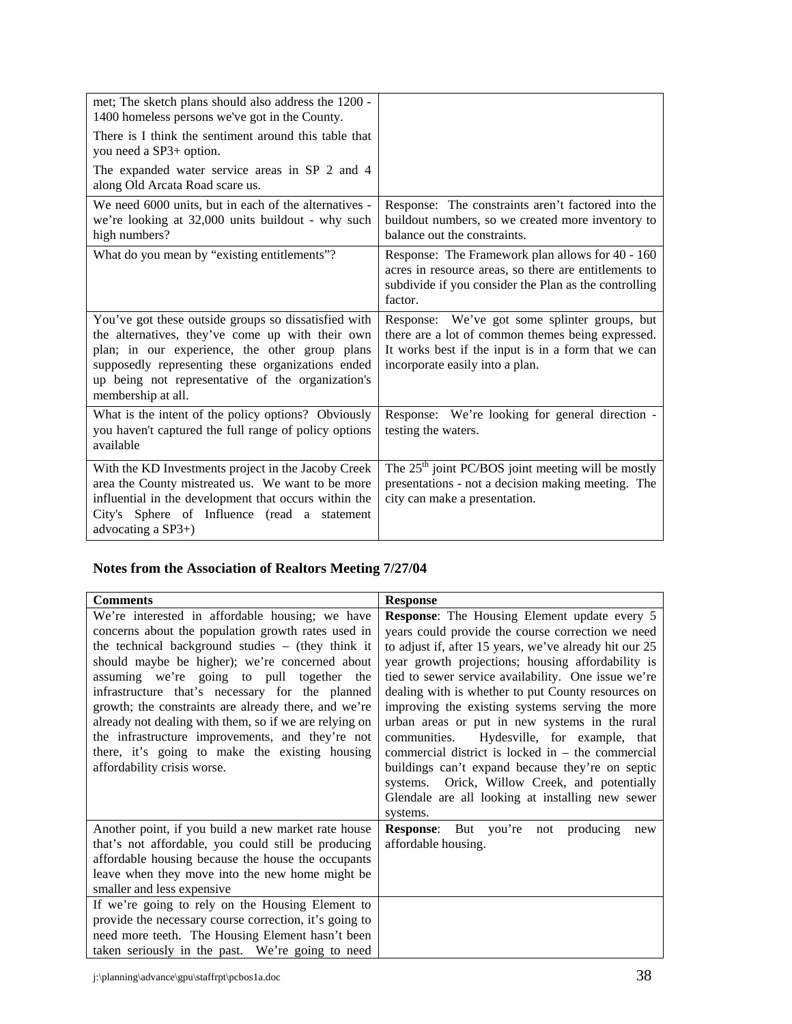| met; The sketch plans should also address the 1200 -<br>1400 homeless persons we've got in the County.                                                                                                                                                                                     |                                                                                                                                                                                              |
|--------------------------------------------------------------------------------------------------------------------------------------------------------------------------------------------------------------------------------------------------------------------------------------------|----------------------------------------------------------------------------------------------------------------------------------------------------------------------------------------------|
| There is I think the sentiment around this table that<br>you need a SP3+ option.                                                                                                                                                                                                           |                                                                                                                                                                                              |
| The expanded water service areas in SP 2 and 4<br>along Old Arcata Road scare us.                                                                                                                                                                                                          |                                                                                                                                                                                              |
| We need 6000 units, but in each of the alternatives -<br>we're looking at 32,000 units buildout - why such<br>high numbers?                                                                                                                                                                | Response: The constraints aren't factored into the<br>buildout numbers, so we created more inventory to<br>balance out the constraints.                                                      |
| What do you mean by "existing entitlements"?                                                                                                                                                                                                                                               | Response: The Framework plan allows for 40 - 160<br>acres in resource areas, so there are entitlements to<br>subdivide if you consider the Plan as the controlling<br>factor.                |
| You've got these outside groups so dissatisfied with<br>the alternatives, they've come up with their own<br>plan; in our experience, the other group plans<br>supposedly representing these organizations ended<br>up being not representative of the organization's<br>membership at all. | Response: We've got some splinter groups, but<br>there are a lot of common themes being expressed.<br>It works best if the input is in a form that we can<br>incorporate easily into a plan. |
| What is the intent of the policy options? Obviously<br>you haven't captured the full range of policy options<br>available                                                                                                                                                                  | Response: We're looking for general direction -<br>testing the waters.                                                                                                                       |
| With the KD Investments project in the Jacoby Creek<br>area the County mistreated us. We want to be more<br>influential in the development that occurs within the<br>City's Sphere of Influence (read a statement<br>advocating a $SP3+$ )                                                 | The $25th$ joint PC/BOS joint meeting will be mostly<br>presentations - not a decision making meeting. The<br>city can make a presentation.                                                  |

# **Notes from the Association of Realtors Meeting 7/27/04**

| <b>Comments</b>                                                                                                                                                                                                                                                                                                                                                                                                                                                                                                                                                       | <b>Response</b>                                                                                                                                                                                                                                                                                                                                                                                                                                                                                                                                                                                                                                                                                                     |
|-----------------------------------------------------------------------------------------------------------------------------------------------------------------------------------------------------------------------------------------------------------------------------------------------------------------------------------------------------------------------------------------------------------------------------------------------------------------------------------------------------------------------------------------------------------------------|---------------------------------------------------------------------------------------------------------------------------------------------------------------------------------------------------------------------------------------------------------------------------------------------------------------------------------------------------------------------------------------------------------------------------------------------------------------------------------------------------------------------------------------------------------------------------------------------------------------------------------------------------------------------------------------------------------------------|
| We're interested in affordable housing; we have<br>concerns about the population growth rates used in<br>the technical background studies $-$ (they think it<br>should maybe be higher); we're concerned about<br>assuming we're going to pull together the<br>infrastructure that's necessary for the planned<br>growth; the constraints are already there, and we're<br>already not dealing with them, so if we are relying on<br>the infrastructure improvements, and they're not<br>there, it's going to make the existing housing<br>affordability crisis worse. | <b>Response:</b> The Housing Element update every 5<br>years could provide the course correction we need<br>to adjust if, after 15 years, we've already hit our 25<br>year growth projections; housing affordability is<br>tied to sewer service availability. One issue we're<br>dealing with is whether to put County resources on<br>improving the existing systems serving the more<br>urban areas or put in new systems in the rural<br>communities. Hydesville, for example, that<br>commercial district is locked in $-$ the commercial<br>buildings can't expand because they're on septic<br>systems. Orick, Willow Creek, and potentially<br>Glendale are all looking at installing new sewer<br>systems. |
| Another point, if you build a new market rate house<br>that's not affordable, you could still be producing<br>affordable housing because the house the occupants<br>leave when they move into the new home might be<br>smaller and less expensive<br>If we're going to rely on the Housing Element to                                                                                                                                                                                                                                                                 | <b>Response:</b> But you're not producing<br>new<br>affordable housing.                                                                                                                                                                                                                                                                                                                                                                                                                                                                                                                                                                                                                                             |
| provide the necessary course correction, it's going to<br>need more teeth. The Housing Element hasn't been<br>taken seriously in the past. We're going to need                                                                                                                                                                                                                                                                                                                                                                                                        |                                                                                                                                                                                                                                                                                                                                                                                                                                                                                                                                                                                                                                                                                                                     |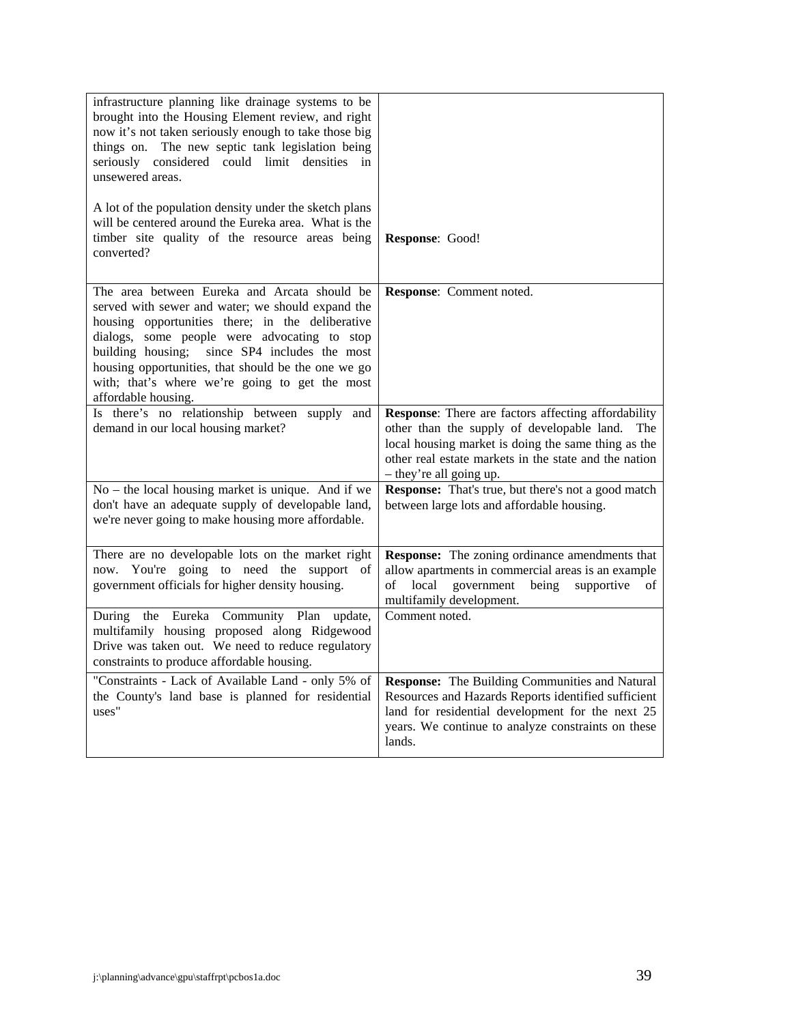| infrastructure planning like drainage systems to be<br>brought into the Housing Element review, and right<br>now it's not taken seriously enough to take those big<br>things on. The new septic tank legislation being<br>seriously considered could limit densities<br>in<br>unsewered areas.<br>A lot of the population density under the sketch plans<br>will be centered around the Eureka area. What is the |                                                                                                                                                                                                                                                     |
|------------------------------------------------------------------------------------------------------------------------------------------------------------------------------------------------------------------------------------------------------------------------------------------------------------------------------------------------------------------------------------------------------------------|-----------------------------------------------------------------------------------------------------------------------------------------------------------------------------------------------------------------------------------------------------|
| timber site quality of the resource areas being<br>converted?                                                                                                                                                                                                                                                                                                                                                    | Response: Good!                                                                                                                                                                                                                                     |
| The area between Eureka and Arcata should be<br>served with sewer and water; we should expand the<br>housing opportunities there; in the deliberative<br>dialogs, some people were advocating to stop<br>building housing; since SP4 includes the most<br>housing opportunities, that should be the one we go<br>with; that's where we're going to get the most<br>affordable housing.                           | Response: Comment noted.                                                                                                                                                                                                                            |
| Is there's no relationship between supply and<br>demand in our local housing market?                                                                                                                                                                                                                                                                                                                             | Response: There are factors affecting affordability<br>other than the supply of developable land.<br>The<br>local housing market is doing the same thing as the<br>other real estate markets in the state and the nation<br>- they're all going up. |
| No - the local housing market is unique. And if we<br>don't have an adequate supply of developable land,<br>we're never going to make housing more affordable.                                                                                                                                                                                                                                                   | Response: That's true, but there's not a good match<br>between large lots and affordable housing.                                                                                                                                                   |
| There are no developable lots on the market right<br>now. You're going to need the support of<br>government officials for higher density housing.                                                                                                                                                                                                                                                                | <b>Response:</b> The zoning ordinance amendments that<br>allow apartments in commercial areas is an example<br>of<br>local<br>government<br>being<br>supportive<br>of<br>multifamily development.                                                   |
| During the Eureka Community Plan<br>update,<br>multifamily housing proposed along Ridgewood<br>Drive was taken out. We need to reduce regulatory<br>constraints to produce affordable housing.                                                                                                                                                                                                                   | Comment noted.                                                                                                                                                                                                                                      |
| "Constraints - Lack of Available Land - only 5% of<br>the County's land base is planned for residential<br>uses"                                                                                                                                                                                                                                                                                                 | Response: The Building Communities and Natural<br>Resources and Hazards Reports identified sufficient<br>land for residential development for the next 25<br>years. We continue to analyze constraints on these<br>lands.                           |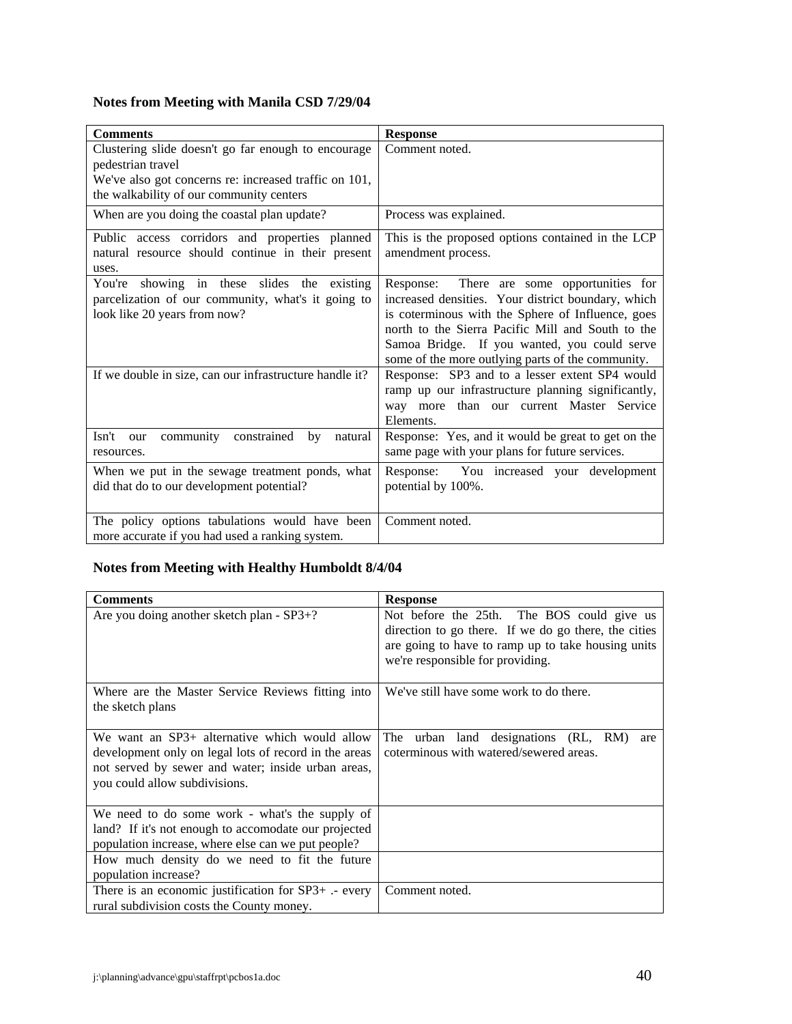# **Notes from Meeting with Manila CSD 7/29/04**

| <b>Comments</b>                                                                                                                                                               | <b>Response</b>                                                                                                                                                                                                                                                                                                    |
|-------------------------------------------------------------------------------------------------------------------------------------------------------------------------------|--------------------------------------------------------------------------------------------------------------------------------------------------------------------------------------------------------------------------------------------------------------------------------------------------------------------|
| Clustering slide doesn't go far enough to encourage<br>pedestrian travel<br>We've also got concerns re: increased traffic on 101,<br>the walkability of our community centers | Comment noted.                                                                                                                                                                                                                                                                                                     |
| When are you doing the coastal plan update?                                                                                                                                   | Process was explained.                                                                                                                                                                                                                                                                                             |
| Public access corridors and properties planned<br>natural resource should continue in their present<br>uses.                                                                  | This is the proposed options contained in the LCP<br>amendment process.                                                                                                                                                                                                                                            |
| You're showing in these slides the existing<br>parcelization of our community, what's it going to<br>look like 20 years from now?                                             | There are some opportunities for<br>Response:<br>increased densities. Your district boundary, which<br>is coterminous with the Sphere of Influence, goes<br>north to the Sierra Pacific Mill and South to the<br>Samoa Bridge. If you wanted, you could serve<br>some of the more outlying parts of the community. |
| If we double in size, can our infrastructure handle it?                                                                                                                       | Response: SP3 and to a lesser extent SP4 would<br>ramp up our infrastructure planning significantly,<br>way more than our current Master Service<br>Elements.                                                                                                                                                      |
| community constrained<br>Isn't<br>by<br>natural<br>our<br>resources.                                                                                                          | Response: Yes, and it would be great to get on the<br>same page with your plans for future services.                                                                                                                                                                                                               |
| When we put in the sewage treatment ponds, what<br>did that do to our development potential?                                                                                  | Response: You increased your development<br>potential by 100%.                                                                                                                                                                                                                                                     |
| The policy options tabulations would have been<br>more accurate if you had used a ranking system.                                                                             | Comment noted.                                                                                                                                                                                                                                                                                                     |

# **Notes from Meeting with Healthy Humboldt 8/4/04**

| <b>Comments</b>                                                                                                                                                                               | <b>Response</b>                                                                                                                                                                              |
|-----------------------------------------------------------------------------------------------------------------------------------------------------------------------------------------------|----------------------------------------------------------------------------------------------------------------------------------------------------------------------------------------------|
| Are you doing another sketch plan - SP3+?                                                                                                                                                     | Not before the 25th. The BOS could give us<br>direction to go there. If we do go there, the cities<br>are going to have to ramp up to take housing units<br>we're responsible for providing. |
| Where are the Master Service Reviews fitting into<br>the sketch plans                                                                                                                         | We've still have some work to do there.                                                                                                                                                      |
| We want an SP3+ alternative which would allow<br>development only on legal lots of record in the areas<br>not served by sewer and water; inside urban areas,<br>you could allow subdivisions. | The urban land designations (RL, RM)<br>are<br>coterminous with watered/sewered areas.                                                                                                       |
| We need to do some work - what's the supply of<br>land? If it's not enough to accomodate our projected<br>population increase, where else can we put people?                                  |                                                                                                                                                                                              |
| How much density do we need to fit the future<br>population increase?                                                                                                                         |                                                                                                                                                                                              |
| There is an economic justification for SP3+ .- every<br>rural subdivision costs the County money.                                                                                             | Comment noted.                                                                                                                                                                               |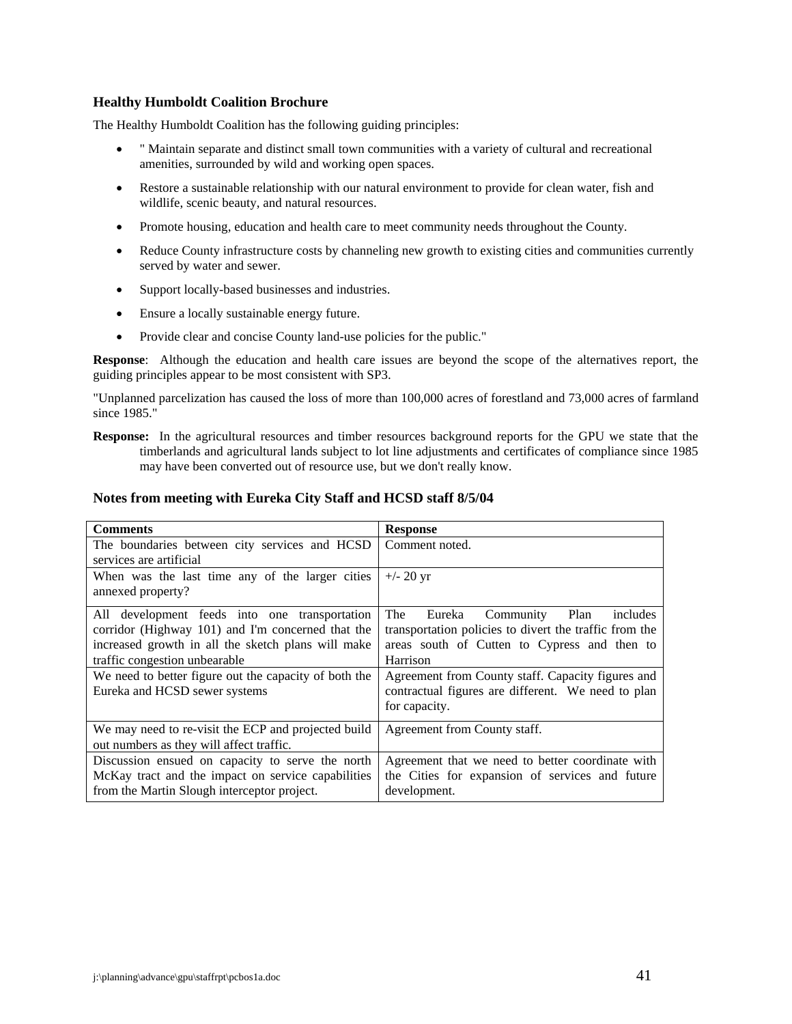### **Healthy Humboldt Coalition Brochure**

The Healthy Humboldt Coalition has the following guiding principles:

- " Maintain separate and distinct small town communities with a variety of cultural and recreational amenities, surrounded by wild and working open spaces.
- Restore a sustainable relationship with our natural environment to provide for clean water, fish and wildlife, scenic beauty, and natural resources.
- Promote housing, education and health care to meet community needs throughout the County.
- Reduce County infrastructure costs by channeling new growth to existing cities and communities currently served by water and sewer.
- Support locally-based businesses and industries.
- Ensure a locally sustainable energy future.
- Provide clear and concise County land-use policies for the public."

**Response**: Although the education and health care issues are beyond the scope of the alternatives report, the guiding principles appear to be most consistent with SP3.

"Unplanned parcelization has caused the loss of more than 100,000 acres of forestland and 73,000 acres of farmland since 1985."

**Response:** In the agricultural resources and timber resources background reports for the GPU we state that the timberlands and agricultural lands subject to lot line adjustments and certificates of compliance since 1985 may have been converted out of resource use, but we don't really know.

### **Notes from meeting with Eureka City Staff and HCSD staff 8/5/04**

| <b>Comments</b>                                       | <b>Response</b>                                        |
|-------------------------------------------------------|--------------------------------------------------------|
| The boundaries between city services and HCSD         | Comment noted.                                         |
| services are artificial                               |                                                        |
| When was the last time any of the larger cities       | $+/- 20 \text{ yr}$                                    |
| annexed property?                                     |                                                        |
| All development feeds into one transportation         | Community<br>Plan<br>The<br>Eureka<br>includes         |
| corridor (Highway 101) and I'm concerned that the     | transportation policies to divert the traffic from the |
| increased growth in all the sketch plans will make    | areas south of Cutten to Cypress and then to           |
| traffic congestion unbearable                         | Harrison                                               |
| We need to better figure out the capacity of both the | Agreement from County staff. Capacity figures and      |
| Eureka and HCSD sewer systems                         | contractual figures are different. We need to plan     |
|                                                       | for capacity.                                          |
| We may need to re-visit the ECP and projected build   | Agreement from County staff.                           |
| out numbers as they will affect traffic.              |                                                        |
| Discussion ensued on capacity to serve the north      | Agreement that we need to better coordinate with       |
| McKay tract and the impact on service capabilities    | the Cities for expansion of services and future        |
| from the Martin Slough interceptor project.           | development.                                           |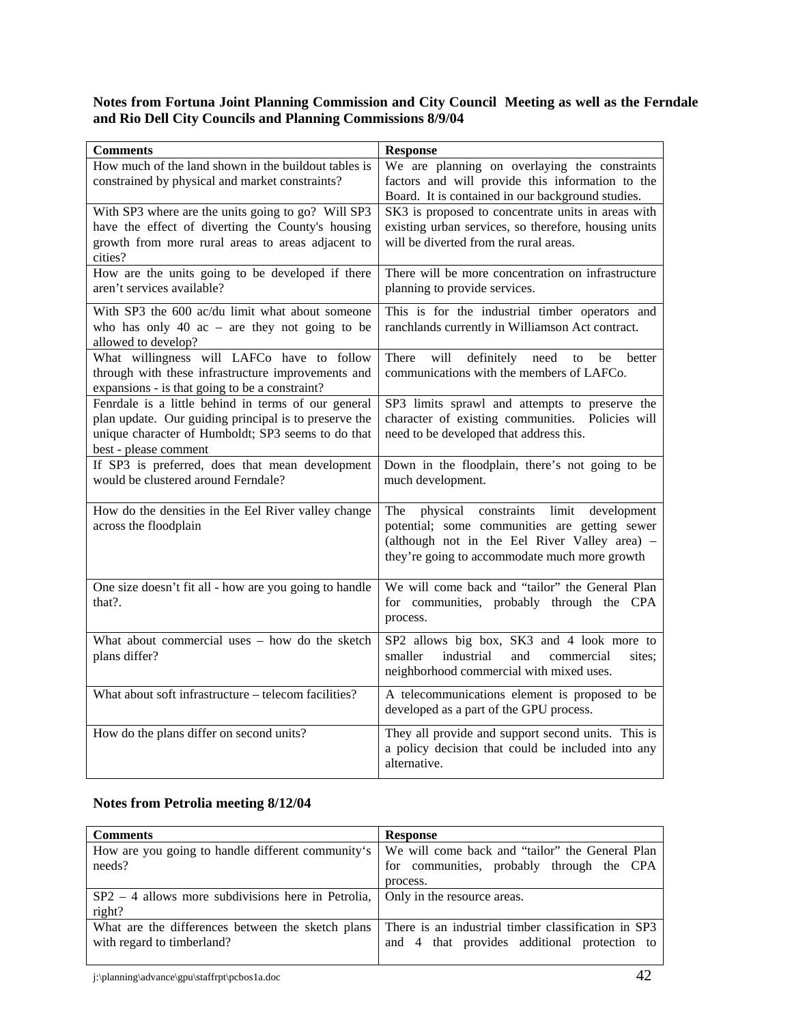# **Notes from Fortuna Joint Planning Commission and City Council Meeting as well as the Ferndale and Rio Dell City Councils and Planning Commissions 8/9/04**

| <b>Comments</b>                                                                                                                                                                             | <b>Response</b>                                                                                                                                                                                     |
|---------------------------------------------------------------------------------------------------------------------------------------------------------------------------------------------|-----------------------------------------------------------------------------------------------------------------------------------------------------------------------------------------------------|
| How much of the land shown in the buildout tables is<br>constrained by physical and market constraints?                                                                                     | We are planning on overlaying the constraints<br>factors and will provide this information to the<br>Board. It is contained in our background studies.                                              |
| With SP3 where are the units going to go? Will SP3<br>have the effect of diverting the County's housing<br>growth from more rural areas to areas adjacent to<br>cities?                     | SK3 is proposed to concentrate units in areas with<br>existing urban services, so therefore, housing units<br>will be diverted from the rural areas.                                                |
| How are the units going to be developed if there<br>aren't services available?                                                                                                              | There will be more concentration on infrastructure<br>planning to provide services.                                                                                                                 |
| With SP3 the 600 ac/du limit what about someone<br>who has only 40 $ac$ – are they not going to be<br>allowed to develop?                                                                   | This is for the industrial timber operators and<br>ranchlands currently in Williamson Act contract.                                                                                                 |
| What willingness will LAFCo have to follow<br>through with these infrastructure improvements and<br>expansions - is that going to be a constraint?                                          | will<br>definitely<br>There<br>need<br>better<br>to<br>be<br>communications with the members of LAFCo.                                                                                              |
| Fenrdale is a little behind in terms of our general<br>plan update. Our guiding principal is to preserve the<br>unique character of Humboldt; SP3 seems to do that<br>best - please comment | SP3 limits sprawl and attempts to preserve the<br>character of existing communities. Policies will<br>need to be developed that address this.                                                       |
| If SP3 is preferred, does that mean development<br>would be clustered around Ferndale?                                                                                                      | Down in the floodplain, there's not going to be<br>much development.                                                                                                                                |
| How do the densities in the Eel River valley change<br>across the floodplain                                                                                                                | physical<br>constraints limit development<br>The<br>potential; some communities are getting sewer<br>(although not in the Eel River Valley area) -<br>they're going to accommodate much more growth |
| One size doesn't fit all - how are you going to handle<br>that?.                                                                                                                            | We will come back and "tailor" the General Plan<br>for communities, probably through the CPA<br>process.                                                                                            |
| What about commercial uses - how do the sketch<br>plans differ?                                                                                                                             | SP2 allows big box, SK3 and 4 look more to<br>smaller<br>industrial<br>and<br>commercial<br>sites:<br>neighborhood commercial with mixed uses.                                                      |
| What about soft infrastructure - telecom facilities?                                                                                                                                        | A telecommunications element is proposed to be<br>developed as a part of the GPU process.                                                                                                           |
| How do the plans differ on second units?                                                                                                                                                    | They all provide and support second units. This is<br>a policy decision that could be included into any<br>alternative.                                                                             |

# **Notes from Petrolia meeting 8/12/04**

| <b>Comments</b>                                      | <b>Response</b>                                     |
|------------------------------------------------------|-----------------------------------------------------|
| How are you going to handle different community's    | We will come back and "tailor" the General Plan     |
| needs?                                               | for communities, probably through the CPA           |
|                                                      | process.                                            |
| $SP2 - 4$ allows more subdivisions here in Petrolia, | Only in the resource areas.                         |
| right?                                               |                                                     |
| What are the differences between the sketch plans    | There is an industrial timber classification in SP3 |
| with regard to timberland?                           | and 4 that provides additional protection to        |
|                                                      |                                                     |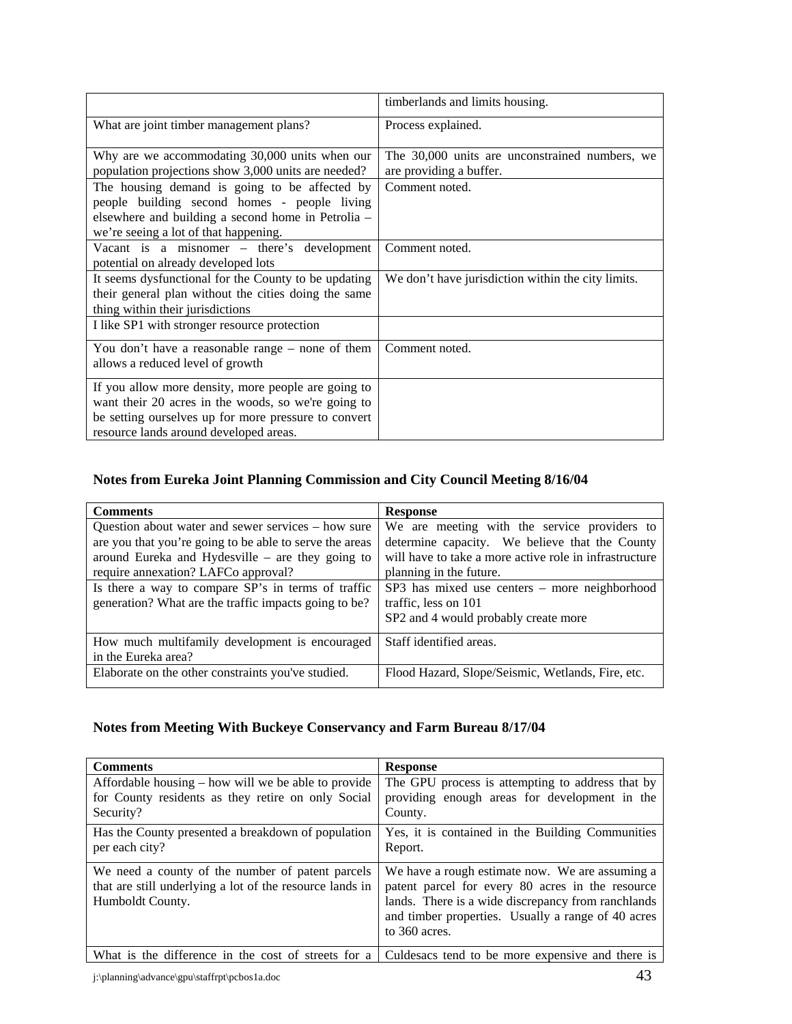|                                                                                                                                                                                                              | timberlands and limits housing.                                           |
|--------------------------------------------------------------------------------------------------------------------------------------------------------------------------------------------------------------|---------------------------------------------------------------------------|
| What are joint timber management plans?                                                                                                                                                                      | Process explained.                                                        |
| Why are we accommodating 30,000 units when our<br>population projections show 3,000 units are needed?                                                                                                        | The 30,000 units are unconstrained numbers, we<br>are providing a buffer. |
| The housing demand is going to be affected by<br>people building second homes - people living<br>elsewhere and building a second home in Petrolia –<br>we're seeing a lot of that happening.                 | Comment noted.                                                            |
| Vacant is a misnomer – there's development<br>potential on already developed lots                                                                                                                            | Comment noted.                                                            |
| It seems dysfunctional for the County to be updating<br>their general plan without the cities doing the same<br>thing within their jurisdictions                                                             | We don't have jurisdiction within the city limits.                        |
| I like SP1 with stronger resource protection                                                                                                                                                                 |                                                                           |
| You don't have a reasonable range – none of them<br>allows a reduced level of growth                                                                                                                         | Comment noted.                                                            |
| If you allow more density, more people are going to<br>want their 20 acres in the woods, so we're going to<br>be setting ourselves up for more pressure to convert<br>resource lands around developed areas. |                                                                           |

# **Notes from Eureka Joint Planning Commission and City Council Meeting 8/16/04**

| <b>Comments</b>                                         | <b>Response</b>                                        |
|---------------------------------------------------------|--------------------------------------------------------|
| Question about water and sewer services – how sure      | We are meeting with the service providers to           |
| are you that you're going to be able to serve the areas | determine capacity. We believe that the County         |
| around Eureka and Hydesville $-$ are they going to      | will have to take a more active role in infrastructure |
| require annexation? LAFCo approval?                     | planning in the future.                                |
| Is there a way to compare SP's in terms of traffic      | SP3 has mixed use centers – more neighborhood          |
| generation? What are the traffic impacts going to be?   | traffic, less on 101                                   |
|                                                         | SP2 and 4 would probably create more                   |
| How much multifamily development is encouraged          | Staff identified areas.                                |
| in the Eureka area?                                     |                                                        |
| Elaborate on the other constraints you've studied.      | Flood Hazard, Slope/Seismic, Wetlands, Fire, etc.      |

# **Notes from Meeting With Buckeye Conservancy and Farm Bureau 8/17/04**

| <b>Comments</b>                                                                                                                  | <b>Response</b>                                                                                                                                                                                                                    |
|----------------------------------------------------------------------------------------------------------------------------------|------------------------------------------------------------------------------------------------------------------------------------------------------------------------------------------------------------------------------------|
| Affordable housing – how will we be able to provide<br>for County residents as they retire on only Social<br>Security?           | The GPU process is attempting to address that by<br>providing enough areas for development in the<br>County.                                                                                                                       |
| Has the County presented a breakdown of population<br>per each city?                                                             | Yes, it is contained in the Building Communities<br>Report.                                                                                                                                                                        |
| We need a county of the number of patent parcels<br>that are still underlying a lot of the resource lands in<br>Humboldt County. | We have a rough estimate now. We are assuming a<br>patent parcel for every 80 acres in the resource<br>lands. There is a wide discrepancy from ranchlands<br>and timber properties. Usually a range of 40 acres<br>to $360$ acres. |
| What is the difference in the cost of streets for a                                                                              | Culdesacs tend to be more expensive and there is                                                                                                                                                                                   |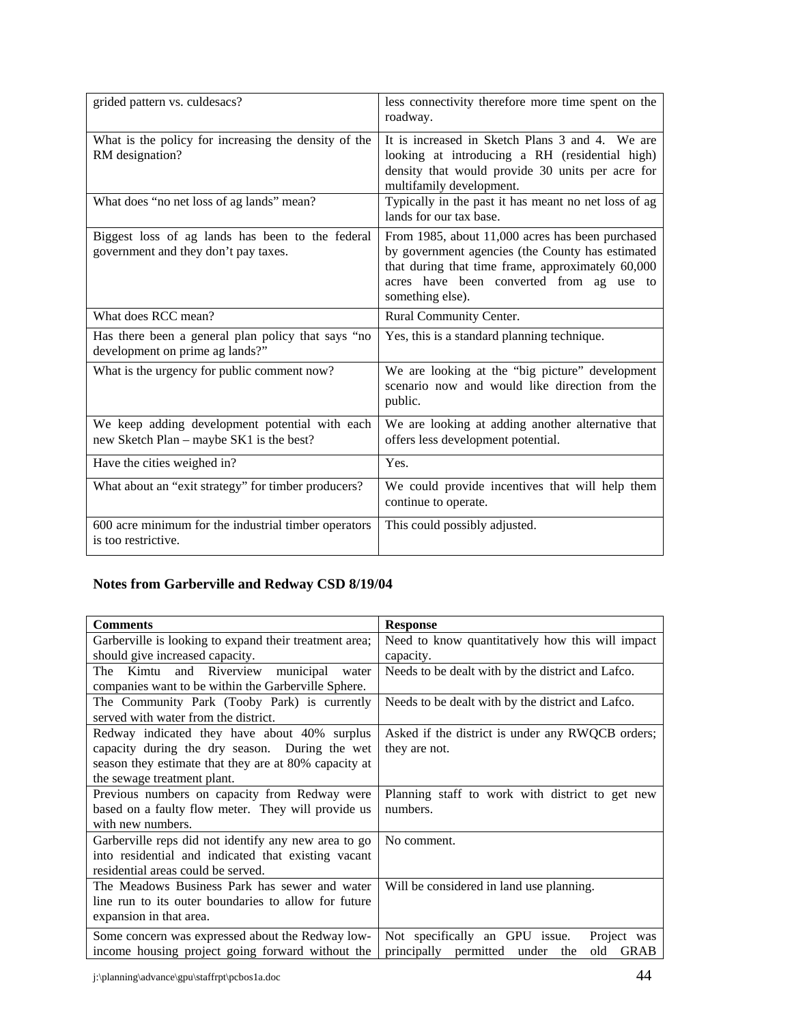| grided pattern vs. culdesacs?                                                              | less connectivity therefore more time spent on the<br>roadway.                                                                                                                                                            |
|--------------------------------------------------------------------------------------------|---------------------------------------------------------------------------------------------------------------------------------------------------------------------------------------------------------------------------|
| What is the policy for increasing the density of the<br>RM designation?                    | It is increased in Sketch Plans 3 and 4. We are<br>looking at introducing a RH (residential high)<br>density that would provide 30 units per acre for<br>multifamily development.                                         |
| What does "no net loss of ag lands" mean?                                                  | Typically in the past it has meant no net loss of ag<br>lands for our tax base.                                                                                                                                           |
| Biggest loss of ag lands has been to the federal<br>government and they don't pay taxes.   | From 1985, about 11,000 acres has been purchased<br>by government agencies (the County has estimated<br>that during that time frame, approximately 60,000<br>acres have been converted from ag use to<br>something else). |
| What does RCC mean?                                                                        | Rural Community Center.                                                                                                                                                                                                   |
| Has there been a general plan policy that says "no<br>development on prime ag lands?"      | Yes, this is a standard planning technique.                                                                                                                                                                               |
| What is the urgency for public comment now?                                                | We are looking at the "big picture" development<br>scenario now and would like direction from the<br>public.                                                                                                              |
| We keep adding development potential with each<br>new Sketch Plan – maybe SK1 is the best? | We are looking at adding another alternative that<br>offers less development potential.                                                                                                                                   |
| Have the cities weighed in?                                                                | Yes.                                                                                                                                                                                                                      |
| What about an "exit strategy" for timber producers?                                        | We could provide incentives that will help them<br>continue to operate.                                                                                                                                                   |
| 600 acre minimum for the industrial timber operators<br>is too restrictive.                | This could possibly adjusted.                                                                                                                                                                                             |

# **Notes from Garberville and Redway CSD 8/19/04**

| <b>Comments</b>                                        | <b>Response</b>                                      |
|--------------------------------------------------------|------------------------------------------------------|
| Garberville is looking to expand their treatment area; | Need to know quantitatively how this will impact     |
| should give increased capacity.                        | capacity.                                            |
| and Riverview municipal water<br>The Kimtu             | Needs to be dealt with by the district and Lafco.    |
| companies want to be within the Garberville Sphere.    |                                                      |
| The Community Park (Tooby Park) is currently           | Needs to be dealt with by the district and Lafco.    |
| served with water from the district.                   |                                                      |
| Redway indicated they have about 40% surplus           | Asked if the district is under any RWQCB orders;     |
| capacity during the dry season. During the wet         | they are not.                                        |
| season they estimate that they are at 80% capacity at  |                                                      |
| the sewage treatment plant.                            |                                                      |
| Previous numbers on capacity from Redway were          | Planning staff to work with district to get new      |
| based on a faulty flow meter. They will provide us     | numbers.                                             |
| with new numbers.                                      |                                                      |
| Garberville reps did not identify any new area to go   | No comment.                                          |
| into residential and indicated that existing vacant    |                                                      |
| residential areas could be served.                     |                                                      |
| The Meadows Business Park has sewer and water          | Will be considered in land use planning.             |
| line run to its outer boundaries to allow for future   |                                                      |
| expansion in that area.                                |                                                      |
| Some concern was expressed about the Redway low-       | Not specifically an GPU issue.<br>Project was        |
| income housing project going forward without the       | permitted under<br>GRAB<br>principally<br>the<br>old |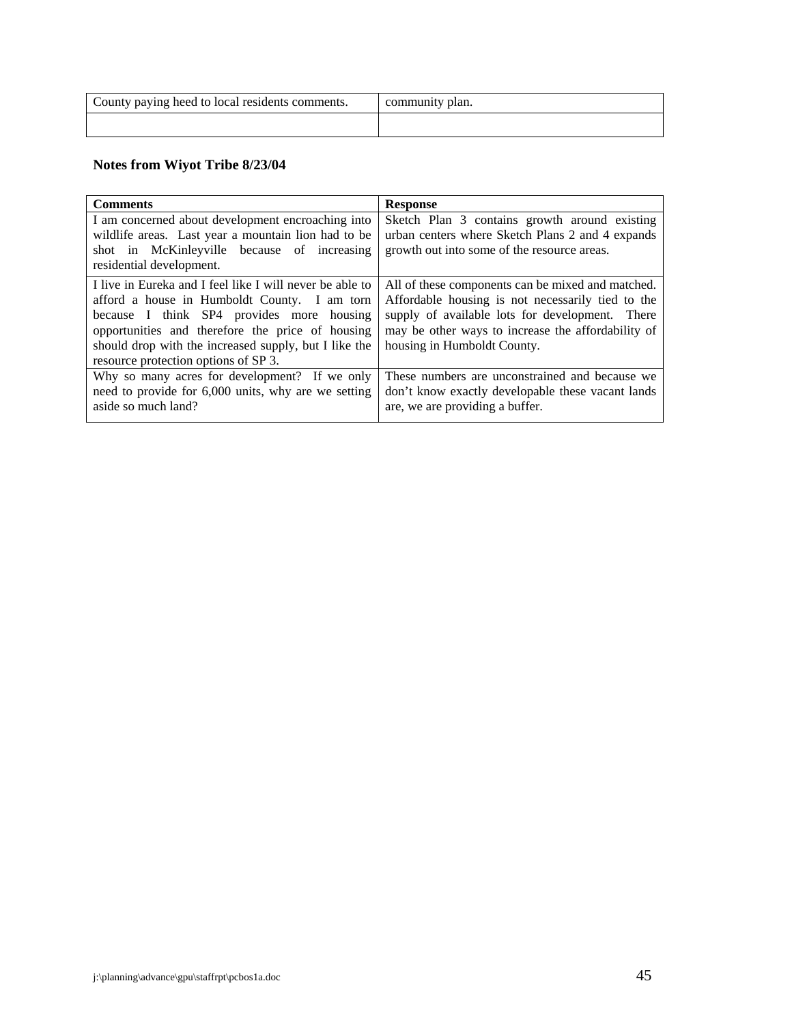| County paying heed to local residents comments. | community plan. |
|-------------------------------------------------|-----------------|
|                                                 |                 |

# **Notes from Wiyot Tribe 8/23/04**

| <b>Comments</b>                                          | <b>Response</b>                                    |
|----------------------------------------------------------|----------------------------------------------------|
| I am concerned about development encroaching into        | Sketch Plan 3 contains growth around existing      |
| wildlife areas. Last year a mountain lion had to be      | urban centers where Sketch Plans 2 and 4 expands   |
| shot in McKinleyville because of increasing              | growth out into some of the resource areas.        |
| residential development.                                 |                                                    |
| I live in Eureka and I feel like I will never be able to | All of these components can be mixed and matched.  |
| afford a house in Humboldt County. I am torn             | Affordable housing is not necessarily tied to the  |
| because I think SP4 provides more housing                | supply of available lots for development. There    |
| opportunities and therefore the price of housing         | may be other ways to increase the affordability of |
| should drop with the increased supply, but I like the    | housing in Humboldt County.                        |
| resource protection options of SP 3.                     |                                                    |
| Why so many acres for development? If we only            | These numbers are unconstrained and because we     |
| need to provide for 6,000 units, why are we setting      | don't know exactly developable these vacant lands  |
| aside so much land?                                      | are, we are providing a buffer.                    |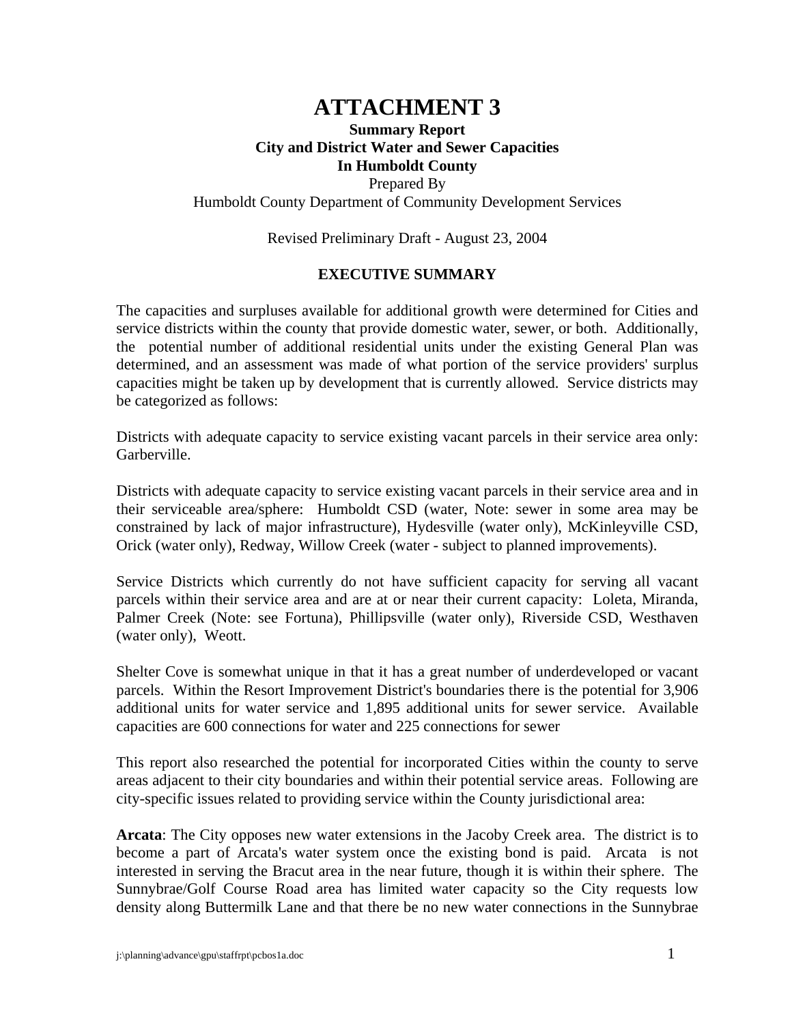# **ATTACHMENT 3**

# **Summary Report City and District Water and Sewer Capacities In Humboldt County** Prepared By Humboldt County Department of Community Development Services

Revised Preliminary Draft - August 23, 2004

# **EXECUTIVE SUMMARY**

The capacities and surpluses available for additional growth were determined for Cities and service districts within the county that provide domestic water, sewer, or both. Additionally, the potential number of additional residential units under the existing General Plan was determined, and an assessment was made of what portion of the service providers' surplus capacities might be taken up by development that is currently allowed. Service districts may be categorized as follows:

Districts with adequate capacity to service existing vacant parcels in their service area only: Garberville.

Districts with adequate capacity to service existing vacant parcels in their service area and in their serviceable area/sphere: Humboldt CSD (water, Note: sewer in some area may be constrained by lack of major infrastructure), Hydesville (water only), McKinleyville CSD, Orick (water only), Redway, Willow Creek (water - subject to planned improvements).

Service Districts which currently do not have sufficient capacity for serving all vacant parcels within their service area and are at or near their current capacity: Loleta, Miranda, Palmer Creek (Note: see Fortuna), Phillipsville (water only), Riverside CSD, Westhaven (water only), Weott.

Shelter Cove is somewhat unique in that it has a great number of underdeveloped or vacant parcels. Within the Resort Improvement District's boundaries there is the potential for 3,906 additional units for water service and 1,895 additional units for sewer service. Available capacities are 600 connections for water and 225 connections for sewer

This report also researched the potential for incorporated Cities within the county to serve areas adjacent to their city boundaries and within their potential service areas. Following are city-specific issues related to providing service within the County jurisdictional area:

**Arcata**: The City opposes new water extensions in the Jacoby Creek area. The district is to become a part of Arcata's water system once the existing bond is paid. Arcata is not interested in serving the Bracut area in the near future, though it is within their sphere. The Sunnybrae/Golf Course Road area has limited water capacity so the City requests low density along Buttermilk Lane and that there be no new water connections in the Sunnybrae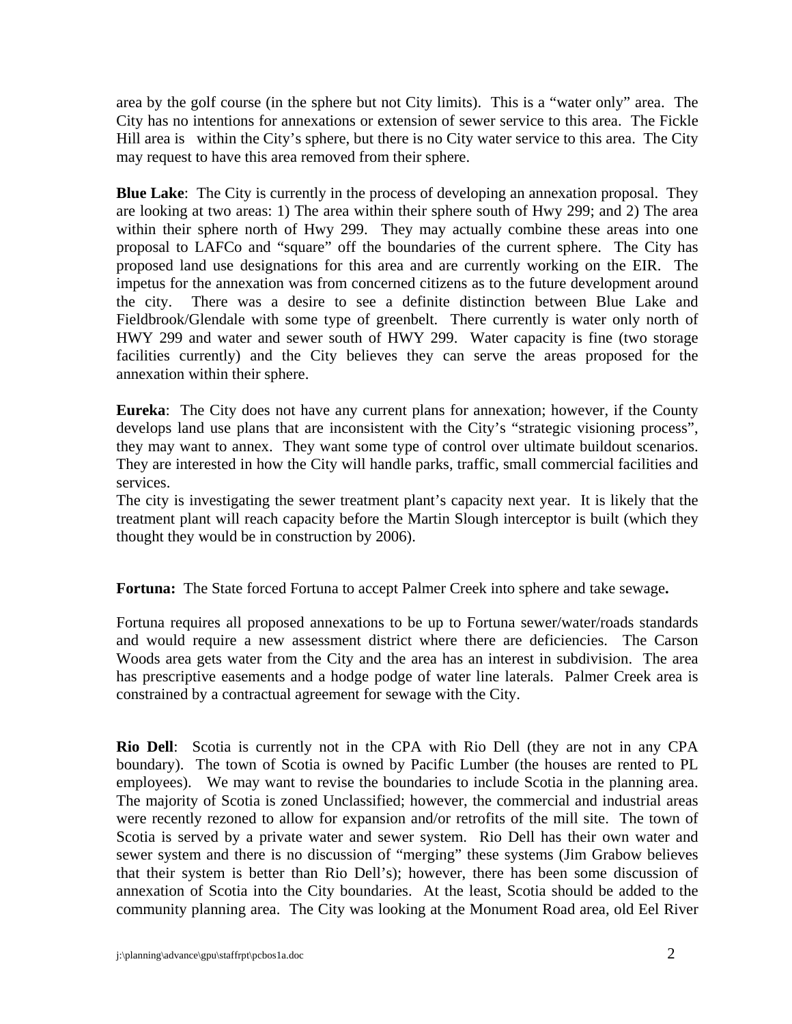area by the golf course (in the sphere but not City limits). This is a "water only" area. The City has no intentions for annexations or extension of sewer service to this area. The Fickle Hill area is within the City's sphere, but there is no City water service to this area. The City may request to have this area removed from their sphere.

**Blue Lake**: The City is currently in the process of developing an annexation proposal. They are looking at two areas: 1) The area within their sphere south of Hwy 299; and 2) The area within their sphere north of Hwy 299. They may actually combine these areas into one proposal to LAFCo and "square" off the boundaries of the current sphere. The City has proposed land use designations for this area and are currently working on the EIR. The impetus for the annexation was from concerned citizens as to the future development around the city. There was a desire to see a definite distinction between Blue Lake and Fieldbrook/Glendale with some type of greenbelt. There currently is water only north of HWY 299 and water and sewer south of HWY 299. Water capacity is fine (two storage facilities currently) and the City believes they can serve the areas proposed for the annexation within their sphere.

**Eureka**: The City does not have any current plans for annexation; however, if the County develops land use plans that are inconsistent with the City's "strategic visioning process", they may want to annex. They want some type of control over ultimate buildout scenarios. They are interested in how the City will handle parks, traffic, small commercial facilities and services.

The city is investigating the sewer treatment plant's capacity next year. It is likely that the treatment plant will reach capacity before the Martin Slough interceptor is built (which they thought they would be in construction by 2006).

**Fortuna:** The State forced Fortuna to accept Palmer Creek into sphere and take sewage**.** 

Fortuna requires all proposed annexations to be up to Fortuna sewer/water/roads standards and would require a new assessment district where there are deficiencies. The Carson Woods area gets water from the City and the area has an interest in subdivision. The area has prescriptive easements and a hodge podge of water line laterals. Palmer Creek area is constrained by a contractual agreement for sewage with the City.

**Rio Dell**: Scotia is currently not in the CPA with Rio Dell (they are not in any CPA boundary). The town of Scotia is owned by Pacific Lumber (the houses are rented to PL employees). We may want to revise the boundaries to include Scotia in the planning area. The majority of Scotia is zoned Unclassified; however, the commercial and industrial areas were recently rezoned to allow for expansion and/or retrofits of the mill site. The town of Scotia is served by a private water and sewer system. Rio Dell has their own water and sewer system and there is no discussion of "merging" these systems (Jim Grabow believes that their system is better than Rio Dell's); however, there has been some discussion of annexation of Scotia into the City boundaries. At the least, Scotia should be added to the community planning area. The City was looking at the Monument Road area, old Eel River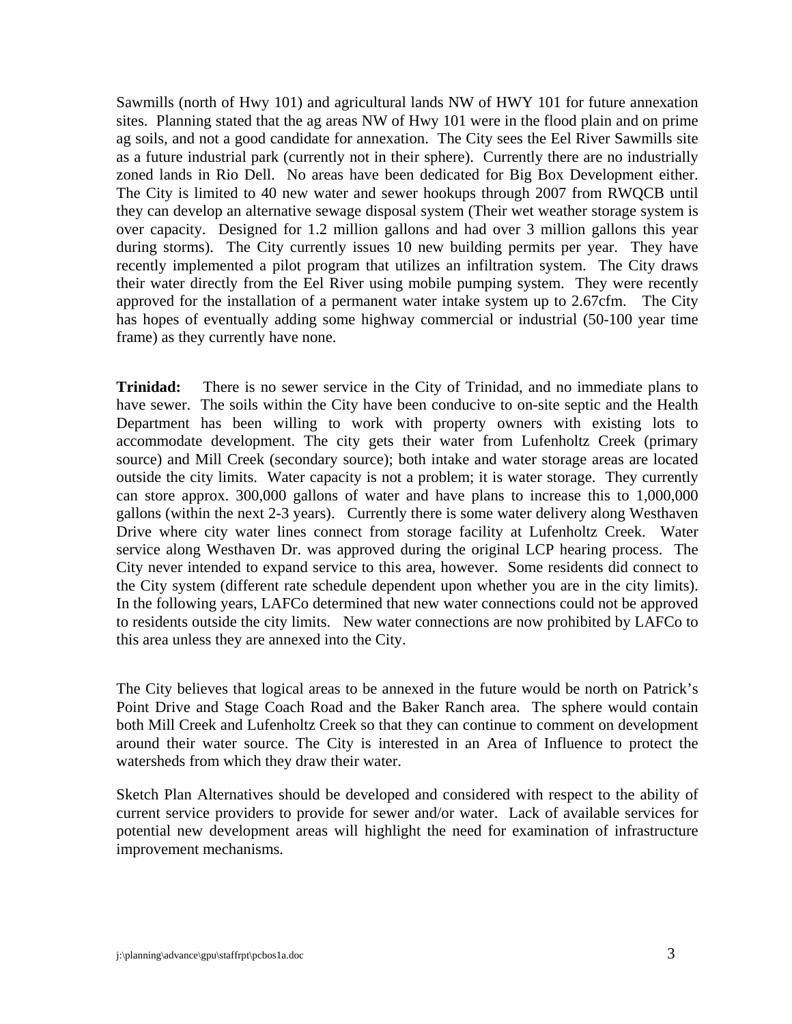Sawmills (north of Hwy 101) and agricultural lands NW of HWY 101 for future annexation sites. Planning stated that the ag areas NW of Hwy 101 were in the flood plain and on prime ag soils, and not a good candidate for annexation. The City sees the Eel River Sawmills site as a future industrial park (currently not in their sphere). Currently there are no industrially zoned lands in Rio Dell. No areas have been dedicated for Big Box Development either. The City is limited to 40 new water and sewer hookups through 2007 from RWQCB until they can develop an alternative sewage disposal system (Their wet weather storage system is over capacity. Designed for 1.2 million gallons and had over 3 million gallons this year during storms). The City currently issues 10 new building permits per year. They have recently implemented a pilot program that utilizes an infiltration system. The City draws their water directly from the Eel River using mobile pumping system. They were recently approved for the installation of a permanent water intake system up to 2.67cfm. The City has hopes of eventually adding some highway commercial or industrial (50-100 year time frame) as they currently have none.

**Trinidad:** There is no sewer service in the City of Trinidad, and no immediate plans to have sewer. The soils within the City have been conducive to on-site septic and the Health Department has been willing to work with property owners with existing lots to accommodate development. The city gets their water from Lufenholtz Creek (primary source) and Mill Creek (secondary source); both intake and water storage areas are located outside the city limits. Water capacity is not a problem; it is water storage. They currently can store approx. 300,000 gallons of water and have plans to increase this to 1,000,000 gallons (within the next 2-3 years). Currently there is some water delivery along Westhaven Drive where city water lines connect from storage facility at Lufenholtz Creek. Water service along Westhaven Dr. was approved during the original LCP hearing process. The City never intended to expand service to this area, however. Some residents did connect to the City system (different rate schedule dependent upon whether you are in the city limits). In the following years, LAFCo determined that new water connections could not be approved to residents outside the city limits. New water connections are now prohibited by LAFCo to this area unless they are annexed into the City.

The City believes that logical areas to be annexed in the future would be north on Patrick's Point Drive and Stage Coach Road and the Baker Ranch area. The sphere would contain both Mill Creek and Lufenholtz Creek so that they can continue to comment on development around their water source. The City is interested in an Area of Influence to protect the watersheds from which they draw their water.

Sketch Plan Alternatives should be developed and considered with respect to the ability of current service providers to provide for sewer and/or water. Lack of available services for potential new development areas will highlight the need for examination of infrastructure improvement mechanisms.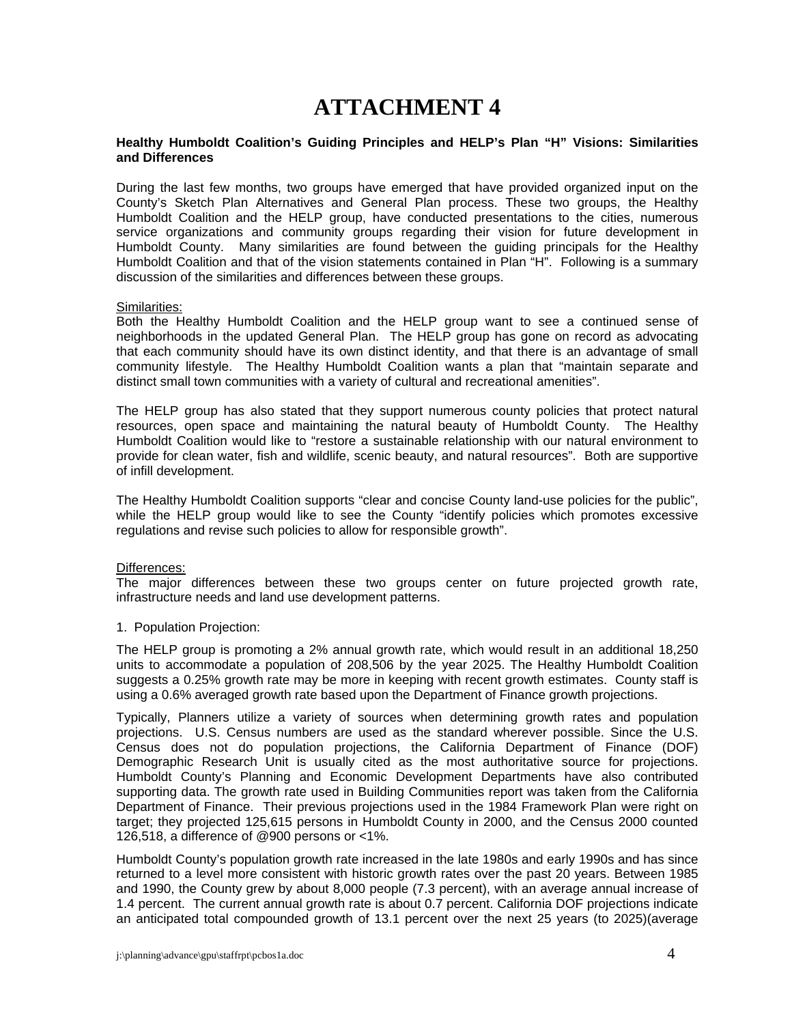# **ATTACHMENT 4**

#### **Healthy Humboldt Coalition's Guiding Principles and HELP's Plan "H" Visions: Similarities and Differences**

During the last few months, two groups have emerged that have provided organized input on the County's Sketch Plan Alternatives and General Plan process. These two groups, the Healthy Humboldt Coalition and the HELP group, have conducted presentations to the cities, numerous service organizations and community groups regarding their vision for future development in Humboldt County. Many similarities are found between the guiding principals for the Healthy Humboldt Coalition and that of the vision statements contained in Plan "H". Following is a summary discussion of the similarities and differences between these groups.

#### Similarities:

Both the Healthy Humboldt Coalition and the HELP group want to see a continued sense of neighborhoods in the updated General Plan. The HELP group has gone on record as advocating that each community should have its own distinct identity, and that there is an advantage of small community lifestyle. The Healthy Humboldt Coalition wants a plan that "maintain separate and distinct small town communities with a variety of cultural and recreational amenities".

The HELP group has also stated that they support numerous county policies that protect natural resources, open space and maintaining the natural beauty of Humboldt County. The Healthy Humboldt Coalition would like to "restore a sustainable relationship with our natural environment to provide for clean water, fish and wildlife, scenic beauty, and natural resources". Both are supportive of infill development.

The Healthy Humboldt Coalition supports "clear and concise County land-use policies for the public", while the HELP group would like to see the County "identify policies which promotes excessive regulations and revise such policies to allow for responsible growth".

#### Differences:

The major differences between these two groups center on future projected growth rate, infrastructure needs and land use development patterns.

### 1. Population Projection:

The HELP group is promoting a 2% annual growth rate, which would result in an additional 18,250 units to accommodate a population of 208,506 by the year 2025. The Healthy Humboldt Coalition suggests a 0.25% growth rate may be more in keeping with recent growth estimates. County staff is using a 0.6% averaged growth rate based upon the Department of Finance growth projections.

Typically, Planners utilize a variety of sources when determining growth rates and population projections. U.S. Census numbers are used as the standard wherever possible. Since the U.S. Census does not do population projections, the California Department of Finance (DOF) Demographic Research Unit is usually cited as the most authoritative source for projections. Humboldt County's Planning and Economic Development Departments have also contributed supporting data. The growth rate used in Building Communities report was taken from the California Department of Finance. Their previous projections used in the 1984 Framework Plan were right on target; they projected 125,615 persons in Humboldt County in 2000, and the Census 2000 counted 126,518, a difference of @900 persons or <1%.

Humboldt County's population growth rate increased in the late 1980s and early 1990s and has since returned to a level more consistent with historic growth rates over the past 20 years. Between 1985 and 1990, the County grew by about 8,000 people (7.3 percent), with an average annual increase of 1.4 percent. The current annual growth rate is about 0.7 percent. California DOF projections indicate an anticipated total compounded growth of 13.1 percent over the next 25 years (to 2025)(average